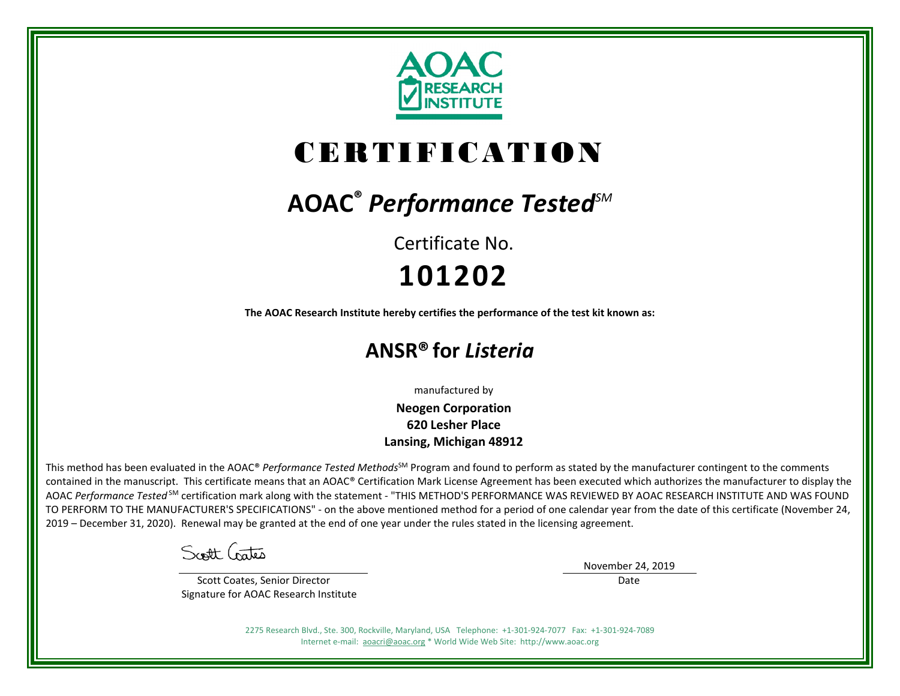

# CERTIFICATION

## **AOAC®** *Performance TestedSM*

Certificate No. **101202**

**The AOAC Research Institute hereby certifies the performance of the test kit known as:**

### **ANSR® for** *Listeria*

manufactured by

**Neogen Corporation 620 Lesher Place Lansing, Michigan 48912**

This method has been evaluated in the AOAC® *Performance Tested Methods*<sup>SM</sup> Program and found to perform as stated by the manufacturer contingent to the comments contained in the manuscript. This certificate means that an AOAC® Certification Mark License Agreement has been executed which authorizes the manufacturer to display the AOAC *Performance Tested* SM certification mark along with the statement - "THIS METHOD'S PERFORMANCE WAS REVIEWED BY AOAC RESEARCH INSTITUTE AND WAS FOUND TO PERFORM TO THE MANUFACTURER'S SPECIFICATIONS" - on the above mentioned method for a period of one calendar year from the date of this certificate (November 24, 2019 – December 31, 2020). Renewal may be granted at the end of one year under the rules stated in the licensing agreement.

Scott Crates

 Scott Coates, Senior Director Signature for AOAC Research Institute November 24, 2019

Date

2275 Research Blvd., Ste. 300, Rockville, Maryland, USA Telephone: +1-301-924-7077 Fax: +1-301-924-7089 Internet e-mail: [aoacri@aoac.org](mailto:aoacri@aoac.org) \* World Wide Web Site: http://www.aoac.org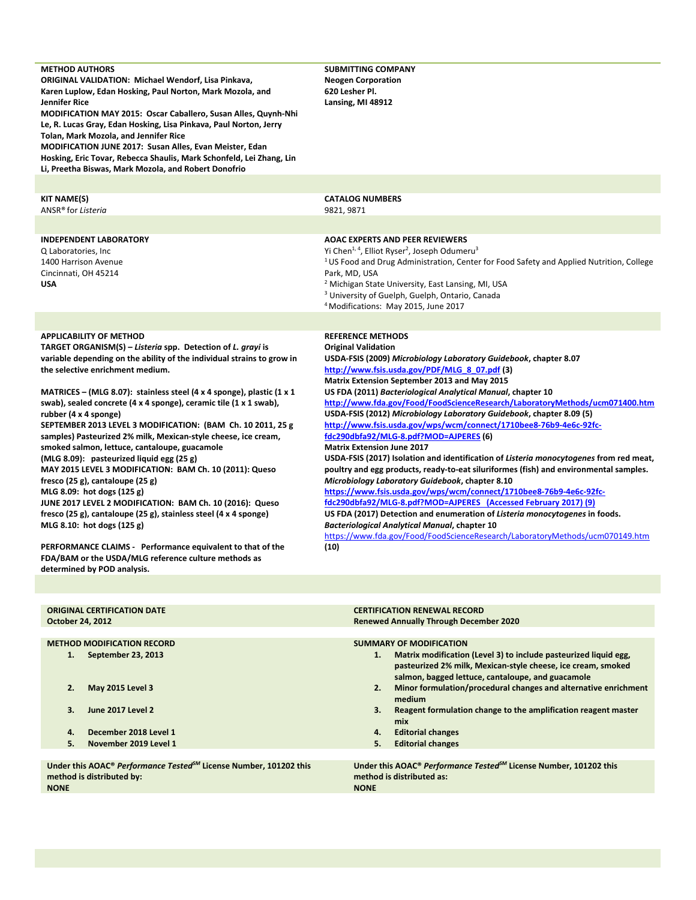| <b>METHOD AUTHORS</b><br><b>ORIGINAL VALIDATION: Michael Wendorf, Lisa Pinkava,</b><br>Karen Luplow, Edan Hosking, Paul Norton, Mark Mozola, and<br>Jennifer Rice<br>MODIFICATION MAY 2015: Oscar Caballero, Susan Alles, Quynh-Nhi<br>Le, R. Lucas Gray, Edan Hosking, Lisa Pinkava, Paul Norton, Jerry<br>Tolan, Mark Mozola, and Jennifer Rice<br><b>MODIFICATION JUNE 2017: Susan Alles, Evan Meister, Edan</b><br>Hosking, Eric Tovar, Rebecca Shaulis, Mark Schonfeld, Lei Zhang, Lin<br>Li, Preetha Biswas, Mark Mozola, and Robert Donofrio                                                                                                                                                                                                                                                                                                                                                                                                                                                                                                               | <b>SUBMITTING COMPANY</b><br><b>Neogen Corporation</b><br>620 Lesher Pl.<br>Lansing, MI 48912                                                                                                                                                                                                                                                                                                                                                                                                                                                                                                                                                                                                                                                                                                                                                                                                                                                                                                                                                                                                                                                                                                                       |
|-------------------------------------------------------------------------------------------------------------------------------------------------------------------------------------------------------------------------------------------------------------------------------------------------------------------------------------------------------------------------------------------------------------------------------------------------------------------------------------------------------------------------------------------------------------------------------------------------------------------------------------------------------------------------------------------------------------------------------------------------------------------------------------------------------------------------------------------------------------------------------------------------------------------------------------------------------------------------------------------------------------------------------------------------------------------|---------------------------------------------------------------------------------------------------------------------------------------------------------------------------------------------------------------------------------------------------------------------------------------------------------------------------------------------------------------------------------------------------------------------------------------------------------------------------------------------------------------------------------------------------------------------------------------------------------------------------------------------------------------------------------------------------------------------------------------------------------------------------------------------------------------------------------------------------------------------------------------------------------------------------------------------------------------------------------------------------------------------------------------------------------------------------------------------------------------------------------------------------------------------------------------------------------------------|
|                                                                                                                                                                                                                                                                                                                                                                                                                                                                                                                                                                                                                                                                                                                                                                                                                                                                                                                                                                                                                                                                   |                                                                                                                                                                                                                                                                                                                                                                                                                                                                                                                                                                                                                                                                                                                                                                                                                                                                                                                                                                                                                                                                                                                                                                                                                     |
| KIT NAME(S)<br>ANSR® for Listeria                                                                                                                                                                                                                                                                                                                                                                                                                                                                                                                                                                                                                                                                                                                                                                                                                                                                                                                                                                                                                                 | <b>CATALOG NUMBERS</b><br>9821, 9871                                                                                                                                                                                                                                                                                                                                                                                                                                                                                                                                                                                                                                                                                                                                                                                                                                                                                                                                                                                                                                                                                                                                                                                |
| <b>INDEPENDENT LABORATORY</b><br>Q Laboratories, Inc.<br>1400 Harrison Avenue<br>Cincinnati, OH 45214<br><b>USA</b>                                                                                                                                                                                                                                                                                                                                                                                                                                                                                                                                                                                                                                                                                                                                                                                                                                                                                                                                               | <b>AOAC EXPERTS AND PEER REVIEWERS</b><br>Yi Chen <sup>1, 4</sup> , Elliot Ryser <sup>2</sup> , Joseph Odumeru <sup>3</sup><br><sup>1</sup> US Food and Drug Administration, Center for Food Safety and Applied Nutrition, College<br>Park, MD, USA<br><sup>2</sup> Michigan State University, East Lansing, MI, USA<br><sup>3</sup> University of Guelph, Guelph, Ontario, Canada<br><sup>4</sup> Modifications: May 2015, June 2017                                                                                                                                                                                                                                                                                                                                                                                                                                                                                                                                                                                                                                                                                                                                                                               |
|                                                                                                                                                                                                                                                                                                                                                                                                                                                                                                                                                                                                                                                                                                                                                                                                                                                                                                                                                                                                                                                                   |                                                                                                                                                                                                                                                                                                                                                                                                                                                                                                                                                                                                                                                                                                                                                                                                                                                                                                                                                                                                                                                                                                                                                                                                                     |
| <b>APPLICABILITY OF METHOD</b><br>TARGET ORGANISM(S) - Listeria spp. Detection of L. grayi is<br>variable depending on the ability of the individual strains to grow in<br>the selective enrichment medium.<br>MATRICES – (MLG 8.07): stainless steel (4 x 4 sponge), plastic (1 x 1<br>swab), sealed concrete (4 x 4 sponge), ceramic tile (1 x 1 swab),<br>rubber (4 x 4 sponge)<br>SEPTEMBER 2013 LEVEL 3 MODIFICATION: (BAM Ch. 10 2011, 25 g<br>samples) Pasteurized 2% milk, Mexican-style cheese, ice cream,<br>smoked salmon, lettuce, cantaloupe, guacamole<br>(MLG 8.09): pasteurized liquid egg (25 g)<br>MAY 2015 LEVEL 3 MODIFICATION: BAM Ch. 10 (2011): Queso<br>fresco (25 g), cantaloupe (25 g)<br>MLG 8.09: hot dogs (125 g)<br>JUNE 2017 LEVEL 2 MODIFICATION: BAM Ch. 10 (2016): Queso<br>fresco (25 g), cantaloupe (25 g), stainless steel (4 x 4 sponge)<br>MLG 8.10: hot dogs (125 g)<br>PERFORMANCE CLAIMS - Performance equivalent to that of the<br>FDA/BAM or the USDA/MLG reference culture methods as<br>determined by POD analysis. | <b>REFERENCE METHODS</b><br><b>Original Validation</b><br>USDA-FSIS (2009) Microbiology Laboratory Guidebook, chapter 8.07<br>http://www.fsis.usda.gov/PDF/MLG_8_07.pdf (3)<br>Matrix Extension September 2013 and May 2015<br>US FDA (2011) Bacteriological Analytical Manual, chapter 10<br>http://www.fda.gov/Food/FoodScienceResearch/LaboratoryMethods/ucm071400.htm<br>USDA-FSIS (2012) Microbiology Laboratory Guidebook, chapter 8.09 (5)<br>http://www.fsis.usda.gov/wps/wcm/connect/1710bee8-76b9-4e6c-92fc-<br>fdc290dbfa92/MLG-8.pdf?MOD=AJPERES (6)<br><b>Matrix Extension June 2017</b><br>USDA-FSIS (2017) Isolation and identification of Listeria monocytogenes from red meat,<br>poultry and egg products, ready-to-eat siluriformes (fish) and environmental samples.<br>Microbiology Laboratory Guidebook, chapter 8.10<br>https://www.fsis.usda.gov/wps/wcm/connect/1710bee8-76b9-4e6c-92fc-<br>fdc290dbfa92/MLG-8.pdf?MOD=AJPERES (Accessed February 2017) (9)<br>US FDA (2017) Detection and enumeration of Listeria monocytogenes in foods.<br><b>Bacteriological Analytical Manual, chapter 10</b><br>https://www.fda.gov/Food/FoodScienceResearch/LaboratoryMethods/ucm070149.htm<br>(10) |
|                                                                                                                                                                                                                                                                                                                                                                                                                                                                                                                                                                                                                                                                                                                                                                                                                                                                                                                                                                                                                                                                   |                                                                                                                                                                                                                                                                                                                                                                                                                                                                                                                                                                                                                                                                                                                                                                                                                                                                                                                                                                                                                                                                                                                                                                                                                     |
| <b>ORIGINAL CERTIFICATION DATE</b><br>October 24, 2012                                                                                                                                                                                                                                                                                                                                                                                                                                                                                                                                                                                                                                                                                                                                                                                                                                                                                                                                                                                                            | <b>CERTIFICATION RENEWAL RECORD</b><br><b>Renewed Annually Through December 2020</b>                                                                                                                                                                                                                                                                                                                                                                                                                                                                                                                                                                                                                                                                                                                                                                                                                                                                                                                                                                                                                                                                                                                                |
| <b>METHOD MODIFICATION RECORD</b><br>September 23, 2013<br>1.                                                                                                                                                                                                                                                                                                                                                                                                                                                                                                                                                                                                                                                                                                                                                                                                                                                                                                                                                                                                     | <b>SUMMARY OF MODIFICATION</b><br>Matrix modification (Level 3) to include pasteurized liquid egg,<br>1.                                                                                                                                                                                                                                                                                                                                                                                                                                                                                                                                                                                                                                                                                                                                                                                                                                                                                                                                                                                                                                                                                                            |

- **2. May 2015 Level 3**
- **3. June 2017 Level 2**
- **4. December 2018 Level 1**
- **5. November 2019 Level 1**

**Under this AOAC®** *Performance TestedSM* **License Number, 101202 this method is distributed by: NONE**

- **1. Matrix modification (Level 3) to include pasteurized liquid egg, pasteurized 2% milk, Mexican-style cheese, ice cream, smoked salmon, bagged lettuce, cantaloupe, and guacamole**
- **2. Minor formulation/procedural changes and alternative enrichment medium**
- **3. Reagent formulation change to the amplification reagent master mix**
- **4. Editorial changes**
- **5. Editorial changes**

**Under this AOAC®** *Performance TestedSM* **License Number, 101202 this method is distributed as: NONE**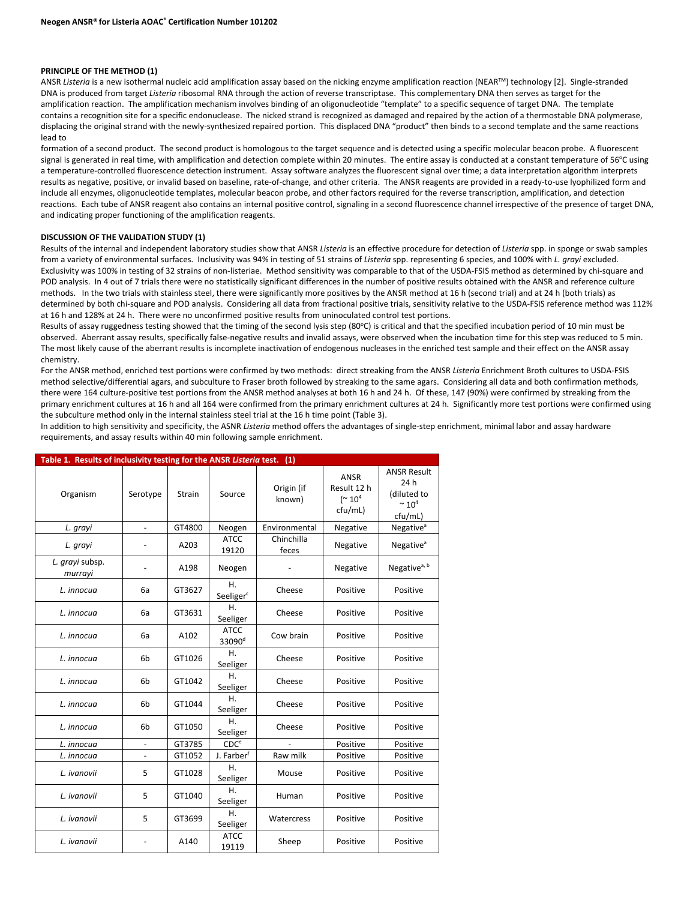#### **PRINCIPLE OF THE METHOD (1)**

ANSR Listeria is a new isothermal nucleic acid amplification assay based on the nicking enzyme amplification reaction (NEAR™) technology [2]. Single-stranded DNA is produced from target *Listeria* ribosomal RNA through the action of reverse transcriptase. This complementary DNA then serves as target for the amplification reaction. The amplification mechanism involves binding of an oligonucleotide "template" to a specific sequence of target DNA. The template contains a recognition site for a specific endonuclease. The nicked strand is recognized as damaged and repaired by the action of a thermostable DNA polymerase, displacing the original strand with the newly-synthesized repaired portion. This displaced DNA "product" then binds to a second template and the same reactions lead to

formation of a second product. The second product is homologous to the target sequence and is detected using a specific molecular beacon probe. A fluorescent signal is generated in real time, with amplification and detection complete within 20 minutes. The entire assay is conducted at a constant temperature of 56°C using a temperature-controlled fluorescence detection instrument. Assay software analyzes the fluorescent signal over time; a data interpretation algorithm interprets results as negative, positive, or invalid based on baseline, rate-of-change, and other criteria. The ANSR reagents are provided in a ready-to-use lyophilized form and include all enzymes, oligonucleotide templates, molecular beacon probe, and other factors required for the reverse transcription, amplification, and detection reactions. Each tube of ANSR reagent also contains an internal positive control, signaling in a second fluorescence channel irrespective of the presence of target DNA, and indicating proper functioning of the amplification reagents.

#### **DISCUSSION OF THE VALIDATION STUDY (1)**

Results of the internal and independent laboratory studies show that ANSR *Listeria* is an effective procedure for detection of *Listeria* spp. in sponge or swab samples from a variety of environmental surfaces. Inclusivity was 94% in testing of 51 strains of *Listeria* spp. representing 6 species, and 100% with *L. grayi* excluded. Exclusivity was 100% in testing of 32 strains of non-listeriae. Method sensitivity was comparable to that of the USDA-FSIS method as determined by chi-square and POD analysis. In 4 out of 7 trials there were no statistically significant differences in the number of positive results obtained with the ANSR and reference culture methods. In the two trials with stainless steel, there were significantly more positives by the ANSR method at 16 h (second trial) and at 24 h (both trials) as determined by both chi-square and POD analysis. Considering all data from fractional positive trials, sensitivity relative to the USDA-FSIS reference method was 112% at 16 h and 128% at 24 h. There were no unconfirmed positive results from uninoculated control test portions.

Results of assay ruggedness testing showed that the timing of the second lysis step (80°C) is critical and that the specified incubation period of 10 min must be observed. Aberrant assay results, specifically false-negative results and invalid assays, were observed when the incubation time for this step was reduced to 5 min. The most likely cause of the aberrant results is incomplete inactivation of endogenous nucleases in the enriched test sample and their effect on the ANSR assay chemistry.

For the ANSR method, enriched test portions were confirmed by two methods: direct streaking from the ANSR *Listeria* Enrichment Broth cultures to USDA-FSIS method selective/differential agars, and subculture to Fraser broth followed by streaking to the same agars. Considering all data and both confirmation methods, there were 164 culture-positive test portions from the ANSR method analyses at both 16 h and 24 h. Of these, 147 (90%) were confirmed by streaking from the primary enrichment cultures at 16 h and all 164 were confirmed from the primary enrichment cultures at 24 h. Significantly more test portions were confirmed using the subculture method only in the internal stainless steel trial at the 16 h time point (Table 3).

In addition to high sensitivity and specificity, the ASNR *Listeria* method offers the advantages of single-step enrichment, minimal labor and assay hardware requirements, and assay results within 40 min following sample enrichment.

| Table 1. Results of inclusivity testing for the ANSR Listeria test. (1) |                |               |                                   |                      |                                                            |                                                                          |
|-------------------------------------------------------------------------|----------------|---------------|-----------------------------------|----------------------|------------------------------------------------------------|--------------------------------------------------------------------------|
| Organism                                                                | Serotype       | <b>Strain</b> | Source                            | Origin (if<br>known) | <b>ANSR</b><br>Result 12 h<br>$($ $\sim 10^{4}$<br>cfu/mL) | <b>ANSR Result</b><br>24h<br>(diluted to<br>$~^{\sim} 10^{4}$<br>cfu/mL) |
| L. grayi                                                                |                | GT4800        | Neogen                            | Environmental        | Negative                                                   | Negative <sup>a</sup>                                                    |
| L. grayi                                                                |                | A203          | <b>ATCC</b><br>19120              | Chinchilla<br>feces  | Negative                                                   | Negative <sup>a</sup>                                                    |
| L. grayi subsp.<br>murrayi                                              |                | A198          | Neogen                            |                      | Negative                                                   | Negative <sup>a, b</sup>                                                 |
| L. innocua                                                              | 6a             | GT3627        | Η.<br>Seeliger <sup>c</sup>       | Cheese               | Positive                                                   | Positive                                                                 |
| L. innocua                                                              | 6a             | GT3631        | Η.<br>Seeliger                    | Cheese               | Positive                                                   | Positive                                                                 |
| L. innocua                                                              | 6a             | A102          | <b>ATCC</b><br>33090 <sup>d</sup> | Cow brain            | Positive                                                   | Positive                                                                 |
| L. innocua                                                              | 6 <sub>b</sub> | GT1026        | Η.<br>Seeliger                    | Cheese               | Positive                                                   | Positive                                                                 |
| L. innocua                                                              | 6 <sub>b</sub> | GT1042        | Η.<br>Seeliger                    | Cheese               | Positive                                                   | Positive                                                                 |
| L. innocua                                                              | 6 <sub>b</sub> | GT1044        | Η.<br>Seeliger                    | Cheese               | Positive                                                   | Positive                                                                 |
| L. innocua                                                              | 6 <sub>b</sub> | GT1050        | Η.<br>Seeliger                    | Cheese               | Positive                                                   | Positive                                                                 |
| L. innocua                                                              | $\blacksquare$ | GT3785        | CDC <sup>e</sup>                  |                      | Positive                                                   | Positive                                                                 |
| L. innocua                                                              |                | GT1052        | J. Farberf                        | Raw milk             | Positive                                                   | Positive                                                                 |
| L. ivanovii                                                             | 5              | GT1028        | Η.<br>Seeliger                    | Mouse                | Positive                                                   | Positive                                                                 |
| L. ivanovii                                                             | 5              | GT1040        | Η.<br>Seeliger                    | Human                | Positive                                                   | Positive                                                                 |
| L. ivanovii                                                             | 5              | GT3699        | Η.<br>Seeliger                    | Watercress           | Positive                                                   | Positive                                                                 |
| L. ivanovii                                                             | $\blacksquare$ | A140          | <b>ATCC</b><br>19119              | Sheep                | Positive                                                   | Positive                                                                 |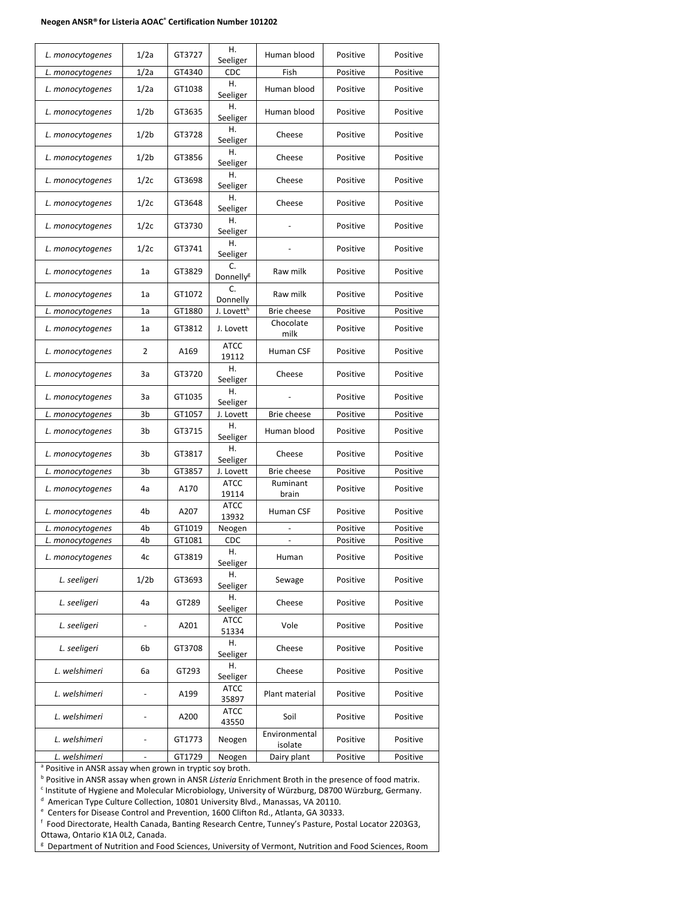#### **Neogen ANSR® for Listeria AOAC® Certification Number 101202**

| L. monocytogenes | 1/2a                     | GT3727 | Η.<br>Seeliger              | Human blood              | Positive | Positive |
|------------------|--------------------------|--------|-----------------------------|--------------------------|----------|----------|
| L. monocytogenes | 1/2a                     | GT4340 | CDC                         | Fish                     | Positive | Positive |
| L. monocytogenes | 1/2a                     | GT1038 | Η.<br>Seeliger              | Human blood              | Positive | Positive |
| L. monocytogenes | 1/2b                     | GT3635 | Η.<br>Seeliger              | Human blood              | Positive | Positive |
| L. monocytogenes | 1/2 <sub>b</sub>         | GT3728 | Η.<br>Seeliger              | Cheese                   | Positive | Positive |
| L. monocytogenes | 1/2 <sub>b</sub>         | GT3856 | Η.<br>Seeliger              | Cheese                   | Positive | Positive |
| L. monocytogenes | 1/2c                     | GT3698 | Η.<br>Seeliger              | Cheese                   | Positive | Positive |
| L. monocytogenes | 1/2c                     | GT3648 | Η.<br>Seeliger              | Cheese                   | Positive | Positive |
| L. monocytogenes | 1/2c                     | GT3730 | Η.<br>Seeliger              |                          | Positive | Positive |
| L. monocytogenes | 1/2c                     | GT3741 | Η.<br>Seeliger              |                          | Positive | Positive |
| L. monocytogenes | 1a                       | GT3829 | C.<br>Donnelly <sup>g</sup> | Raw milk                 | Positive | Positive |
| L. monocytogenes | 1a                       | GT1072 | C.<br>Donnelly              | Raw milk                 | Positive | Positive |
| L. monocytogenes | 1a                       | GT1880 | J. Lovett <sup>h</sup>      | Brie cheese              | Positive | Positive |
| L. monocytogenes | 1a                       | GT3812 | J. Lovett                   | Chocolate<br>milk        | Positive | Positive |
| L. monocytogenes | 2                        | A169   | <b>ATCC</b><br>19112        | <b>Human CSF</b>         | Positive | Positive |
| L. monocytogenes | За                       | GT3720 | Η.<br>Seeliger              | Cheese                   | Positive | Positive |
| L. monocytogenes | За                       | GT1035 | Η.<br>Seeliger              |                          | Positive | Positive |
| L. monocytogenes | 3b                       | GT1057 | J. Lovett                   | Brie cheese              | Positive | Positive |
| L. monocytogenes | 3b                       | GT3715 | Η.<br>Seeliger              | Human blood              | Positive | Positive |
| L. monocytogenes | 3b                       | GT3817 | Η.<br>Seeliger              | Cheese                   | Positive | Positive |
| L. monocytogenes | 3b                       | GT3857 | J. Lovett                   | Brie cheese              | Positive | Positive |
| L. monocytogenes | 4a                       | A170   | <b>ATCC</b><br>19114        | Ruminant<br>brain        | Positive | Positive |
| L. monocytogenes | 4b                       | A207   | <b>ATCC</b><br>13932        | Human CSF                | Positive | Positive |
| L. monocytogenes | 4b                       | GT1019 | Neogen                      |                          | Positive | Positive |
| L. monocytogenes | 4b                       | GT1081 | CDC                         |                          | Positive | Positive |
| L. monocytogenes | 4c                       | GT3819 | Η.<br>Seeliger              | Human                    | Positive | Positive |
| L. seeligeri     | 1/2 <sub>b</sub>         | GT3693 | Η.<br>Seeliger              | Sewage                   | Positive | Positive |
| L. seeligeri     | 4a                       | GT289  | Η.<br>Seeliger              | Cheese                   | Positive | Positive |
| L. seeligeri     | $\overline{\phantom{0}}$ | A201   | <b>ATCC</b><br>51334        | Vole                     | Positive | Positive |
| L. seeligeri     | 6b                       | GT3708 | Η.<br>Seeliger              | Cheese                   | Positive | Positive |
| L. welshimeri    | 6a                       | GT293  | Η.<br>Seeliger              | Cheese                   | Positive | Positive |
| L. welshimeri    |                          | A199   | <b>ATCC</b><br>35897        | Plant material           | Positive | Positive |
| L. welshimeri    | $\blacksquare$           | A200   | <b>ATCC</b><br>43550        | Soil                     | Positive | Positive |
| L. welshimeri    | $\overline{\phantom{a}}$ | GT1773 | Neogen                      | Environmental<br>isolate | Positive | Positive |
| L. welshimeri    | $\blacksquare$           | GT1729 | Neogen                      | Dairy plant              | Positive | Positive |

a Positive in ANSR assay when grown in tryptic soy broth.

<sup>b</sup> Positive in ANSR assay when grown in ANSR *Listeria* Enrichment Broth in the presence of food matrix.

<sup>c</sup> Institute of Hygiene and Molecular Microbiology, University of Würzburg, D8700 Würzburg, Germany.

<sup>d</sup> American Type Culture Collection, 10801 University Blvd., Manassas, VA 20110.

<sup>e</sup> Centers for Disease Control and Prevention, 1600 Clifton Rd., Atlanta, GA 30333.

f Food Directorate, Health Canada, Banting Research Centre, Tunney's Pasture, Postal Locator 2203G3, Ottawa, Ontario K1A 0L2, Canada.

**B** Department of Nutrition and Food Sciences, University of Vermont, Nutrition and Food Sciences, Room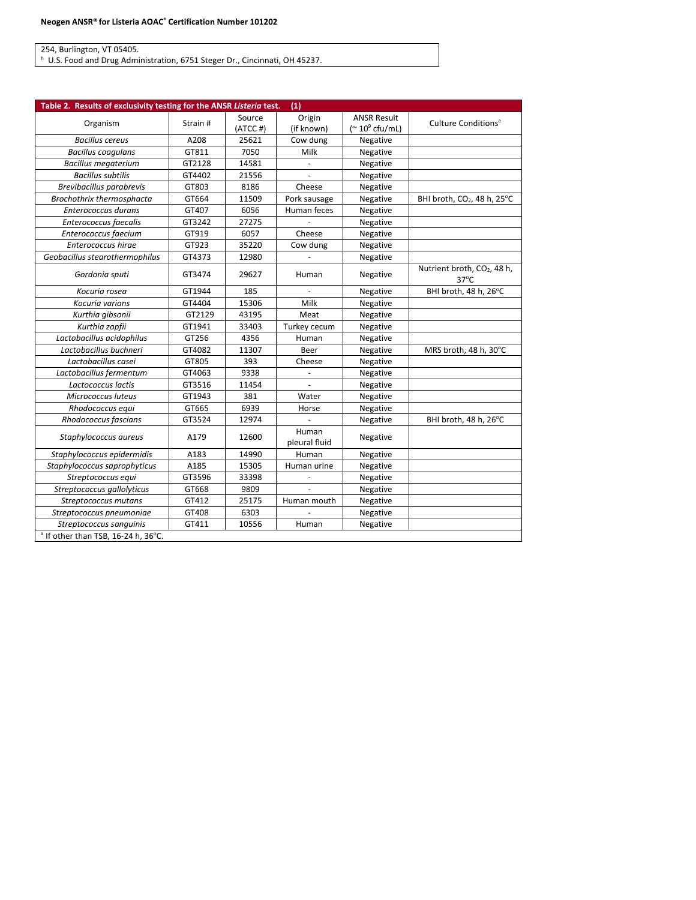254, Burlington, VT 05405.<br>ʰ U.S. Food and Drug Administration, 6751 Steger Dr., Cincinnati, OH 45237.

| Table 2. Results of exclusivity testing for the ANSR Listeria test. |          |            | (1)                      |                          |                                                           |
|---------------------------------------------------------------------|----------|------------|--------------------------|--------------------------|-----------------------------------------------------------|
| Organism                                                            | Strain # | Source     | Origin                   | <b>ANSR Result</b>       | Culture Conditions <sup>a</sup>                           |
|                                                                     |          | $(ATCC$ #) | (if known)               | (~ 10 $^{\circ}$ cfu/mL) |                                                           |
| <b>Bacillus cereus</b>                                              | A208     | 25621      | Cow dung                 | Negative                 |                                                           |
| <b>Bacillus coagulans</b>                                           | GT811    | 7050       | Milk                     | Negative                 |                                                           |
| <b>Bacillus megaterium</b>                                          | GT2128   | 14581      |                          | Negative                 |                                                           |
| <b>Bacillus subtilis</b>                                            | GT4402   | 21556      |                          | Negative                 |                                                           |
| Brevibacillus parabrevis                                            | GT803    | 8186       | Cheese                   | Negative                 |                                                           |
| Brochothrix thermosphacta                                           | GT664    | 11509      | Pork sausage             | Negative                 | BHI broth, CO <sub>2</sub> , 48 h, 25°C                   |
| Enterococcus durans                                                 | GT407    | 6056       | Human feces              | Negative                 |                                                           |
| Enterococcus faecalis                                               | GT3242   | 27275      |                          | Negative                 |                                                           |
| Enterococcus faecium                                                | GT919    | 6057       | Cheese                   | Negative                 |                                                           |
| Enterococcus hirae                                                  | GT923    | 35220      | Cow dung                 | Negative                 |                                                           |
| Geobacillus stearothermophilus                                      | GT4373   | 12980      |                          | Negative                 |                                                           |
| Gordonia sputi                                                      | GT3474   | 29627      | Human                    | Negative                 | Nutrient broth, CO <sub>2</sub> , 48 h,<br>$37^{\circ}$ C |
| Kocuria rosea                                                       | GT1944   | 185        |                          | Negative                 | BHI broth, 48 h, 26°C                                     |
| Kocuria varians                                                     | GT4404   | 15306      | Milk                     | Negative                 |                                                           |
| Kurthia gibsonii                                                    | GT2129   | 43195      | Meat                     | Negative                 |                                                           |
| Kurthia zopfii                                                      | GT1941   | 33403      | Turkey cecum             | Negative                 |                                                           |
| Lactobacillus acidophilus                                           | GT256    | 4356       | Human                    | Negative                 |                                                           |
| Lactobacillus buchneri                                              | GT4082   | 11307      | Beer                     | Negative                 | MRS broth, 48 h, 30°C                                     |
| Lactobacillus casei                                                 | GT805    | 393        | Cheese                   | Negative                 |                                                           |
| Lactobacillus fermentum                                             | GT4063   | 9338       | $\blacksquare$           | Negative                 |                                                           |
| Lactococcus lactis                                                  | GT3516   | 11454      | $\overline{\phantom{a}}$ | Negative                 |                                                           |
| Micrococcus luteus                                                  | GT1943   | 381        | Water                    | Negative                 |                                                           |
| Rhodococcus equi                                                    | GT665    | 6939       | Horse                    | Negative                 |                                                           |
| Rhodococcus fascians                                                | GT3524   | 12974      |                          | Negative                 | BHI broth, 48 h, 26°C                                     |
| Staphylococcus aureus                                               | A179     | 12600      | Human<br>pleural fluid   | Negative                 |                                                           |
| Staphylococcus epidermidis                                          | A183     | 14990      | Human                    | Negative                 |                                                           |
| Staphylococcus saprophyticus                                        | A185     | 15305      | Human urine              | Negative                 |                                                           |
| Streptococcus equi                                                  | GT3596   | 33398      |                          | Negative                 |                                                           |
| Streptococcus gallolyticus                                          | GT668    | 9809       |                          | Negative                 |                                                           |
| Streptococcus mutans                                                | GT412    | 25175      | Human mouth              | Negative                 |                                                           |
| Streptococcus pneumoniae                                            | GT408    | 6303       |                          | Negative                 |                                                           |
| Streptococcus sanguinis                                             | GT411    | 10556      | Human                    | Negative                 |                                                           |
| <sup>a</sup> If other than TSB, 16-24 h, 36°C.                      |          |            |                          |                          |                                                           |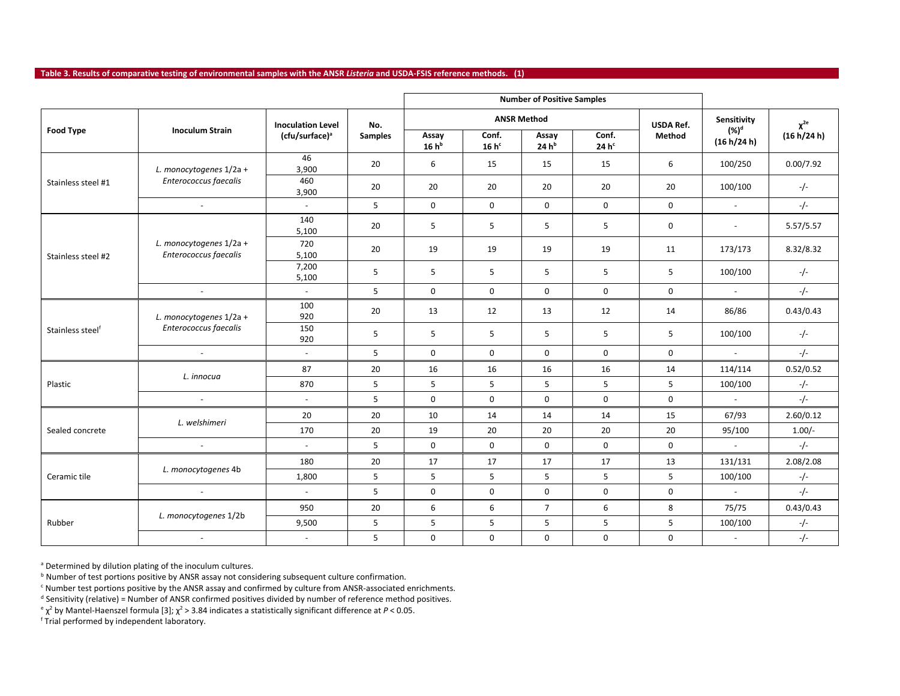**Table 3. Results of comparative testing of environmental samples with the ANSR** *Listeria* **and USDA-FSIS reference methods. (1)**

|                                                                                  |                         |                            |                |                  |                    | <b>Number of Positive Samples</b> |                           |                  |                         |                 |
|----------------------------------------------------------------------------------|-------------------------|----------------------------|----------------|------------------|--------------------|-----------------------------------|---------------------------|------------------|-------------------------|-----------------|
|                                                                                  |                         | <b>Inoculation Level</b>   | No.            |                  | <b>ANSR Method</b> |                                   |                           | <b>USDA Ref.</b> | Sensitivity             | $\chi^{\rm 2e}$ |
| <b>Food Type</b>                                                                 | <b>Inoculum Strain</b>  | (cfu/surface) <sup>a</sup> | <b>Samples</b> | Assay<br>$16h^b$ | Conf.<br>$16h^c$   | Assay<br>24h <sup>b</sup>         | Conf.<br>24h <sup>c</sup> | Method           | $(\%)^d$<br>(16 h/24 h) | (16 h/24 h)     |
|                                                                                  | L. monocytogenes 1/2a + | 46<br>3,900                | 20             | 6                | 15                 | 15                                | 15                        | 6                | 100/250                 | 0.00/7.92       |
| Stainless steel #1                                                               | Enterococcus faecalis   | 460<br>3,900               | 20             | 20               | 20                 | 20                                | 20                        | 20               | 100/100                 | $-/-$           |
|                                                                                  | $\sim$                  | $\sim$                     | 5              | $\Omega$         | $\mathbf 0$        | $\mathbf 0$                       | $\mathbf 0$               | $\mathbf 0$      | $\omega$                | $-/-$           |
|                                                                                  |                         | 140<br>5,100               | 20             | 5                | 5                  | 5                                 | 5                         | $\mathbf 0$      | $\sim$                  | 5.57/5.57       |
| L. monocytogenes 1/2a +<br>Enterococcus faecalis<br>Stainless steel #2<br>$\sim$ |                         | 720<br>5,100               | 20             | 19               | 19                 | 19                                | 19                        | 11               | 173/173                 | 8.32/8.32       |
|                                                                                  | 7,200<br>5,100          | 5                          | 5              | 5                | 5                  | 5                                 | 5                         | 100/100          | $-/-$                   |                 |
|                                                                                  | $\sim$                  | 5                          | $\mathbf 0$    | $\mathbf 0$      | $\mathbf 0$        | $\mathbf 0$                       | $\mathbf{0}$              | $\blacksquare$   | $-/-$                   |                 |
|                                                                                  | L. monocytogenes 1/2a + | 100<br>920                 | 20             | 13               | 12                 | 13                                | 12                        | 14               | 86/86                   | 0.43/0.43       |
| Stainless steelf                                                                 | Enterococcus faecalis   | 150<br>920                 | 5              | 5                | 5                  | 5                                 | 5                         | 5                | 100/100                 | $-/-$           |
|                                                                                  | $\sim$                  | $\omega$                   | 5              | $\mathbf 0$      | $\mathsf{O}$       | 0                                 | $\mathsf{O}$              | $\mathbf 0$      | $\omega$                | $-/-$           |
|                                                                                  | L. innocua              | 87                         | 20             | 16               | 16                 | 16                                | 16                        | 14               | 114/114                 | 0.52/0.52       |
| Plastic                                                                          |                         | 870                        | 5              | 5                | 5                  | 5                                 | 5                         | 5                | 100/100                 | $-/-$           |
|                                                                                  | $\sim$                  | $\sim$                     | 5              | $\mathbf 0$      | $\mathbf 0$        | $\mathbf 0$                       | $\mathbf 0$               | $\mathbf 0$      | $\sim$                  | $-/-$           |
|                                                                                  | L. welshimeri           | 20                         | 20             | 10               | 14                 | 14                                | 14                        | 15               | 67/93                   | 2.60/0.12       |
| Sealed concrete                                                                  |                         | 170                        | 20             | 19               | 20                 | 20                                | 20                        | 20               | 95/100                  | $1.00/-$        |
| Ceramic tile                                                                     | $\sim$                  | $\sim$                     | 5              | $\mathbf 0$      | $\mathbf 0$        | 0                                 | $\mathsf{O}$              | 0                | $\sim$                  | $-/-$           |
|                                                                                  |                         | 180                        | 20             | 17               | 17                 | 17                                | 17                        | 13               | 131/131                 | 2.08/2.08       |
|                                                                                  | L. monocytogenes 4b     | 1,800                      | 5              | 5                | 5                  | 5                                 | 5                         | 5                | 100/100                 | $-/-$           |
|                                                                                  | $\sim$                  | $\sim$                     | 5 <sup>1</sup> | $\mathbf 0$      | $\mathbf 0$        | $\mathbf 0$                       | $\mathbf 0$               | $\mathbf 0$      | $\sim$                  | $-/-$           |
|                                                                                  |                         | 950                        | 20             | 6                | 6                  | $\overline{7}$                    | 6                         | 8                | 75/75                   | 0.43/0.43       |
| Rubber                                                                           | L. monocytogenes 1/2b   | 9,500                      | 5              | 5                | 5                  | 5                                 | 5                         | 5                | 100/100                 | $-/-$           |
|                                                                                  | $\sim$                  | $\sim$                     | 5              | $\mathsf{O}$     | $\mathbf 0$        | $\mathbf 0$                       | $\mathsf{O}$              | $\mathbf 0$      | $\sim$                  | $-/-$           |

a Determined by dilution plating of the inoculum cultures.

**b** Number of test portions positive by ANSR assay not considering subsequent culture confirmation.

<sup>c</sup> Number test portions positive by the ANSR assay and confirmed by culture from ANSR-associated enrichments.

 $d$  Sensitivity (relative) = Number of ANSR confirmed positives divided by number of reference method positives.

 $e^2$  by Mantel-Haenszel formula [3];  $\chi^2$  > 3.84 indicates a statistically significant difference at *P* < 0.05.

<sup>f</sup> Trial performed by independent laboratory.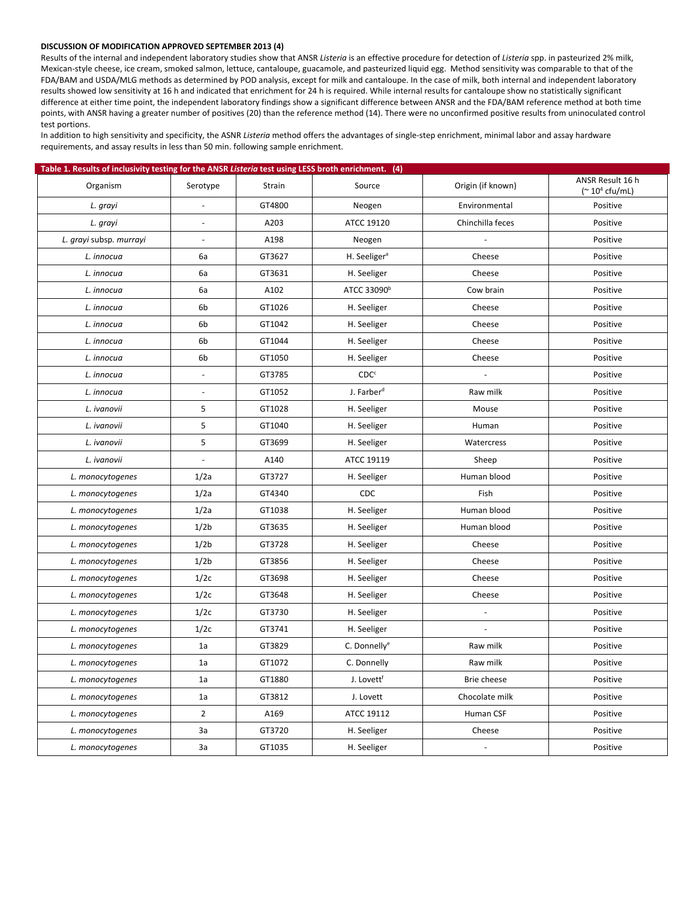#### **DISCUSSION OF MODIFICATION APPROVED SEPTEMBER 2013 (4)**

Results of the internal and independent laboratory studies show that ANSR *Listeria* is an effective procedure for detection of *Listeria* spp. in pasteurized 2% milk, Mexican-style cheese, ice cream, smoked salmon, lettuce, cantaloupe, guacamole, and pasteurized liquid egg. Method sensitivity was comparable to that of the FDA/BAM and USDA/MLG methods as determined by POD analysis, except for milk and cantaloupe. In the case of milk, both internal and independent laboratory results showed low sensitivity at 16 h and indicated that enrichment for 24 h is required. While internal results for cantaloupe show no statistically significant difference at either time point, the independent laboratory findings show a significant difference between ANSR and the FDA/BAM reference method at both time points, with ANSR having a greater number of positives (20) than the reference method (14). There were no unconfirmed positive results from uninoculated control test portions.

In addition to high sensitivity and specificity, the ASNR *Listeria* method offers the advantages of single-step enrichment, minimal labor and assay hardware requirements, and assay results in less than 50 min. following sample enrichment.

| Table 1. Results of inclusivity testing for the ANSR Listeria test using LESS broth enrichment. (4) |                          |        |                          |                   |                                                         |
|-----------------------------------------------------------------------------------------------------|--------------------------|--------|--------------------------|-------------------|---------------------------------------------------------|
| Organism                                                                                            | Serotype                 | Strain | Source                   | Origin (if known) | ANSR Result 16 h<br>( $\approx$ 10 <sup>4</sup> cfu/mL) |
| L. grayi                                                                                            | $\blacksquare$           | GT4800 | Neogen                   | Environmental     | Positive                                                |
| L. grayi                                                                                            | ÷,                       | A203   | ATCC 19120               | Chinchilla feces  | Positive                                                |
| L. grayi subsp. murrayi                                                                             | $\overline{a}$           | A198   | Neogen                   | $\overline{a}$    | Positive                                                |
| L. innocua                                                                                          | 6a                       | GT3627 | H. Seeliger <sup>a</sup> | Cheese            | Positive                                                |
| L. innocua                                                                                          | 6a                       | GT3631 | H. Seeliger              | Cheese            | Positive                                                |
| L. innocua                                                                                          | 6a                       | A102   | ATCC 33090 <sup>b</sup>  | Cow brain         | Positive                                                |
| L. innocua                                                                                          | 6b                       | GT1026 | H. Seeliger              | Cheese            | Positive                                                |
| L. innocua                                                                                          | 6b                       | GT1042 | H. Seeliger              | Cheese            | Positive                                                |
| L. innocua                                                                                          | 6b                       | GT1044 | H. Seeliger              | Cheese            | Positive                                                |
| L. innocua                                                                                          | 6b                       | GT1050 | H. Seeliger              | Cheese            | Positive                                                |
| L. innocua                                                                                          |                          | GT3785 | CDC <sup>c</sup>         |                   | Positive                                                |
| L. innocua                                                                                          |                          | GT1052 | J. Farber <sup>d</sup>   | Raw milk          | Positive                                                |
| L. ivanovii                                                                                         | 5                        | GT1028 | H. Seeliger              | Mouse             | Positive                                                |
| L. ivanovii                                                                                         | 5                        | GT1040 | H. Seeliger              | Human             | Positive                                                |
| L. ivanovii                                                                                         | 5                        | GT3699 | H. Seeliger              | Watercress        | Positive                                                |
| L. ivanovii                                                                                         | $\overline{\phantom{a}}$ | A140   | ATCC 19119               | Sheep             | Positive                                                |
| L. monocytogenes                                                                                    | 1/2a                     | GT3727 | H. Seeliger              | Human blood       | Positive                                                |
| L. monocytogenes                                                                                    | 1/2a                     | GT4340 | CDC                      | Fish              | Positive                                                |
| L. monocytogenes                                                                                    | 1/2a                     | GT1038 | H. Seeliger              | Human blood       | Positive                                                |
| L. monocytogenes                                                                                    | 1/2 <sub>b</sub>         | GT3635 | H. Seeliger              | Human blood       | Positive                                                |
| L. monocytogenes                                                                                    | 1/2 <sub>b</sub>         | GT3728 | H. Seeliger              | Cheese            | Positive                                                |
| L. monocytogenes                                                                                    | 1/2 <sub>b</sub>         | GT3856 | H. Seeliger              | Cheese            | Positive                                                |
| L. monocytogenes                                                                                    | 1/2c                     | GT3698 | H. Seeliger              | Cheese            | Positive                                                |
| L. monocytogenes                                                                                    | 1/2c                     | GT3648 | H. Seeliger              | Cheese            | Positive                                                |
| L. monocytogenes                                                                                    | 1/2c                     | GT3730 | H. Seeliger              | $\overline{a}$    | Positive                                                |
| L. monocytogenes                                                                                    | 1/2c                     | GT3741 | H. Seeliger              |                   | Positive                                                |
| L. monocytogenes                                                                                    | 1a                       | GT3829 | C. Donnelly <sup>e</sup> | Raw milk          | Positive                                                |
| L. monocytogenes                                                                                    | 1a                       | GT1072 | C. Donnelly              | Raw milk          | Positive                                                |
| L. monocytogenes                                                                                    | 1a                       | GT1880 | J. Lovett <sup>f</sup>   | Brie cheese       | Positive                                                |
| L. monocytogenes                                                                                    | 1a                       | GT3812 | J. Lovett                | Chocolate milk    | Positive                                                |
| L. monocytogenes                                                                                    | $\overline{2}$           | A169   | ATCC 19112               | Human CSF         | Positive                                                |
| L. monocytogenes                                                                                    | 3a                       | GT3720 | H. Seeliger              | Cheese            | Positive                                                |
| L. monocytogenes                                                                                    | 3a                       | GT1035 | H. Seeliger              |                   | Positive                                                |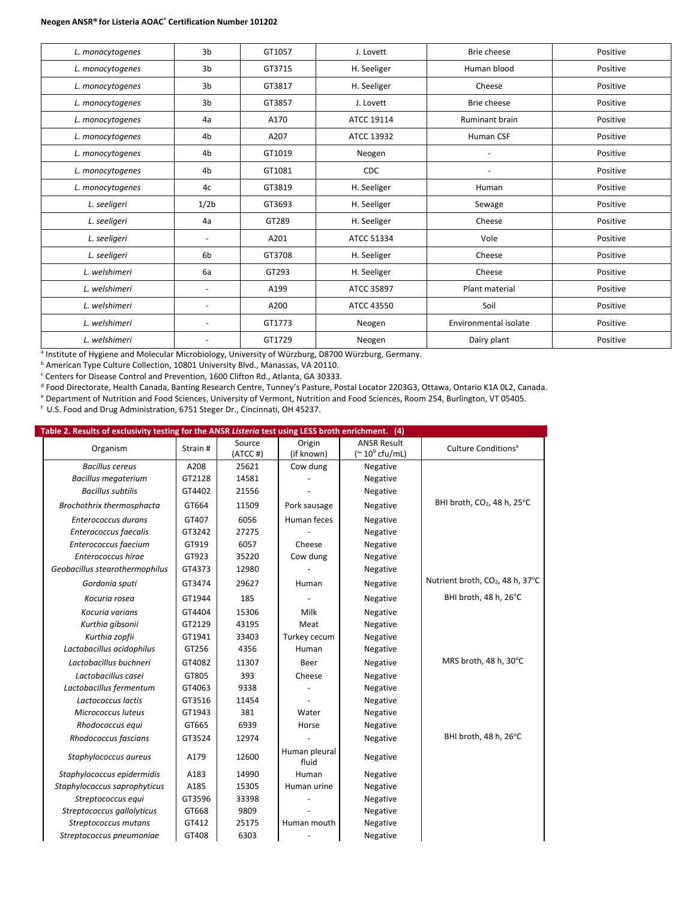#### **Neogen ANSR® for Listeria AOAC® Certification Number 101202**

| L. monocytogenes | 3 <sub>b</sub>           | GT1057 | J. Lovett   | Brie cheese           | Positive |
|------------------|--------------------------|--------|-------------|-----------------------|----------|
| L. monocytogenes | 3 <sub>b</sub>           | GT3715 | H. Seeliger | Human blood           | Positive |
| L. monocytogenes | 3 <sub>b</sub>           | GT3817 | H. Seeliger | Cheese                | Positive |
| L. monocytogenes | 3 <sub>b</sub>           | GT3857 | J. Lovett   | Brie cheese           | Positive |
| L. monocytogenes | 4a                       | A170   | ATCC 19114  | <b>Ruminant brain</b> | Positive |
| L. monocytogenes | 4b                       | A207   | ATCC 13932  | Human CSF             | Positive |
| L. monocytogenes | 4b                       | GT1019 | Neogen      | $\overline{a}$        | Positive |
| L. monocytogenes | 4b                       | GT1081 | <b>CDC</b>  |                       | Positive |
| L. monocytogenes | 4c                       | GT3819 | H. Seeliger | Human                 | Positive |
| L. seeligeri     | 1/2b                     | GT3693 | H. Seeliger | Sewage                | Positive |
| L. seeligeri     | 4a                       | GT289  | H. Seeliger | Cheese                | Positive |
| L. seeligeri     | ٠                        | A201   | ATCC 51334  | Vole                  | Positive |
| L. seeligeri     | 6 <sub>b</sub>           | GT3708 | H. Seeliger | Cheese                | Positive |
| L. welshimeri    | 6a                       | GT293  | H. Seeliger | Cheese                | Positive |
| L. welshimeri    | $\overline{\phantom{a}}$ | A199   | ATCC 35897  | Plant material        | Positive |
| L. welshimeri    | $\overline{a}$           | A200   | ATCC 43550  | Soil                  | Positive |
| L. welshimeri    | ٠                        | GT1773 | Neogen      | Environmental isolate | Positive |
| L. welshimeri    | ٠                        | GT1729 | Neogen      | Dairy plant           | Positive |

<sup>a</sup> Institute of Hygiene and Molecular Microbiology, University of Würzburg, D8700 Würzburg, Germany.

**b American Type Culture Collection, 10801 University Blvd., Manassas, VA 20110.** 

<sup>c</sup> Centers for Disease Control and Prevention, 1600 Clifton Rd., Atlanta, GA 30333.

<sup>d</sup> Food Directorate, Health Canada, Banting Research Centre, Tunney's Pasture, Postal Locator 2203G3, Ottawa, Ontario K1A 0L2, Canada.

<sup>e</sup> Department of Nutrition and Food Sciences, University of Vermont, Nutrition and Food Sciences, Room 254, Burlington, VT 05405.

f U.S. Food and Drug Administration, 6751 Steger Dr., Cincinnati, OH 45237.

| Table 2. Results of exclusivity testing for the ANSR Listeria test using LESS broth enrichment. (4) |  |
|-----------------------------------------------------------------------------------------------------|--|
|                                                                                                     |  |

| Organism                       | Strain# | Source<br>(ATCC#) | Origin<br>(if known)   | <b>ANSR Result</b><br>$($ $\sim$ 10 $\degree$ cfu/mL) | Culture Conditions <sup>a</sup>              |
|--------------------------------|---------|-------------------|------------------------|-------------------------------------------------------|----------------------------------------------|
| <b>Bacillus cereus</b>         | A208    | 25621             | Cow dung               | Negative                                              |                                              |
| <b>Bacillus megaterium</b>     | GT2128  | 14581             |                        | Negative                                              |                                              |
| <b>Bacillus subtilis</b>       | GT4402  | 21556             |                        | Negative                                              |                                              |
| Brochothrix thermosphacta      | GT664   | 11509             | Pork sausage           | Negative                                              | BHI broth, CO <sub>2</sub> , 48 h, 25°C      |
| Enterococcus durans            | GT407   | 6056              | Human feces            | Negative                                              |                                              |
| Enterococcus faecalis          | GT3242  | 27275             |                        | Negative                                              |                                              |
| Enterococcus faecium           | GT919   | 6057              | Cheese                 | Negative                                              |                                              |
| Enterococcus hirae             | GT923   | 35220             | Cow dung               | Negative                                              |                                              |
| Geobacillus stearothermophilus | GT4373  | 12980             |                        | Negative                                              |                                              |
| Gordonia sputi                 | GT3474  | 29627             | Human                  | Negative                                              | Nutrient broth, CO <sub>2</sub> , 48 h, 37°C |
| Kocuria rosea                  | GT1944  | 185               |                        | Negative                                              | BHI broth, 48 h, 26°C                        |
| Kocuria varians                | GT4404  | 15306             | Milk                   | Negative                                              |                                              |
| Kurthia gibsonii               | GT2129  | 43195             | Meat                   | Negative                                              |                                              |
| Kurthia zopfii                 | GT1941  | 33403             | Turkey cecum           | Negative                                              |                                              |
| Lactobacillus acidophilus      | GT256   | 4356              | Human                  | Negative                                              |                                              |
| Lactobacillus buchneri         | GT4082  | 11307             | Beer                   | Negative                                              | MRS broth, 48 h, 30°C                        |
| Lactobacillus casei            | GT805   | 393               | Cheese                 | Negative                                              |                                              |
| Lactobacillus fermentum        | GT4063  | 9338              |                        | Negative                                              |                                              |
| Lactococcus lactis             | GT3516  | 11454             |                        | Negative                                              |                                              |
| Micrococcus luteus             | GT1943  | 381               | Water                  | Negative                                              |                                              |
| Rhodococcus equi               | GT665   | 6939              | Horse                  | Negative                                              |                                              |
| Rhodococcus fascians           | GT3524  | 12974             |                        | Negative                                              | BHI broth, 48 h, 26°C                        |
| Staphylococcus aureus          | A179    | 12600             | Human pleural<br>fluid | Negative                                              |                                              |
| Staphylococcus epidermidis     | A183    | 14990             | Human                  | Negative                                              |                                              |
| Staphylococcus saprophyticus   | A185    | 15305             | Human urine            | Negative                                              |                                              |
| Streptococcus equi             | GT3596  | 33398             |                        | Negative                                              |                                              |
| Streptococcus gallolyticus     | GT668   | 9809              |                        | Negative                                              |                                              |
| Streptococcus mutans           | GT412   | 25175             | Human mouth            | Negative                                              |                                              |
| Streptococcus pneumoniae       | GT408   | 6303              |                        | Negative                                              |                                              |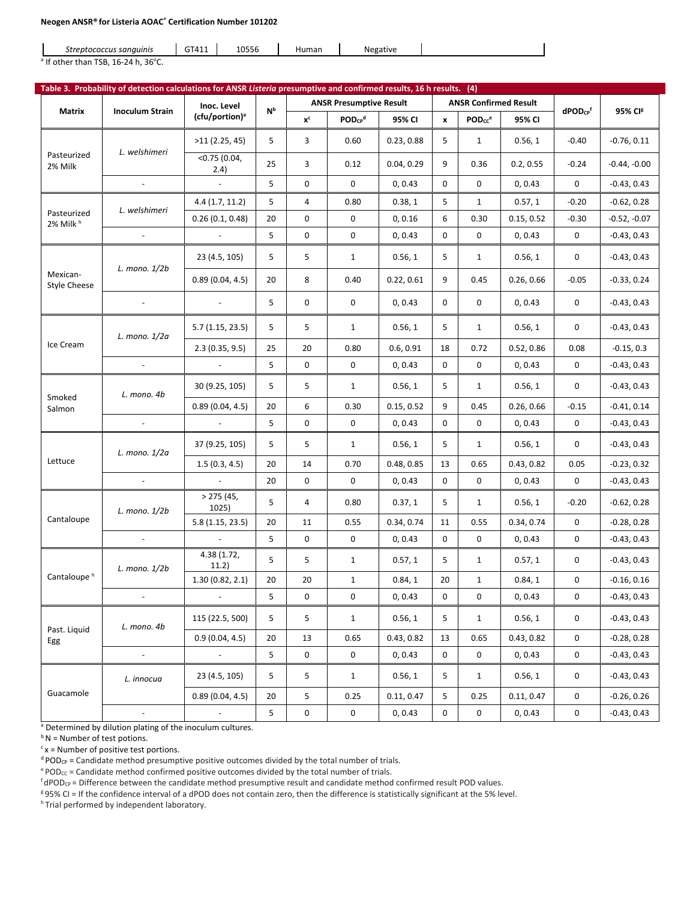#### **Neogen ANSR® for Listeria AOAC® Certification Number 101202**

| GTA11<br>$A^{\text{OFT}}$<br>Negative<br>; sanauinis<br>Human<br>streptocr<br>ococcus<br>-0556<br>.<br>__ |
|-----------------------------------------------------------------------------------------------------------|
|-----------------------------------------------------------------------------------------------------------|

 $a$  If other than TSB, 16-24 h, 36 $^{\circ}$ C.

|                                     |                        | Table 3. Probability of detection calculations for ANSR Listeria presumptive and confirmed results, 16 h results. (4) |                |             |                                |            |              |                                |            |                                    |                     |
|-------------------------------------|------------------------|-----------------------------------------------------------------------------------------------------------------------|----------------|-------------|--------------------------------|------------|--------------|--------------------------------|------------|------------------------------------|---------------------|
|                                     |                        | Inoc. Level                                                                                                           | N <sub>b</sub> |             | <b>ANSR Presumptive Result</b> |            |              | <b>ANSR Confirmed Result</b>   |            |                                    |                     |
| <b>Matrix</b>                       | <b>Inoculum Strain</b> | (cfu/portion) <sup>a</sup>                                                                                            |                | $x^c$       | $POD_{CP}^d$                   | 95% CI     | $\mathbf{x}$ | $\mathsf{POD_{CC}}^\mathrm{e}$ | 95% CI     | $d$ POD <sub>CP</sub> <sup>f</sup> | 95% CI <sup>g</sup> |
|                                     |                        | >11(2.25, 45)                                                                                                         | 5              | 3           | 0.60                           | 0.23, 0.88 | 5            | $\mathbf{1}$                   | 0.56, 1    | $-0.40$                            | $-0.76, 0.11$       |
| Pasteurized<br>2% Milk              | L. welshimeri          | $<$ 0.75 (0.04,<br>2.4)                                                                                               | 25             | 3           | 0.12                           | 0.04, 0.29 | 9            | 0.36                           | 0.2, 0.55  | $-0.24$                            | $-0.44, -0.00$      |
|                                     | $\sim$                 | $\omega$                                                                                                              | 5              | 0           | 0                              | 0, 0.43    | $\mathbf 0$  | 0                              | 0, 0.43    | 0                                  | $-0.43, 0.43$       |
|                                     |                        | 4.4(1.7, 11.2)                                                                                                        | 5              | 4           | 0.80                           | 0.38, 1    | 5            | $\mathbf{1}$                   | 0.57, 1    | $-0.20$                            | $-0.62, 0.28$       |
| Pasteurized<br>2% Milk <sup>h</sup> | L. welshimeri          | 0.26(0.1, 0.48)                                                                                                       | 20             | 0           | 0                              | 0, 0.16    | 6            | 0.30                           | 0.15, 0.52 | $-0.30$                            | $-0.52, -0.07$      |
|                                     |                        |                                                                                                                       | 5              | 0           | $\mathbf 0$                    | 0, 0.43    | 0            | $\mathbf 0$                    | 0, 0.43    | 0                                  | $-0.43, 0.43$       |
|                                     |                        | 23 (4.5, 105)                                                                                                         | 5              | 5           | $\mathbf{1}$                   | 0.56, 1    | 5            | 1                              | 0.56, 1    | 0                                  | $-0.43, 0.43$       |
| Mexican-<br><b>Style Cheese</b>     | L. mono. $1/2b$        | 0.89(0.04, 4.5)                                                                                                       | 20             | 8           | 0.40                           | 0.22, 0.61 | 9            | 0.45                           | 0.26, 0.66 | $-0.05$                            | $-0.33, 0.24$       |
|                                     |                        |                                                                                                                       | 5              | 0           | 0                              | 0, 0.43    | $\mathbf 0$  | $\mathbf 0$                    | 0, 0.43    | 0                                  | $-0.43, 0.43$       |
|                                     | L. mono. 1/2a          | 5.7(1.15, 23.5)                                                                                                       | 5              | 5           | $\mathbf{1}$                   | 0.56, 1    | 5            | $\mathbf{1}$                   | 0.56, 1    | 0                                  | $-0.43, 0.43$       |
| Ice Cream                           |                        | 2.3(0.35, 9.5)                                                                                                        | 25             | 20          | 0.80                           | 0.6, 0.91  | 18           | 0.72                           | 0.52, 0.86 | 0.08                               | $-0.15, 0.3$        |
|                                     |                        | $\omega$                                                                                                              | 5              | 0           | 0                              | 0, 0.43    | 0            | $\mathbf 0$                    | 0, 0.43    | 0                                  | $-0.43, 0.43$       |
| Smoked                              | L. mono. 4b            | 30 (9.25, 105)                                                                                                        | 5              | 5           | $\mathbf{1}$                   | 0.56, 1    | 5            | $\mathbf{1}$                   | 0.56, 1    | 0                                  | $-0.43, 0.43$       |
| Salmon                              |                        | 0.89(0.04, 4.5)                                                                                                       | 20             | 6           | 0.30                           | 0.15, 0.52 | 9            | 0.45                           | 0.26, 0.66 | $-0.15$                            | $-0.41, 0.14$       |
|                                     | $\sim$                 | $\sim$                                                                                                                | 5              | 0           | 0                              | 0, 0.43    | 0            | 0                              | 0, 0.43    | 0                                  | $-0.43, 0.43$       |
|                                     | L. mono. 1/2a          | 37 (9.25, 105)                                                                                                        | 5              | 5           | $\mathbf{1}$                   | 0.56, 1    | 5            | 1                              | 0.56, 1    | 0                                  | $-0.43, 0.43$       |
| Lettuce                             |                        | 1.5(0.3, 4.5)                                                                                                         | 20             | 14          | 0.70                           | 0.48, 0.85 | 13           | 0.65                           | 0.43, 0.82 | 0.05                               | $-0.23, 0.32$       |
|                                     |                        |                                                                                                                       | 20             | 0           | $\mathsf 0$                    | 0, 0.43    | 0            | $\mathbf 0$                    | 0, 0.43    | 0                                  | $-0.43, 0.43$       |
|                                     | L. mono. $1/2b$        | > 275(45,<br>1025)                                                                                                    | 5              | 4           | 0.80                           | 0.37, 1    | 5            | $\mathbf{1}$                   | 0.56, 1    | $-0.20$                            | $-0.62, 0.28$       |
| Cantaloupe                          |                        | 5.8(1.15, 23.5)                                                                                                       | 20             | 11          | 0.55                           | 0.34, 0.74 | 11           | 0.55                           | 0.34, 0.74 | 0                                  | $-0.28, 0.28$       |
|                                     |                        | $\mathbb{Z}^2$                                                                                                        | 5              | 0           | 0                              | 0, 0.43    | 0            | 0                              | 0, 0.43    | 0                                  | $-0.43, 0.43$       |
|                                     | L. mono. $1/2b$        | 4.38 (1.72,<br>11.2)                                                                                                  | 5              | 5           | $\mathbf{1}$                   | 0.57, 1    | 5            | $\mathbf{1}$                   | 0.57, 1    | 0                                  | $-0.43, 0.43$       |
| Cantaloupe <sup>h</sup>             |                        | 1.30(0.82, 2.1)                                                                                                       | 20             | 20          | $\mathbf{1}$                   | 0.84, 1    | 20           | $\mathbf{1}$                   | 0.84, 1    | 0                                  | $-0.16, 0.16$       |
|                                     |                        |                                                                                                                       | 5              | 0           | 0                              | 0, 0.43    | 0            | 0                              | 0, 0.43    | 0                                  | $-0.43, 0.43$       |
| Past. Liquid                        | L. mono. 4b            | 115 (22.5, 500)                                                                                                       | 5 <sup>1</sup> | 5           | $\mathbf{1}$                   | 0.56, 1    | 5            | $\mathbf{1}$                   | 0.56, 1    | 0                                  | $-0.43, 0.43$       |
| Egg                                 |                        | 0.9(0.04, 4.5)                                                                                                        | 20             | 13          | 0.65                           | 0.43, 0.82 | 13           | 0.65                           | 0.43, 0.82 | $\mathsf{O}\xspace$                | $-0.28, 0.28$       |
|                                     | $\sim$                 | $\sim$                                                                                                                | 5 <sub>1</sub> | $\mathbf 0$ | $\mathsf{O}\xspace$            | 0, 0.43    | $\mathsf 0$  | $\mathsf 0$                    | 0, 0.43    | 0                                  | $-0.43, 0.43$       |
|                                     | L. innocua             | 23 (4.5, 105)                                                                                                         | 5              | 5           | $\mathbf{1}$                   | 0.56, 1    | 5            | $\mathbf{1}$                   | 0.56, 1    | 0                                  | $-0.43, 0.43$       |
| Guacamole                           |                        | 0.89(0.04, 4.5)                                                                                                       | 20             | 5           | 0.25                           | 0.11, 0.47 | 5            | 0.25                           | 0.11, 0.47 | 0                                  | $-0.26, 0.26$       |
|                                     |                        | $\sim$                                                                                                                | 5 <sub>1</sub> | 0           | $\mathbf 0$                    | 0, 0.43    | 0            | $\mathbf 0$                    | 0, 0.43    | 0                                  | $-0.43, 0.43$       |

a Determined by dilution plating of the inoculum cultures.

 $b$  N = Number of test potions.

 $c$  x = Number of positive test portions.

 $d$  POD<sub>CP</sub> = Candidate method presumptive positive outcomes divided by the total number of trials.

 $e^{i}$  POD<sub>CC</sub> = Candidate method confirmed positive outcomes divided by the total number of trials.

 $f$ dPOD<sub>CP</sub> = Difference between the candidate method presumptive result and candidate method confirmed result POD values.

g 95% CI = If the confidence interval of a dPOD does not contain zero, then the difference is statistically significant at the 5% level.

h Trial performed by independent laboratory.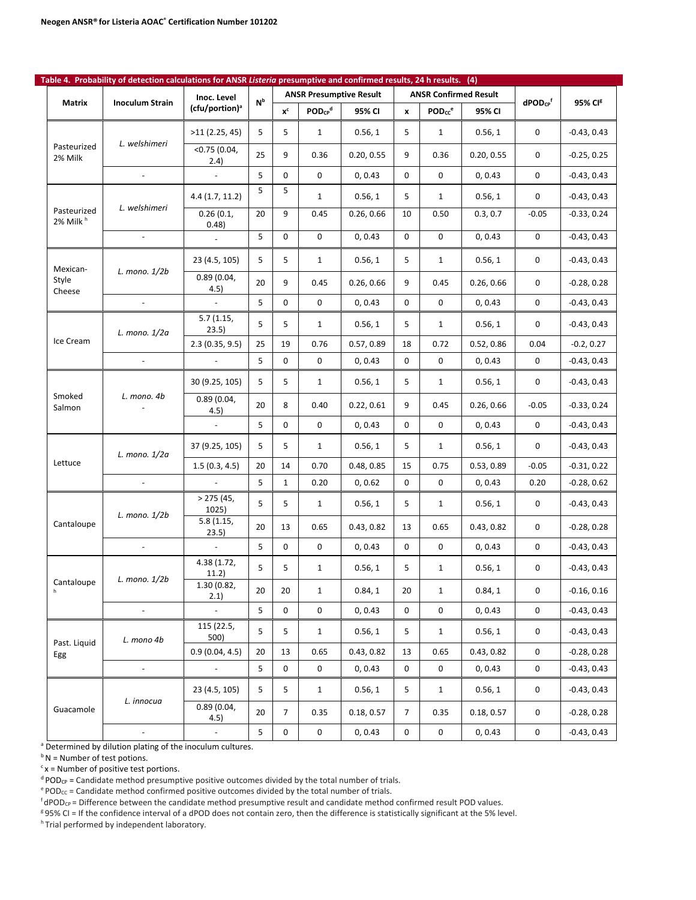|                                     | Table 4. Probability of detection calculations for ANSR Listeria presumptive and confirmed results, 24 h results. (4) |                            |                |                     |              |                                |                     |                              |            |                          |                     |
|-------------------------------------|-----------------------------------------------------------------------------------------------------------------------|----------------------------|----------------|---------------------|--------------|--------------------------------|---------------------|------------------------------|------------|--------------------------|---------------------|
| Matrix                              | <b>Inoculum Strain</b>                                                                                                | Inoc. Level                | N <sub>p</sub> |                     |              | <b>ANSR Presumptive Result</b> |                     | <b>ANSR Confirmed Result</b> |            | $dPOD_{CP}$ <sup>f</sup> | 95% CI <sup>g</sup> |
|                                     |                                                                                                                       | (cfu/portion) <sup>a</sup> |                | $x^c$               | $POD_{CP}^d$ | 95% CI                         | $\pmb{\mathsf{x}}$  | POD <sub>cc</sub> e          | 95% CI     |                          |                     |
| Pasteurized                         | L. welshimeri                                                                                                         | >11(2.25, 45)              | 5              | 5                   | $\mathbf{1}$ | 0.56, 1                        | 5                   | $\mathbf{1}$                 | 0.56, 1    | 0                        | $-0.43, 0.43$       |
| 2% Milk                             |                                                                                                                       | $<$ 0.75 (0.04,<br>2.4)    | 25             | 9                   | 0.36         | 0.20, 0.55                     | 9                   | 0.36                         | 0.20, 0.55 | 0                        | $-0.25, 0.25$       |
|                                     | $\blacksquare$                                                                                                        | $\mathbf{r}$               | 5              | $\mathbf 0$         | 0            | 0, 0.43                        | 0                   | 0                            | 0, 0.43    | 0                        | $-0.43, 0.43$       |
|                                     | 4.4(1.7, 11.2)                                                                                                        | 5                          | 5              | $\mathbf{1}$        | 0.56, 1      | 5                              | $\mathbf{1}$        | 0.56, 1                      | 0          | $-0.43, 0.43$            |                     |
| Pasteurized<br>2% Milk <sup>h</sup> | L. welshimeri                                                                                                         | 0.26(0.1,<br>0.48)         | 20             | 9                   | 0.45         | 0.26, 0.66                     | 10                  | 0.50                         | 0.3, 0.7   | $-0.05$                  | $-0.33, 0.24$       |
|                                     | $\blacksquare$                                                                                                        | $\mathbb{Z}^2$             | 5              | 0                   | 0            | 0, 0.43                        | 0                   | 0                            | 0, 0.43    | 0                        | $-0.43, 0.43$       |
| Mexican-                            |                                                                                                                       | 23 (4.5, 105)              | 5              | 5                   | $\mathbf{1}$ | 0.56, 1                        | 5                   | $\mathbf{1}$                 | 0.56, 1    | 0                        | $-0.43, 0.43$       |
| Style<br>Cheese                     | L. mono. $1/2b$                                                                                                       | 0.89(0.04,<br>4.5)         | 20             | 9                   | 0.45         | 0.26, 0.66                     | 9                   | 0.45                         | 0.26, 0.66 | 0                        | $-0.28, 0.28$       |
|                                     | $\mathbf{r}$                                                                                                          | $\mathbb{Z}^2$             | 5              | $\mathbf 0$         | $\mathbf 0$  | 0, 0.43                        | 0                   | $\mathbf 0$                  | 0, 0.43    | 0                        | $-0.43, 0.43$       |
|                                     | L. mono. 1/2a                                                                                                         | 5.7(1.15,<br>23.5)         | 5              | 5                   | 1            | 0.56, 1                        | 5                   | $\mathbf{1}$                 | 0.56, 1    | 0                        | $-0.43, 0.43$       |
| Ice Cream                           |                                                                                                                       | 2.3(0.35, 9.5)             | 25             | 19                  | 0.76         | 0.57, 0.89                     | 18                  | 0.72                         | 0.52, 0.86 | 0.04                     | $-0.2, 0.27$        |
|                                     | $\sim$                                                                                                                | $\mathcal{L}$              | 5              | 0                   | 0            | 0, 0.43                        | $\mathbf 0$         | 0                            | 0, 0.43    | 0                        | $-0.43, 0.43$       |
|                                     |                                                                                                                       | 30 (9.25, 105)             | 5              | 5                   | $\mathbf{1}$ | 0.56, 1                        | 5                   | $\mathbf{1}$                 | 0.56, 1    | 0                        | $-0.43, 0.43$       |
| Smoked<br>Salmon                    | L. mono. 4b                                                                                                           | 0.89(0.04,<br>4.5)         | 20             | 8                   | 0.40         | 0.22, 0.61                     | 9                   | 0.45                         | 0.26, 0.66 | $-0.05$                  | $-0.33, 0.24$       |
|                                     |                                                                                                                       |                            | 5              | 0                   | $\mathbf 0$  | 0, 0.43                        | 0                   | $\mathbf 0$                  | 0, 0.43    | 0                        | $-0.43, 0.43$       |
|                                     | L. mono. 1/2a                                                                                                         | 37 (9.25, 105)             | 5              | 5                   | $\mathbf{1}$ | 0.56, 1                        | 5                   | $\mathbf{1}$                 | 0.56, 1    | 0                        | $-0.43, 0.43$       |
| Lettuce                             |                                                                                                                       | 1.5(0.3, 4.5)              | 20             | 14                  | 0.70         | 0.48, 0.85                     | 15                  | 0.75                         | 0.53, 0.89 | $-0.05$                  | $-0.31, 0.22$       |
|                                     | $\sim$                                                                                                                | $\sim$                     | 5              | $\mathbf{1}$        | 0.20         | 0, 0.62                        | 0                   | 0                            | 0, 0.43    | 0.20                     | $-0.28, 0.62$       |
|                                     |                                                                                                                       | > 275(45,<br>1025)         | 5              | 5                   | $\mathbf{1}$ | 0.56, 1                        | 5                   | $\mathbf{1}$                 | 0.56, 1    | 0                        | $-0.43, 0.43$       |
| Cantaloupe                          | L. mono. $1/2b$                                                                                                       | 5.8(1.15,<br>23.5)         | 20             | 13                  | 0.65         | 0.43, 0.82                     | 13                  | 0.65                         | 0.43, 0.82 | 0                        | $-0.28, 0.28$       |
|                                     |                                                                                                                       | $\omega$                   | 5              | 0                   | 0            | 0, 0.43                        | 0                   | $\mathbf 0$                  | 0, 0.43    | 0                        | $-0.43, 0.43$       |
|                                     |                                                                                                                       | 4.38 (1.72,<br>11.2)       | 5              | 5                   | $\mathbf{1}$ | 0.56, 1                        | 5                   | $\mathbf{1}$                 | 0.56, 1    | 0                        | $-0.43, 0.43$       |
| Cantaloupe<br>h                     | L. mono. 1/2b                                                                                                         | 1.30 (0.82,<br>2.1)        | 20             | 20                  | $\mathbf 1$  | 0.84, 1                        | 20                  | $\mathbf{1}$                 | 0.84, 1    | 0                        | $-0.16, 0.16$       |
|                                     | $\blacksquare$                                                                                                        |                            | 5              | 0                   | 0            | 0, 0.43                        | 0                   | 0                            | 0, 0.43    | 0                        | $-0.43, 0.43$       |
|                                     |                                                                                                                       | 115 (22.5,<br>500)         | 5              | 5                   | $\mathbf{1}$ | 0.56, 1                        | 5                   | $\mathbf{1}$                 | 0.56, 1    | 0                        | $-0.43, 0.43$       |
| Past. Liquid<br>Egg                 | L. mono 4b                                                                                                            | 0.9(0.04, 4.5)             | 20             | 13                  | 0.65         | 0.43, 0.82                     | 13                  | 0.65                         | 0.43, 0.82 | 0                        | $-0.28, 0.28$       |
|                                     | $\overline{\phantom{a}}$                                                                                              |                            | 5              | $\mathsf{O}\xspace$ | 0            | 0, 0.43                        | $\mathsf{O}\xspace$ | $\mathsf{O}\xspace$          | 0, 0.43    | 0                        | $-0.43, 0.43$       |
|                                     |                                                                                                                       | 23 (4.5, 105)              | 5              | 5                   | $\mathbf{1}$ | 0.56, 1                        | 5                   | $\mathbf{1}$                 | 0.56, 1    | 0                        | $-0.43, 0.43$       |
| Guacamole                           | L. innocua                                                                                                            | 0.89(0.04,<br>4.5)         | 20             | $\overline{7}$      | 0.35         | 0.18, 0.57                     | $\overline{7}$      | 0.35                         | 0.18, 0.57 | 0                        | $-0.28, 0.28$       |
|                                     |                                                                                                                       | $\omega$                   | 5              | 0                   | 0            | 0, 0.43                        | 0                   | $\mathbf 0$                  | 0, 0.43    | $\mathsf{O}\xspace$      | $-0.43, 0.43$       |

<sup>a</sup> Determined by dilution plating of the inoculum cultures.

 $b N$  = Number of test potions.

 $c$  x = Number of positive test portions.

 $d$  POD<sub>CP</sub> = Candidate method presumptive positive outcomes divided by the total number of trials.

 $e^{e}$  POD<sub>cc</sub> = Candidate method confirmed positive outcomes divided by the total number of trials.

 $f$ dPOD<sub>CP</sub> = Difference between the candidate method presumptive result and candidate method confirmed result POD values.

<sup>8</sup>95% CI = If the confidence interval of a dPOD does not contain zero, then the difference is statistically significant at the 5% level. h Trial performed by independent laboratory.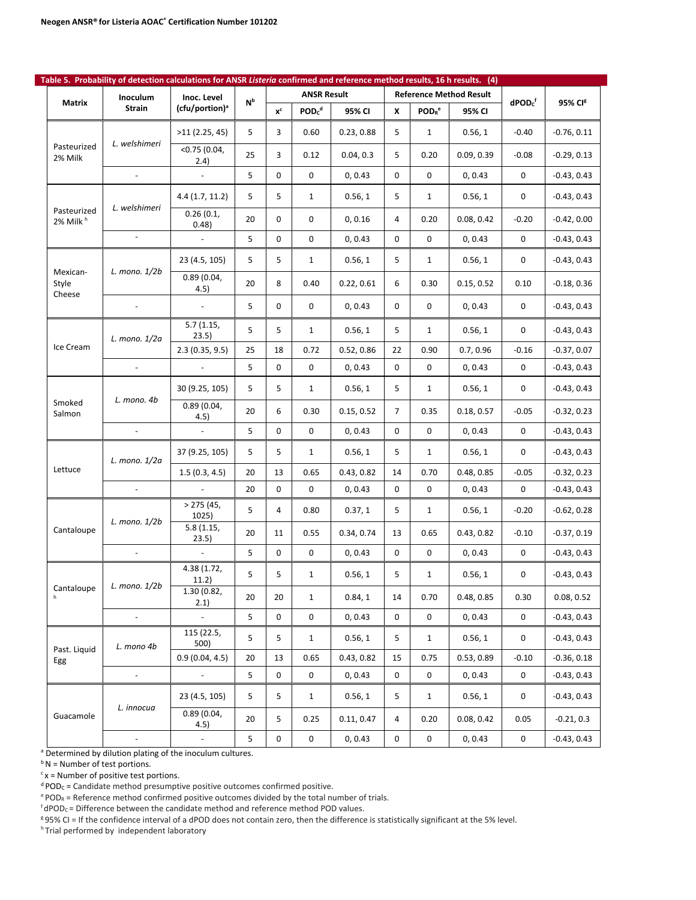|                                     | Table 5. Probability of detection calculations for ANSR Listeria confirmed and reference method results, 16 h results. (4) |                            |                |       |                               |            |                |                                      |                                |                     |                     |
|-------------------------------------|----------------------------------------------------------------------------------------------------------------------------|----------------------------|----------------|-------|-------------------------------|------------|----------------|--------------------------------------|--------------------------------|---------------------|---------------------|
| Matrix                              | Inoculum                                                                                                                   | Inoc. Level                | N <sub>b</sub> |       | <b>ANSR Result</b>            |            |                |                                      | <b>Reference Method Result</b> | $d$ POD $c^f$       | 95% CI <sup>g</sup> |
|                                     | <b>Strain</b>                                                                                                              | (cfu/portion) <sup>a</sup> |                | $x^c$ | POD <sub>c</sub> <sup>d</sup> | 95% CI     | X              | $\mathsf{POD}_\mathsf{R}^\mathsf{e}$ | 95% CI                         |                     |                     |
|                                     | L. welshimeri                                                                                                              | >11(2.25, 45)              | 5              | 3     | 0.60                          | 0.23, 0.88 | 5              | $\mathbf{1}$                         | 0.56, 1                        | $-0.40$             | $-0.76, 0.11$       |
| Pasteurized<br>2% Milk              |                                                                                                                            | $<$ 0.75 (0.04,<br>2.4)    | 25             | 3     | 0.12                          | 0.04, 0.3  | 5              | 0.20                                 | 0.09, 0.39                     | $-0.08$             | $-0.29, 0.13$       |
|                                     | $\sim$                                                                                                                     | $\mathbb{Z}^2$             | 5              | 0     | 0                             | 0, 0.43    | 0              | 0                                    | 0, 0.43                        | 0                   | $-0.43, 0.43$       |
|                                     |                                                                                                                            | 4.4(1.7, 11.2)             | 5              | 5     | $\mathbf{1}$                  | 0.56, 1    | 5              | $\mathbf{1}$                         | 0.56, 1                        | 0                   | $-0.43, 0.43$       |
| Pasteurized<br>2% Milk <sup>h</sup> | L. welshimeri                                                                                                              | 0.26(0.1,<br>0.48)         | 20             | 0     | 0                             | 0, 0.16    | 4              | 0.20                                 | 0.08, 0.42                     | $-0.20$             | $-0.42, 0.00$       |
|                                     | $\sim$                                                                                                                     |                            | 5              | 0     | 0                             | 0, 0.43    | 0              | 0                                    | 0, 0.43                        | 0                   | $-0.43, 0.43$       |
|                                     |                                                                                                                            | 23 (4.5, 105)              | 5              | 5     | 1                             | 0.56, 1    | 5              | $\mathbf{1}$                         | 0.56, 1                        | 0                   | $-0.43, 0.43$       |
| Mexican-<br>Style                   | L. mono. 1/2b                                                                                                              | 0.89(0.04,<br>4.5)         | 20             | 8     | 0.40                          | 0.22, 0.61 | 6              | 0.30                                 | 0.15, 0.52                     | 0.10                | $-0.18, 0.36$       |
| Cheese                              |                                                                                                                            | $\omega$                   | 5              | 0     | 0                             | 0, 0.43    | 0              | 0                                    | 0, 0.43                        | 0                   | $-0.43, 0.43$       |
|                                     | L. mono. 1/2a                                                                                                              | 5.7(1.15,<br>23.5)         | 5              | 5     | 1                             | 0.56, 1    | 5              | $\mathbf{1}$                         | 0.56, 1                        | 0                   | $-0.43, 0.43$       |
| Ice Cream                           |                                                                                                                            | 2.3(0.35, 9.5)             | 25             | 18    | 0.72                          | 0.52, 0.86 | 22             | 0.90                                 | 0.7, 0.96                      | $-0.16$             | $-0.37, 0.07$       |
|                                     |                                                                                                                            |                            | 5              | 0     | 0                             | 0, 0.43    | 0              | 0                                    | 0, 0.43                        | 0                   | $-0.43, 0.43$       |
|                                     |                                                                                                                            | 30 (9.25, 105)             | 5              | 5     | $\mathbf{1}$                  | 0.56, 1    | 5              | $\mathbf{1}$                         | 0.56, 1                        | 0                   | $-0.43, 0.43$       |
| Smoked<br>Salmon                    | L. mono. 4b                                                                                                                | 0.89(0.04,<br>4.5)         | 20             | 6     | 0.30                          | 0.15, 0.52 | $\overline{7}$ | 0.35                                 | 0.18, 0.57                     | $-0.05$             | $-0.32, 0.23$       |
|                                     | $\blacksquare$                                                                                                             | $\blacksquare$             | 5              | 0     | $\mathbf 0$                   | 0, 0.43    | 0              | 0                                    | 0, 0.43                        | $\mathbf 0$         | $-0.43, 0.43$       |
|                                     | L. mono. 1/2a                                                                                                              | 37 (9.25, 105)             | 5              | 5     | 1                             | 0.56, 1    | 5              | $\mathbf{1}$                         | 0.56, 1                        | 0                   | $-0.43, 0.43$       |
| Lettuce                             |                                                                                                                            | 1.5(0.3, 4.5)              | 20             | 13    | 0.65                          | 0.43, 0.82 | 14             | 0.70                                 | 0.48, 0.85                     | $-0.05$             | $-0.32, 0.23$       |
|                                     |                                                                                                                            | $\mathbf{r}$               | 20             | 0     | 0                             | 0, 0.43    | 0              | 0                                    | 0, 0.43                        | 0                   | $-0.43, 0.43$       |
|                                     |                                                                                                                            | > 275(45,<br>1025)         | 5              | 4     | 0.80                          | 0.37, 1    | 5              | $\mathbf{1}$                         | 0.56, 1                        | $-0.20$             | $-0.62, 0.28$       |
| Cantaloupe                          | L. mono. 1/2b                                                                                                              | 5.8(1.15,<br>23.5)         | 20             | 11    | 0.55                          | 0.34, 0.74 | 13             | 0.65                                 | 0.43, 0.82                     | $-0.10$             | $-0.37, 0.19$       |
|                                     |                                                                                                                            |                            | 5              | 0     | $\mathbf 0$                   | 0, 0.43    | $\mathbf 0$    | 0                                    | 0, 0.43                        | 0                   | $-0.43, 0.43$       |
|                                     | L. mono. 1/2b                                                                                                              | 4.38 (1.72,<br>11.2)       | 5              | 5     | 1                             | 0.56, 1    | 5              | 1                                    | 0.56, 1                        | 0                   | $-0.43, 0.43$       |
| Cantaloupe<br>h                     |                                                                                                                            | 1.30 (0.82,<br>2.1)        | 20             | 20    | $\mathbf{1}$                  | 0.84, 1    | 14             | 0.70                                 | 0.48, 0.85                     | 0.30                | 0.08, 0.52          |
|                                     | $\sim$                                                                                                                     | $\omega$                   | 5              | 0     | $\mathsf 0$                   | 0, 0.43    | 0              | 0                                    | 0, 0.43                        | $\mathsf{O}\xspace$ | $-0.43, 0.43$       |
| Past. Liquid                        | L. mono 4b                                                                                                                 | 115 (22.5,<br>500)         | 5              | 5     | $\mathbf{1}$                  | 0.56, 1    | 5              | $\mathbf{1}$                         | 0.56, 1                        | $\mathsf{O}\xspace$ | $-0.43, 0.43$       |
| Egg                                 |                                                                                                                            | 0.9(0.04, 4.5)             | 20             | 13    | 0.65                          | 0.43, 0.82 | 15             | 0.75                                 | 0.53, 0.89                     | $-0.10$             | $-0.36, 0.18$       |
|                                     | $\omega$                                                                                                                   | $\omega_{\rm c}$           | 5              | 0     | $\mathbf 0$                   | 0, 0.43    | 0              | 0                                    | 0, 0.43                        | $\mathsf{O}\xspace$ | $-0.43, 0.43$       |
|                                     | L. innocua                                                                                                                 | 23 (4.5, 105)              | 5              | 5     | $\mathbf{1}$                  | 0.56, 1    | 5              | $\mathbf{1}$                         | 0.56, 1                        | 0                   | $-0.43, 0.43$       |
| Guacamole                           |                                                                                                                            | 0.89(0.04,<br>4.5)         | 20             | 5     | 0.25                          | 0.11, 0.47 | 4              | 0.20                                 | 0.08, 0.42                     | 0.05                | $-0.21, 0.3$        |
|                                     | $\overline{\phantom{a}}$                                                                                                   | $\overline{\phantom{a}}$   | 5              | 0     | $\mathsf 0$                   | 0, 0.43    | 0              | 0                                    | 0, 0.43                        | $\mathsf{O}\xspace$ | $-0.43, 0.43$       |

a Determined by dilution plating of the inoculum cultures.

 $b N$  = Number of test portions.

 $c$  x = Number of positive test portions.

 $d$  POD<sub>C</sub> = Candidate method presumptive positive outcomes confirmed positive.

 $e^{e}$  POD<sub>R</sub> = Reference method confirmed positive outcomes divided by the total number of trials.

 $f$ dPOD<sub>C</sub> = Difference between the candidate method and reference method POD values.

g 95% CI = If the confidence interval of a dPOD does not contain zero, then the difference is statistically significant at the 5% level.

h Trial performed by independent laboratory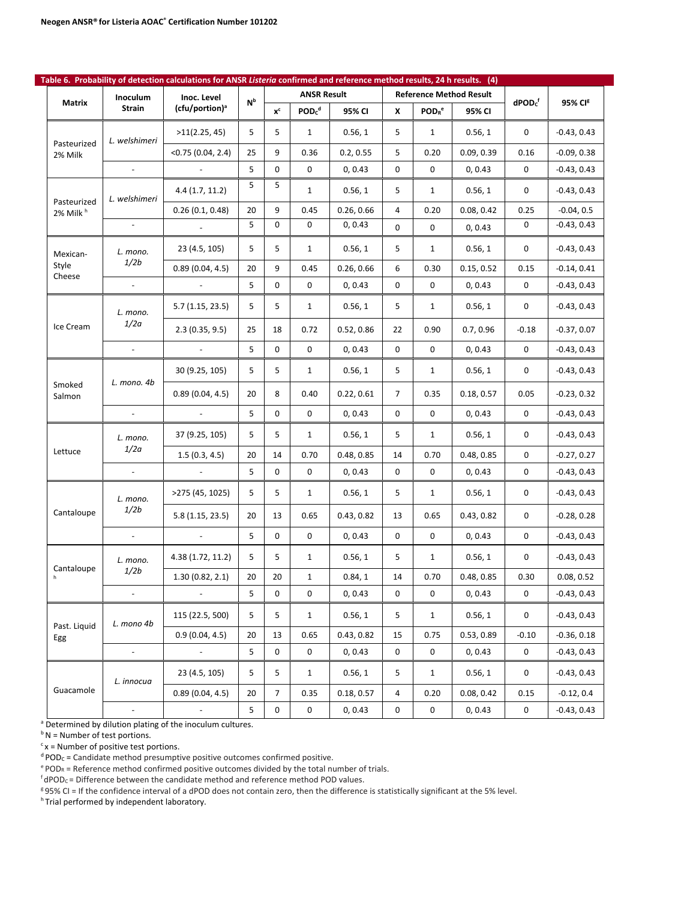| Table 6. Probability of detection calculations for ANSR Listeria confirmed and reference method results, 24 h results. (4) |                          |                            |                           |             |                               |            |    |                               |                                |                     |                     |
|----------------------------------------------------------------------------------------------------------------------------|--------------------------|----------------------------|---------------------------|-------------|-------------------------------|------------|----|-------------------------------|--------------------------------|---------------------|---------------------|
| Matrix                                                                                                                     | Inoculum                 | Inoc. Level                | $\mathsf{N}^{\mathsf{b}}$ |             | <b>ANSR Result</b>            |            |    |                               | <b>Reference Method Result</b> | $d$ POD $cf$        | 95% CI <sup>g</sup> |
|                                                                                                                            | Strain                   | (cfu/portion) <sup>a</sup> |                           | $x^c$       | POD <sub>c</sub> <sup>d</sup> | 95% CI     | x  | POD <sub>R</sub> <sup>e</sup> | 95% CI                         |                     |                     |
| Pasteurized                                                                                                                | L. welshimeri            | >11(2.25, 45)              | 5                         | 5           | $\mathbf{1}$                  | 0.56, 1    | 5  | $\mathbf{1}$                  | 0.56, 1                        | 0                   | $-0.43, 0.43$       |
| 2% Milk                                                                                                                    |                          | $<$ 0.75 (0.04, 2.4)       | 25                        | 9           | 0.36                          | 0.2, 0.55  | 5  | 0.20                          | 0.09, 0.39                     | 0.16                | $-0.09, 0.38$       |
|                                                                                                                            |                          |                            | 5                         | 0           | 0                             | 0, 0.43    | 0  | 0                             | 0, 0.43                        | 0                   | $-0.43, 0.43$       |
| Pasteurized                                                                                                                | L. welshimeri            | 4.4(1.7, 11.2)             | 5                         | 5           | $\mathbf{1}$                  | 0.56, 1    | 5  | $\mathbf{1}$                  | 0.56, 1                        | 0                   | $-0.43, 0.43$       |
| 2% Milk <sup>h</sup>                                                                                                       |                          | 0.26(0.1, 0.48)            | 20                        | 9           | 0.45                          | 0.26, 0.66 | 4  | 0.20                          | 0.08, 0.42                     | 0.25                | $-0.04, 0.5$        |
|                                                                                                                            | $\blacksquare$           |                            | 5                         | 0           | 0                             | 0, 0.43    | 0  | 0                             | 0, 0.43                        | $\mathsf{O}\xspace$ | $-0.43, 0.43$       |
| Mexican-                                                                                                                   | L. mono.                 | 23 (4.5, 105)              | 5                         | 5           | $\mathbf{1}$                  | 0.56, 1    | 5  | $\mathbf{1}$                  | 0.56, 1                        | 0                   | $-0.43, 0.43$       |
| Style<br>Cheese                                                                                                            | 1/2b                     | 0.89(0.04, 4.5)            | 20                        | 9           | 0.45                          | 0.26, 0.66 | 6  | 0.30                          | 0.15, 0.52                     | 0.15                | $-0.14, 0.41$       |
|                                                                                                                            | $\blacksquare$           |                            | 5                         | 0           | 0                             | 0, 0.43    | 0  | 0                             | 0, 0.43                        | 0                   | $-0.43, 0.43$       |
|                                                                                                                            | L. mono.                 | 5.7(1.15, 23.5)            | 5                         | 5           | $\mathbf{1}$                  | 0.56, 1    | 5  | $\mathbf{1}$                  | 0.56, 1                        | 0                   | $-0.43, 0.43$       |
| Ice Cream                                                                                                                  | 1/2a                     | 2.3(0.35, 9.5)             | 25                        | 18          | 0.72                          | 0.52, 0.86 | 22 | 0.90                          | 0.7, 0.96                      | $-0.18$             | $-0.37, 0.07$       |
|                                                                                                                            |                          |                            | 5                         | 0           | 0                             | 0, 0.43    | 0  | 0                             | 0, 0.43                        | 0                   | $-0.43, 0.43$       |
|                                                                                                                            |                          | 30 (9.25, 105)             | 5                         | 5           | $\mathbf{1}$                  | 0.56, 1    | 5  | $\mathbf{1}$                  | 0.56, 1                        | 0                   | $-0.43, 0.43$       |
| Smoked<br>Salmon                                                                                                           | L. mono. 4b              | 0.89(0.04, 4.5)            | 20                        | 8           | 0.40                          | 0.22, 0.61 | 7  | 0.35                          | 0.18, 0.57                     | 0.05                | $-0.23, 0.32$       |
|                                                                                                                            |                          |                            | 5                         | 0           | 0                             | 0, 0.43    | 0  | 0                             | 0, 0.43                        | 0                   | $-0.43, 0.43$       |
|                                                                                                                            | L. mono.                 | 37 (9.25, 105)             | 5                         | 5           | $\mathbf{1}$                  | 0.56, 1    | 5  | $\mathbf{1}$                  | 0.56, 1                        | 0                   | $-0.43, 0.43$       |
| Lettuce                                                                                                                    | 1/2a                     | 1.5(0.3, 4.5)              | 20                        | 14          | 0.70                          | 0.48, 0.85 | 14 | 0.70                          | 0.48, 0.85                     | 0                   | $-0.27, 0.27$       |
|                                                                                                                            |                          |                            | 5                         | 0           | 0                             | 0, 0.43    | 0  | 0                             | 0, 0.43                        | 0                   | $-0.43, 0.43$       |
|                                                                                                                            | L. mono.                 | >275 (45, 1025)            | 5                         | 5           | $\mathbf{1}$                  | 0.56, 1    | 5  | $\mathbf{1}$                  | 0.56, 1                        | 0                   | $-0.43, 0.43$       |
| Cantaloupe                                                                                                                 | 1/2b                     | 5.8(1.15, 23.5)            | 20                        | 13          | 0.65                          | 0.43, 0.82 | 13 | 0.65                          | 0.43, 0.82                     | 0                   | $-0.28, 0.28$       |
|                                                                                                                            | $\blacksquare$           |                            | 5                         | $\mathbf 0$ | 0                             | 0, 0.43    | 0  | 0                             | 0, 0.43                        | 0                   | $-0.43, 0.43$       |
|                                                                                                                            | L. mono.                 | 4.38 (1.72, 11.2)          | 5                         | 5           | $\mathbf{1}$                  | 0.56, 1    | 5  | $\mathbf{1}$                  | 0.56, 1                        | 0                   | $-0.43, 0.43$       |
| Cantaloupe                                                                                                                 | 1/2b                     | 1.30(0.82, 2.1)            | 20                        | 20          | $\mathbf{1}$                  | 0.84, 1    | 14 | 0.70                          | 0.48, 0.85                     | 0.30                | 0.08, 0.52          |
|                                                                                                                            | ÷,                       |                            | 5                         | 0           | 0                             | 0, 0.43    | 0  | 0                             | 0, 0.43                        | 0                   | $-0.43, 0.43$       |
| Past. Liquid                                                                                                               | L. mono 4b               | 115 (22.5, 500)            | 5                         | 5           | $\mathbf{1}$                  | 0.56, 1    | 5  | $\mathbf{1}$                  | 0.56, 1                        | $\mathsf{O}\xspace$ | $-0.43, 0.43$       |
| Egg                                                                                                                        |                          | 0.9(0.04, 4.5)             | 20                        | 13          | 0.65                          | 0.43, 0.82 | 15 | 0.75                          | 0.53, 0.89                     | $-0.10$             | $-0.36, 0.18$       |
|                                                                                                                            | $\overline{\phantom{a}}$ | $\sim$                     | 5                         | $\mathbf 0$ | 0                             | 0, 0.43    | 0  | 0                             | 0, 0.43                        | 0                   | $-0.43, 0.43$       |
|                                                                                                                            | L. innocua               | 23 (4.5, 105)              | 5                         | 5           | $\mathbf{1}$                  | 0.56, 1    | 5  | $\mathbf{1}$                  | 0.56, 1                        | 0                   | $-0.43, 0.43$       |
| Guacamole                                                                                                                  |                          | 0.89(0.04, 4.5)            | 20                        | 7           | 0.35                          | 0.18, 0.57 | 4  | 0.20                          | 0.08, 0.42                     | 0.15                | $-0.12, 0.4$        |
|                                                                                                                            | $\overline{\phantom{a}}$ |                            | 5                         | 0           | 0                             | 0, 0.43    | 0  | 0                             | 0, 0.43                        | $\mathsf 0$         | $-0.43, 0.43$       |

<sup>a</sup> Determined by dilution plating of the inoculum cultures.

 $b N$  = Number of test portions.

 $c$  x = Number of positive test portions.

 $d$  POD<sub>C</sub> = Candidate method presumptive positive outcomes confirmed positive.

 $e^{e}$  POD<sub>R</sub> = Reference method confirmed positive outcomes divided by the total number of trials.

 $f$ dPOD<sub>C</sub> = Difference between the candidate method and reference method POD values.

g 95% CI = If the confidence interval of a dPOD does not contain zero, then the difference is statistically significant at the 5% level.

h Trial performed by independent laboratory.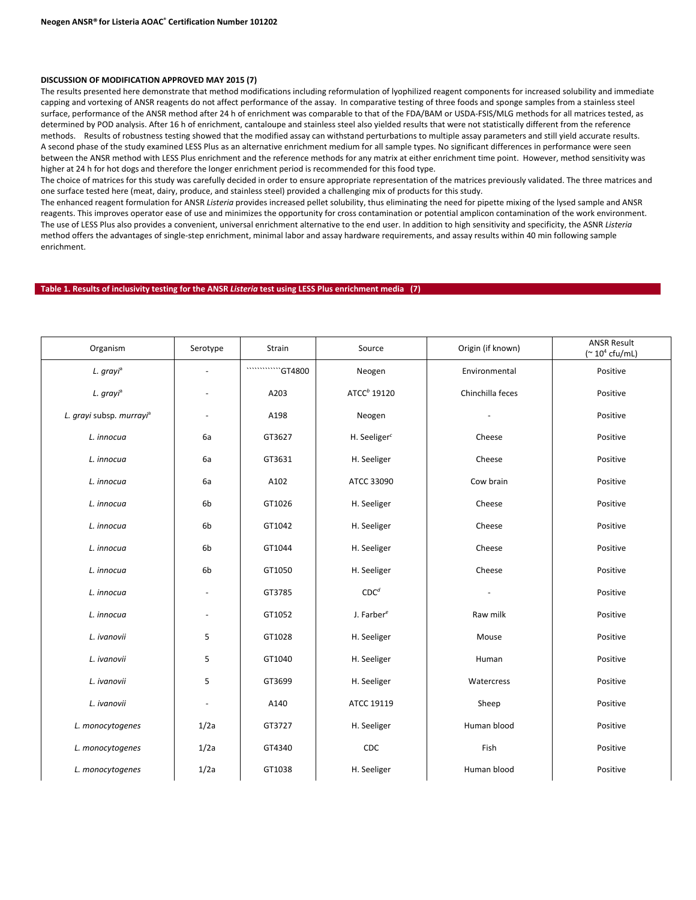#### **DISCUSSION OF MODIFICATION APPROVED MAY 2015 (7)**

The results presented here demonstrate that method modifications including reformulation of lyophilized reagent components for increased solubility and immediate capping and vortexing of ANSR reagents do not affect performance of the assay. In comparative testing of three foods and sponge samples from a stainless steel surface, performance of the ANSR method after 24 h of enrichment was comparable to that of the FDA/BAM or USDA-FSIS/MLG methods for all matrices tested, as determined by POD analysis. After 16 h of enrichment, cantaloupe and stainless steel also yielded results that were not statistically different from the reference methods. Results of robustness testing showed that the modified assay can withstand perturbations to multiple assay parameters and still yield accurate results. A second phase of the study examined LESS Plus as an alternative enrichment medium for all sample types. No significant differences in performance were seen between the ANSR method with LESS Plus enrichment and the reference methods for any matrix at either enrichment time point. However, method sensitivity was higher at 24 h for hot dogs and therefore the longer enrichment period is recommended for this food type.

The choice of matrices for this study was carefully decided in order to ensure appropriate representation of the matrices previously validated. The three matrices and one surface tested here (meat, dairy, produce, and stainless steel) provided a challenging mix of products for this study.

The enhanced reagent formulation for ANSR *Listeria* provides increased pellet solubility, thus eliminating the need for pipette mixing of the lysed sample and ANSR reagents. This improves operator ease of use and minimizes the opportunity for cross contamination or potential amplicon contamination of the work environment. The use of LESS Plus also provides a convenient, universal enrichment alternative to the end user. In addition to high sensitivity and specificity, the ASNR *Listeria* method offers the advantages of single-step enrichment, minimal labor and assay hardware requirements, and assay results within 40 min following sample enrichment.

#### **Table 1. Results of inclusivity testing for the ANSR** *Listeria* **test using LESS Plus enrichment media (7)**

| Organism                             | Serotype                 | Strain | Source                  | Origin (if known) | <b>ANSR Result</b><br>$(^{\sim} 10^4 \text{ cftt/mL}$ |
|--------------------------------------|--------------------------|--------|-------------------------|-------------------|-------------------------------------------------------|
| L. grayi <sup>a</sup>                |                          |        | Neogen                  | Environmental     | Positive                                              |
| L. grayi <sup>a</sup>                |                          | A203   | ATCC <sup>b</sup> 19120 | Chinchilla feces  | Positive                                              |
| L. grayi subsp. murrayi <sup>a</sup> | $\blacksquare$           | A198   | Neogen                  |                   | Positive                                              |
| L. innocua                           | 6a                       | GT3627 | H. Seeliger $c$         | Cheese            | Positive                                              |
| L. innocua                           | 6a                       | GT3631 | H. Seeliger             | Cheese            | Positive                                              |
| L. innocua                           | 6a                       | A102   | ATCC 33090              | Cow brain         | Positive                                              |
| L. innocua                           | 6b                       | GT1026 | H. Seeliger             | Cheese            | Positive                                              |
| L. innocua                           | 6b                       | GT1042 | H. Seeliger             | Cheese            | Positive                                              |
| L. innocua                           | 6b                       | GT1044 | H. Seeliger             | Cheese            | Positive                                              |
| L. innocua                           | 6b                       | GT1050 | H. Seeliger             | Cheese            | Positive                                              |
| L. innocua                           | $\blacksquare$           | GT3785 | CDC <sup>d</sup>        |                   | Positive                                              |
| L. innocua                           | $\overline{\phantom{a}}$ | GT1052 | J. Farber $e$           | Raw milk          | Positive                                              |
| L. ivanovii                          | 5                        | GT1028 | H. Seeliger             | Mouse             | Positive                                              |
| L. ivanovii                          | 5                        | GT1040 | H. Seeliger             | Human             | Positive                                              |
| L. ivanovii                          | 5                        | GT3699 | H. Seeliger             | Watercress        | Positive                                              |
| L. ivanovii                          | $\overline{\phantom{a}}$ | A140   | ATCC 19119              | Sheep             | Positive                                              |
| L. monocytogenes                     | 1/2a                     | GT3727 | H. Seeliger             | Human blood       | Positive                                              |
| L. monocytogenes                     | 1/2a                     | GT4340 | <b>CDC</b>              | Fish              | Positive                                              |
| L. monocytogenes                     | 1/2a                     | GT1038 | H. Seeliger             | Human blood       | Positive                                              |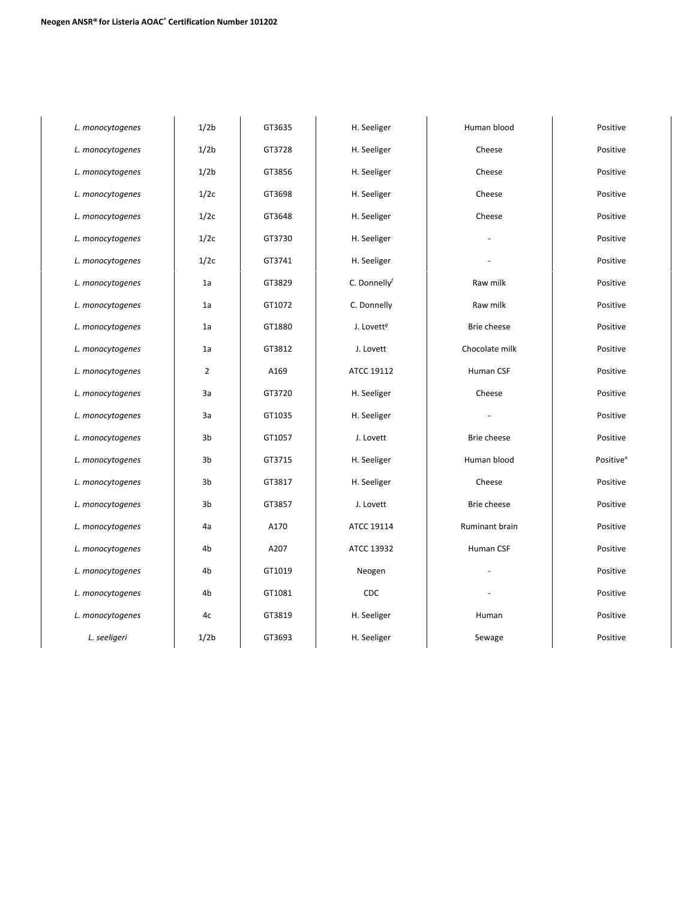| L. monocytogenes | 1/2 <sub>b</sub> | GT3635 | H. Seeliger            | Human blood    | Positive              |
|------------------|------------------|--------|------------------------|----------------|-----------------------|
| L. monocytogenes | 1/2 <sub>b</sub> | GT3728 | H. Seeliger            | Cheese         | Positive              |
| L. monocytogenes | 1/2 <sub>b</sub> | GT3856 | H. Seeliger            | Cheese         | Positive              |
| L. monocytogenes | 1/2c             | GT3698 | H. Seeliger            | Cheese         | Positive              |
| L. monocytogenes | 1/2c             | GT3648 | H. Seeliger            | Cheese         | Positive              |
| L. monocytogenes | 1/2c             | GT3730 | H. Seeliger            |                | Positive              |
| L. monocytogenes | 1/2c             | GT3741 | H. Seeliger            |                | Positive              |
| L. monocytogenes | 1a               | GT3829 | C. Donnelly $f$        | Raw milk       | Positive              |
| L. monocytogenes | 1a               | GT1072 | C. Donnelly            | Raw milk       | Positive              |
| L. monocytogenes | 1a               | GT1880 | J. Lovett <sup>g</sup> | Brie cheese    | Positive              |
| L. monocytogenes | 1a               | GT3812 | J. Lovett              | Chocolate milk | Positive              |
| L. monocytogenes | $\overline{2}$   | A169   | ATCC 19112             | Human CSF      | Positive              |
| L. monocytogenes | 3a               | GT3720 | H. Seeliger            | Cheese         | Positive              |
| L. monocytogenes | 3a               | GT1035 | H. Seeliger            |                | Positive              |
| L. monocytogenes | 3b               | GT1057 | J. Lovett              | Brie cheese    | Positive              |
| L. monocytogenes | 3b               | GT3715 | H. Seeliger            | Human blood    | Positive <sup>a</sup> |
| L. monocytogenes | 3b               | GT3817 | H. Seeliger            | Cheese         | Positive              |
| L. monocytogenes | 3b               | GT3857 | J. Lovett              | Brie cheese    | Positive              |
| L. monocytogenes | 4a               | A170   | ATCC 19114             | Ruminant brain | Positive              |
| L. monocytogenes | 4b               | A207   | ATCC 13932             | Human CSF      | Positive              |
| L. monocytogenes | 4 <sub>b</sub>   | GT1019 | Neogen                 |                | Positive              |
| L. monocytogenes | 4b               | GT1081 | CDC                    |                | Positive              |
| L. monocytogenes | 4c               | GT3819 | H. Seeliger            | Human          | Positive              |
| L. seeligeri     | 1/2 <sub>b</sub> | GT3693 | H. Seeliger            | Sewage         | Positive              |
|                  |                  |        |                        |                |                       |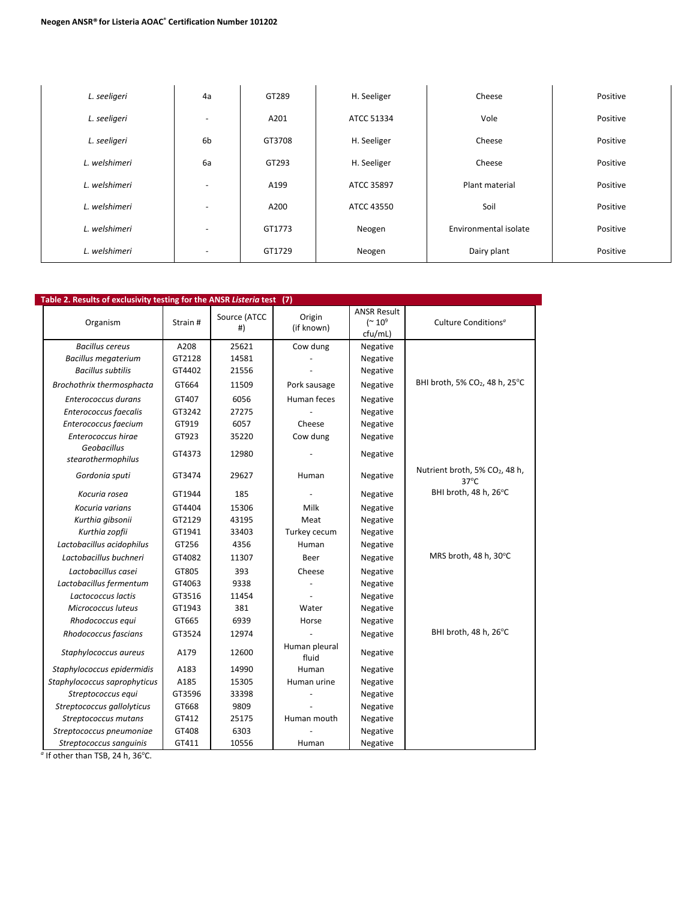| L. seeligeri  | 4a                       | GT289  | H. Seeliger | Cheese                | Positive |
|---------------|--------------------------|--------|-------------|-----------------------|----------|
| L. seeligeri  | $\overline{\phantom{a}}$ | A201   | ATCC 51334  | Vole                  | Positive |
| L. seeligeri  | 6 <sub>b</sub>           | GT3708 | H. Seeliger | Cheese                |          |
| L. welshimeri | 6a                       | GT293  | H. Seeliger | Cheese                | Positive |
| L. welshimeri | $\sim$                   | A199   | ATCC 35897  | Plant material        | Positive |
| L. welshimeri | $\overline{\phantom{a}}$ | A200   | ATCC 43550  | Soil                  | Positive |
| L. welshimeri | $\overline{\phantom{a}}$ | GT1773 | Neogen      | Environmental isolate | Positive |
| L. welshimeri | $\overline{\phantom{a}}$ | GT1729 | Neogen      | Dairy plant           | Positive |

| Table 2. Results of exclusivity testing for the ANSR Listeria test (7) |          |                    |                        |                                                             |                                                 |  |  |  |  |  |  |
|------------------------------------------------------------------------|----------|--------------------|------------------------|-------------------------------------------------------------|-------------------------------------------------|--|--|--|--|--|--|
| Organism                                                               | Strain # | Source (ATCC<br>#) | Origin<br>(if known)   | <b>ANSR Result</b><br>$($ $\sim$ 10 <sup>9</sup><br>cfu/mL) | Culture Conditions <sup>a</sup>                 |  |  |  |  |  |  |
| <b>Bacillus cereus</b>                                                 | A208     | 25621              | Cow dung               | Negative                                                    |                                                 |  |  |  |  |  |  |
| <b>Bacillus megaterium</b>                                             | GT2128   | 14581              |                        | Negative                                                    |                                                 |  |  |  |  |  |  |
| <b>Bacillus subtilis</b>                                               | GT4402   | 21556              |                        | Negative                                                    |                                                 |  |  |  |  |  |  |
| Brochothrix thermosphacta                                              | GT664    | 11509              | Pork sausage           | Negative                                                    | BHI broth, 5% CO <sub>2</sub> , 48 h, 25°C      |  |  |  |  |  |  |
| Enterococcus durans                                                    | GT407    | 6056               | Human feces            | Negative                                                    |                                                 |  |  |  |  |  |  |
| Enterococcus faecalis                                                  | GT3242   | 27275              |                        | Negative                                                    |                                                 |  |  |  |  |  |  |
| Enterococcus faecium                                                   | GT919    | 6057               | Cheese                 | Negative                                                    |                                                 |  |  |  |  |  |  |
| Enterococcus hirae                                                     | GT923    | 35220              | Cow dung               | Negative                                                    |                                                 |  |  |  |  |  |  |
| Geobacillus<br>stearothermophilus                                      | GT4373   | 12980              |                        | Negative                                                    |                                                 |  |  |  |  |  |  |
| Gordonia sputi                                                         | GT3474   | 29627              | Human                  | Negative                                                    | Nutrient broth, 5% CO2, 48 h,<br>$37^{\circ}$ C |  |  |  |  |  |  |
| Kocuria rosea                                                          | GT1944   | 185                |                        | Negative                                                    | BHI broth, 48 h, 26°C                           |  |  |  |  |  |  |
| Kocuria varians                                                        | GT4404   | 15306              | Milk                   | Negative                                                    |                                                 |  |  |  |  |  |  |
| Kurthia gibsonii                                                       | GT2129   | 43195              | Meat                   | Negative                                                    |                                                 |  |  |  |  |  |  |
| Kurthia zopfii                                                         | GT1941   | 33403              | Turkey cecum           | Negative                                                    |                                                 |  |  |  |  |  |  |
| Lactobacillus acidophilus                                              | GT256    | 4356               | Human                  | Negative                                                    |                                                 |  |  |  |  |  |  |
| Lactobacillus buchneri                                                 | GT4082   | 11307              | Beer                   | Negative                                                    | MRS broth, 48 h, 30°C                           |  |  |  |  |  |  |
| Lactobacillus casei                                                    | GT805    | 393                | Cheese                 | Negative                                                    |                                                 |  |  |  |  |  |  |
| Lactobacillus fermentum                                                | GT4063   | 9338               |                        | Negative                                                    |                                                 |  |  |  |  |  |  |
| Lactococcus lactis                                                     | GT3516   | 11454              |                        | Negative                                                    |                                                 |  |  |  |  |  |  |
| Micrococcus luteus                                                     | GT1943   | 381                | Water                  | Negative                                                    |                                                 |  |  |  |  |  |  |
| Rhodococcus equi                                                       | GT665    | 6939               | Horse                  | Negative                                                    |                                                 |  |  |  |  |  |  |
| Rhodococcus fascians                                                   | GT3524   | 12974              |                        | Negative                                                    | BHI broth, 48 h, 26°C                           |  |  |  |  |  |  |
| Staphylococcus aureus                                                  | A179     | 12600              | Human pleural<br>fluid | Negative                                                    |                                                 |  |  |  |  |  |  |
| Staphylococcus epidermidis                                             | A183     | 14990              | Human                  | Negative                                                    |                                                 |  |  |  |  |  |  |
| Staphylococcus saprophyticus                                           | A185     | 15305              | Human urine            | Negative                                                    |                                                 |  |  |  |  |  |  |
| Streptococcus equi                                                     | GT3596   | 33398              |                        | Negative                                                    |                                                 |  |  |  |  |  |  |
| Streptococcus gallolyticus                                             | GT668    | 9809               |                        | Negative                                                    |                                                 |  |  |  |  |  |  |
| Streptococcus mutans                                                   | GT412    | 25175              | Human mouth            | Negative                                                    |                                                 |  |  |  |  |  |  |
| Streptococcus pneumoniae                                               | GT408    | 6303               |                        | Negative                                                    |                                                 |  |  |  |  |  |  |
| Streptococcus sanguinis                                                | GT411    | 10556              | Human                  | Negative                                                    |                                                 |  |  |  |  |  |  |

<sup>a</sup> If other than TSB, 24 h, 36°C.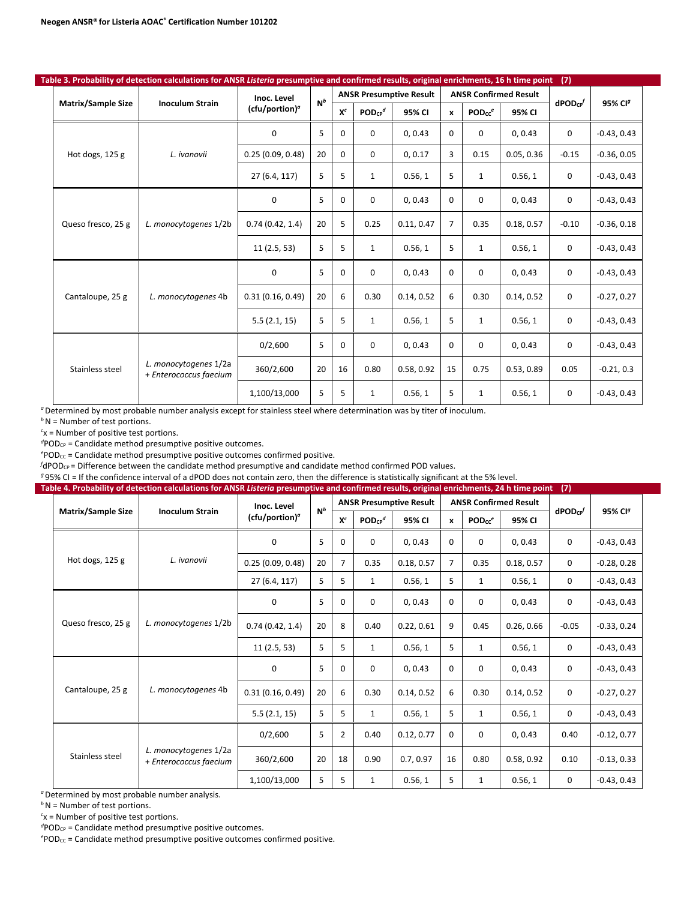|  |                           | Table 3. Probability of detection calculations for ANSR Listeria presumptive and confirmed results, original enrichments, 16 h time point |                            |       |             |                         |                                |                |                    |                              | (7)                      |                     |
|--|---------------------------|-------------------------------------------------------------------------------------------------------------------------------------------|----------------------------|-------|-------------|-------------------------|--------------------------------|----------------|--------------------|------------------------------|--------------------------|---------------------|
|  |                           |                                                                                                                                           | Inoc. Level                | $N^b$ |             |                         | <b>ANSR Presumptive Result</b> |                |                    | <b>ANSR Confirmed Result</b> |                          |                     |
|  | <b>Matrix/Sample Size</b> | <b>Inoculum Strain</b>                                                                                                                    | (cfu/portion) <sup>a</sup> |       | $X^c$       | $POD_{CP}$ <sup>d</sup> | 95% CI                         | $\mathbf{x}$   | PODcc <sup>e</sup> | 95% CI                       | $d$ POD $c$ <sup>p</sup> | 95% CI <sup>g</sup> |
|  |                           |                                                                                                                                           | $\mathbf 0$                | 5     | $\mathbf 0$ | 0                       | 0, 0.43                        | $\Omega$       | 0                  | 0, 0.43                      | 0                        | $-0.43, 0.43$       |
|  | Hot dogs, 125 g           | L. ivanovii                                                                                                                               | 0.25(0.09, 0.48)           | 20    | $\Omega$    | $\Omega$                | 0, 0.17                        | 3              | 0.15               | 0.05, 0.36                   | $-0.15$                  | $-0.36, 0.05$       |
|  |                           |                                                                                                                                           | 27 (6.4, 117)              | 5     | 5           | $\mathbf{1}$            | 0.56, 1                        | 5              | $\mathbf{1}$       | 0.56, 1                      | 0                        | $-0.43, 0.43$       |
|  |                           |                                                                                                                                           | 0                          | 5     | $\Omega$    | $\Omega$                | 0, 0.43                        | $\Omega$       | 0                  | 0, 0.43                      | 0                        | $-0.43, 0.43$       |
|  | Queso fresco, 25 g        | L. monocytogenes 1/2b                                                                                                                     | 0.74(0.42, 1.4)            | 20    | 5           | 0.25                    | 0.11, 0.47                     | $\overline{7}$ | 0.35               | 0.18, 0.57                   | $-0.10$                  | $-0.36, 0.18$       |
|  |                           |                                                                                                                                           | 11(2.5, 53)                | 5     | 5           | $\mathbf{1}$            | 0.56, 1                        | 5              | $\mathbf{1}$       | 0.56, 1                      | $\mathbf 0$              | $-0.43, 0.43$       |
|  |                           |                                                                                                                                           | 0                          | 5     | 0           | $\Omega$                | 0, 0.43                        | $\Omega$       | 0                  | 0, 0.43                      | 0                        | $-0.43, 0.43$       |
|  | Cantaloupe, 25 g          | L. monocytogenes 4b                                                                                                                       | 0.31(0.16, 0.49)           | 20    | 6           | 0.30                    | 0.14, 0.52                     | 6              | 0.30               | 0.14, 0.52                   | 0                        | $-0.27, 0.27$       |
|  |                           |                                                                                                                                           | 5.5(2.1, 15)               | 5     | 5           | $\mathbf{1}$            | 0.56, 1                        | 5              | $\mathbf{1}$       | 0.56, 1                      | $\mathbf 0$              | $-0.43, 0.43$       |
|  |                           |                                                                                                                                           | 0/2,600                    | 5     | 0           | 0                       | 0, 0.43                        | $\Omega$       | 0                  | 0, 0.43                      | $\mathbf 0$              | $-0.43, 0.43$       |
|  | Stainless steel           | L. monocytogenes 1/2a<br>+ Enterococcus faecium                                                                                           | 360/2,600                  | 20    | 16          | 0.80                    | 0.58, 0.92                     | 15             | 0.75               | 0.53, 0.89                   | 0.05                     | $-0.21, 0.3$        |
|  |                           |                                                                                                                                           | 1,100/13,000               | 5     | 5           | 1                       | 0.56, 1                        | 5              | 1                  | 0.56, 1                      | 0                        | $-0.43, 0.43$       |

*b*N = Number of test portions.

*c* x = Number of positive test portions.

<sup>d</sup>POD<sub>CP</sub> = Candidate method presumptive positive outcomes.

<sup>e</sup>POD<sub>CC</sub> = Candidate method presumptive positive outcomes confirmed positive.

 $f$ dPOD<sub>CP</sub> = Difference between the candidate method presumptive and candidate method confirmed POD values.

*<sup>g</sup>* 95% CI = If the confidence interval of a dPOD does not contain zero, then the difference is statistically significant at the 5% level.

|  |                           | Table 4. Probability of detection calculations for ANSR Listeria presumptive and confirmed results, original enrichments, 24 h time point |                   |       |                |                         |                                |                |                    |                              | (7)             |                     |
|--|---------------------------|-------------------------------------------------------------------------------------------------------------------------------------------|-------------------|-------|----------------|-------------------------|--------------------------------|----------------|--------------------|------------------------------|-----------------|---------------------|
|  |                           |                                                                                                                                           | Inoc. Level       | $N^b$ |                |                         | <b>ANSR Presumptive Result</b> |                |                    | <b>ANSR Confirmed Result</b> |                 | 95% Cl <sup>g</sup> |
|  | <b>Matrix/Sample Size</b> | <b>Inoculum Strain</b>                                                                                                                    | $(cfu/portion)^a$ |       | $X^c$          | $POD_{CP}$ <sup>d</sup> | 95% CI                         | $\mathbf{x}$   | PODcc <sup>e</sup> | 95% CI                       | $d$ POD $c_{P}$ |                     |
|  |                           |                                                                                                                                           | $\mathbf 0$       | 5     | 0              | 0                       | 0, 0.43                        | 0              | 0                  | 0, 0.43                      | $\mathbf 0$     | $-0.43, 0.43$       |
|  | Hot dogs, 125 g           | L. ivanovii                                                                                                                               | 0.25(0.09, 0.48)  | 20    | $\overline{7}$ | 0.35                    | 0.18, 0.57                     | $\overline{7}$ | 0.35               | 0.18, 0.57                   | $\mathbf 0$     | $-0.28, 0.28$       |
|  |                           |                                                                                                                                           | 27 (6.4, 117)     | 5     | 5              | 1                       | 0.56, 1                        | 5              | 1                  | 0.56, 1                      | 0               | $-0.43, 0.43$       |
|  |                           |                                                                                                                                           | 0                 | 5     | 0              | 0                       | 0, 0.43                        | $\Omega$       | 0                  | 0, 0.43                      | $\mathbf 0$     | $-0.43, 0.43$       |
|  | Queso fresco, 25 g        | L. monocytogenes 1/2b                                                                                                                     | 0.74(0.42, 1.4)   | 20    | 8              | 0.40                    | 0.22, 0.61                     | 9<br>0.45      | 0.26, 0.66         | $-0.05$                      | $-0.33, 0.24$   |                     |
|  |                           |                                                                                                                                           | 11(2.5, 53)       | 5     | 5              | 1                       | 0.56.1                         | 5              | 1                  | 0.56, 1                      | $\mathbf 0$     | $-0.43, 0.43$       |
|  |                           |                                                                                                                                           | 0                 | 5     | 0              | 0                       | 0, 0.43                        | $\Omega$       | 0                  | 0, 0.43                      | $\mathbf 0$     | $-0.43, 0.43$       |
|  | Cantaloupe, 25 g          | L. monocytogenes 4b                                                                                                                       | 0.31(0.16, 0.49)  | 20    | 6              | 0.30                    | 0.14, 0.52                     | 6              | 0.30               | 0.14, 0.52                   | $\mathbf 0$     | $-0.27, 0.27$       |
|  |                           |                                                                                                                                           | 5.5(2.1, 15)      | 5     | 5              | 1                       | 0.56, 1                        | 5              | $\mathbf{1}$       | 0.56, 1                      | $\mathbf 0$     | $-0.43, 0.43$       |
|  |                           |                                                                                                                                           | 0/2,600           | 5     | $\overline{2}$ | 0.40                    | 0.12, 0.77                     | $\Omega$       | 0                  | 0, 0.43                      | 0.40            | $-0.12, 0.77$       |
|  | Stainless steel           | L. monocytogenes 1/2a<br>+ Enterococcus faecium                                                                                           | 360/2,600         | 20    | 18             | 0.90                    | 0.7, 0.97                      | 16             | 0.80               | 0.58, 0.92                   | 0.10            | $-0.13, 0.33$       |
|  |                           |                                                                                                                                           | 1,100/13,000      | 5     | 5              | 1                       | 0.56, 1                        | 5              | 1                  | 0.56, 1                      | 0               | $-0.43, 0.43$       |

*a* Determined by most probable number analysis.

*b*N = Number of test portions.

*c* x = Number of positive test portions.

<sup>d</sup>POD<sub>CP</sub> = Candidate method presumptive positive outcomes.

<sup>e</sup>POD<sub>CC</sub> = Candidate method presumptive positive outcomes confirmed positive.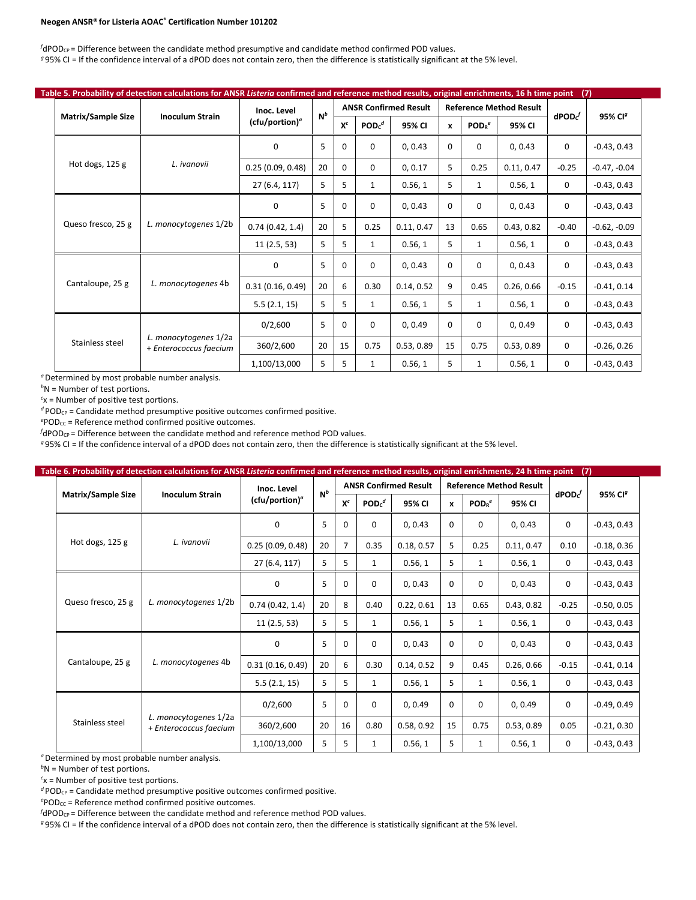#### **Neogen ANSR® for Listeria AOAC® Certification Number 101202**

 $f$ dPOD<sub>CP</sub> = Difference between the candidate method presumptive and candidate method confirmed POD values. *<sup>g</sup>* 95% CI = If the confidence interval of a dPOD does not contain zero, then the difference is statistically significant at the 5% level.

|  |                           | Table 5. Probability of detection calculations for ANSR Listeria confirmed and reference method results, original enrichments, 16 h time point |                   |       |                                             |                  |                              |              |                               |                                | (7)               |                     |
|--|---------------------------|------------------------------------------------------------------------------------------------------------------------------------------------|-------------------|-------|---------------------------------------------|------------------|------------------------------|--------------|-------------------------------|--------------------------------|-------------------|---------------------|
|  |                           | <b>Inoculum Strain</b>                                                                                                                         | Inoc. Level       | $N^b$ |                                             |                  | <b>ANSR Confirmed Result</b> |              |                               | <b>Reference Method Result</b> |                   |                     |
|  | <b>Matrix/Sample Size</b> |                                                                                                                                                | $(cfu/portion)^a$ |       | $X^c$                                       | POD <sub>c</sub> | 95% CI                       | $\mathbf{x}$ | POD <sub>R</sub> <sup>e</sup> | 95% CI                         | $\mathsf{dPOD}^f$ | 95% CI <sup>g</sup> |
|  |                           |                                                                                                                                                | 0                 | 5     | 0, 0.43<br>$\Omega$<br>0<br>$\Omega$        | 0                | 0, 0.43                      | 0            | $-0.43, 0.43$                 |                                |                   |                     |
|  | Hot dogs, $125$ g         | L. ivanovii                                                                                                                                    | 0.25(0.09, 0.48)  | 20    | $\Omega$                                    | 0                | 0, 0.17                      | 5            | 0.25                          | 0.11, 0.47                     | $-0.25$           | $-0.47, -0.04$      |
|  |                           |                                                                                                                                                | 27 (6.4, 117)     | 5     | 5                                           | 1                | 0.56, 1                      | 5            | $\mathbf{1}$                  | 0.56, 1                        | 0                 | $-0.43, 0.43$       |
|  |                           |                                                                                                                                                | 0                 | 5     | $\Omega$                                    | 0                | 0, 0.43                      | 0            | 0                             | 0, 0.43                        | 0                 | $-0.43, 0.43$       |
|  | Queso fresco, 25 g        | L. monocytogenes 1/2b                                                                                                                          | 0.74(0.42, 1.4)   | 20    | 5                                           | 0.25             | 0.11, 0.47                   | 13<br>0.65   | 0.43, 0.82                    | $-0.40$                        | $-0.62, -0.09$    |                     |
|  |                           |                                                                                                                                                | 11(2.5, 53)       | 5     | 5                                           | 1                | 0.56, 1                      | 5            | 1                             | 0.56, 1                        | 0                 | $-0.43, 0.43$       |
|  |                           |                                                                                                                                                | $\Omega$          | 5     | $\Omega$                                    | $\Omega$         | 0, 0.43                      | $\Omega$     | $\Omega$                      | 0, 0.43                        | 0                 | $-0.43, 0.43$       |
|  | Cantaloupe, 25 g          | L. monocytogenes 4b                                                                                                                            | 0.31(0.16, 0.49)  | 20    | 6                                           | 0.30             | 0.14, 0.52                   | 9            | 0.45                          | 0.26, 0.66                     | $-0.15$           | $-0.41, 0.14$       |
|  |                           |                                                                                                                                                | 5.5(2.1, 15)      | 5     | 5                                           | $\mathbf{1}$     | 0.56, 1                      | 5            | 1                             | 0.56, 1                        | 0                 | $-0.43, 0.43$       |
|  |                           |                                                                                                                                                | 0/2,600           | 5     | $\Omega$<br>$\Omega$<br>$\Omega$<br>0, 0.49 |                  | $\Omega$                     | 0, 0.49      | 0                             | $-0.43, 0.43$                  |                   |                     |
|  | Stainless steel           | L. monocytogenes 1/2a<br>+ Enterococcus faecium                                                                                                | 360/2,600         | 20    | 15                                          | 0.75             | 0.53, 0.89                   | 15           | 0.75                          | 0.53, 0.89                     | 0                 | $-0.26, 0.26$       |
|  |                           |                                                                                                                                                | 1,100/13,000      | 5     | 5                                           | 1                | 0.56, 1                      | 5            | 1                             | 0.56, 1                        | $\mathbf 0$       | $-0.43, 0.43$       |

<sup>*a*</sup> Determined by most probable number analysis.

*b* N = Number of test portions.

*c* x = Number of positive test portions.

*<sup>d</sup>* PODCP = Candidate method presumptive positive outcomes confirmed positive.

<sup>e</sup>POD<sub>CC</sub> = Reference method confirmed positive outcomes.

*f* dPOD<sub>CP</sub> = Difference between the candidate method and reference method POD values.

*<sup>g</sup>* 95% CI = If the confidence interval of a dPOD does not contain zero, then the difference is statistically significant at the 5% level.

|                           | Table 6. Probability of detection calculations for ANSR Listeria confirmed and reference method results, original enrichments, 24 h time point |                            |       |                |                               |                              |                  |                               |                                | (7)                |                     |
|---------------------------|------------------------------------------------------------------------------------------------------------------------------------------------|----------------------------|-------|----------------|-------------------------------|------------------------------|------------------|-------------------------------|--------------------------------|--------------------|---------------------|
|                           |                                                                                                                                                | Inoc. Level                | $N^b$ |                |                               | <b>ANSR Confirmed Result</b> |                  |                               | <b>Reference Method Result</b> |                    | 95% Cl <sup>g</sup> |
| <b>Matrix/Sample Size</b> | <b>Inoculum Strain</b>                                                                                                                         | (cfu/portion) <sup>a</sup> |       | $X^c$          | POD <sub>c</sub> <sup>d</sup> | 95% CI                       | $\boldsymbol{x}$ | POD <sub>R</sub> <sup>e</sup> | 95% CI                         | $\mathbf{dPOD}c^f$ |                     |
|                           |                                                                                                                                                | $\mathbf 0$                | 5     | 0              | 0                             | 0, 0.43                      | 0                | $\mathbf 0$                   | 0, 0.43                        | 0                  | $-0.43, 0.43$       |
| Hot dogs, 125 g           | L. ivanovii                                                                                                                                    | 0.25(0.09, 0.48)           | 20    | $\overline{7}$ | 0.35                          | 0.18, 0.57                   | 5                | 0.25                          | 0.11, 0.47                     | 0.10               | $-0.18, 0.36$       |
|                           |                                                                                                                                                | 27 (6.4, 117)              | 5     | 5              | 1                             | 0.56, 1                      | 5<br>1           |                               | 0.56, 1                        | 0                  | $-0.43, 0.43$       |
| Queso fresco, 25 g        |                                                                                                                                                | 0                          | 5     | $\Omega$       | 0                             | 0, 0.43                      | $\Omega$         | $\mathbf 0$                   | 0, 0.43                        | 0                  | $-0.43, 0.43$       |
|                           | L. monocytogenes 1/2b                                                                                                                          | 0.74(0.42, 1.4)            | 20    | 8              | 0.40                          | 0.22, 0.61                   | 13<br>0.65       |                               | 0.43, 0.82                     | $-0.25$            | $-0.50, 0.05$       |
|                           |                                                                                                                                                | 11(2.5, 53)                | 5     | 5              | 1                             | 0.56, 1                      | 5                | $\mathbf{1}$                  | 0.56, 1                        | 0                  | $-0.43, 0.43$       |
|                           |                                                                                                                                                | 0                          | 5.    | $\Omega$       | 0                             | 0, 0.43                      | $\Omega$         | $\mathbf 0$                   | 0, 0.43                        | 0                  | $-0.43, 0.43$       |
| Cantaloupe, 25 g          | L. monocytogenes 4b                                                                                                                            | 0.31(0.16, 0.49)           | 20    | 6              | 0.30                          | 0.14, 0.52                   | 9                | 0.45                          | 0.26, 0.66                     | $-0.15$            | $-0.41, 0.14$       |
|                           |                                                                                                                                                | 5.5(2.1, 15)               | 5     | 5              | 1                             | 0.56, 1                      | 5                | 1                             | 0.56, 1                        | 0                  | $-0.43, 0.43$       |
|                           |                                                                                                                                                | 0/2,600                    | 5     | $\Omega$       | 0                             | 0, 0.49                      | $\mathbf 0$      | $\mathbf 0$                   | 0, 0.49                        | 0                  | $-0.49, 0.49$       |
| Stainless steel           | L. monocytogenes 1/2a<br>+ Enterococcus faecium                                                                                                | 360/2,600                  | 20    | 16             | 0.80                          | 0.58, 0.92                   | 15               | 0.75                          | 0.53, 0.89                     | 0.05               | $-0.21, 0.30$       |
|                           |                                                                                                                                                | 1,100/13,000               | 5     | 5              | 1                             | 0.56, 1                      | 5                | $\mathbf{1}$                  | 0.56, 1                        | $\Omega$           | $-0.43, 0.43$       |

<sup>*a*</sup> Determined by most probable number analysis.

*b* N = Number of test portions.

*c* x = Number of positive test portions.

*<sup>d</sup>* PODCP = Candidate method presumptive positive outcomes confirmed positive.

<sup>e</sup>POD<sub>CC</sub> = Reference method confirmed positive outcomes.

*f* dPOD<sub>CP</sub> = Difference between the candidate method and reference method POD values.

*<sup>g</sup>* 95% CI = If the confidence interval of a dPOD does not contain zero, then the difference is statistically significant at the 5% level.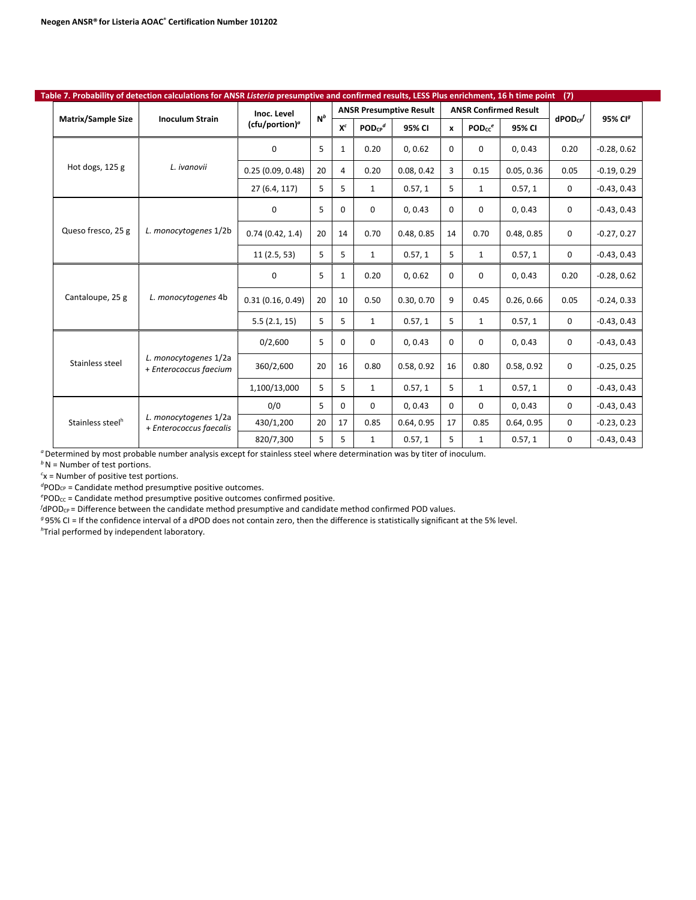|                              | Table 7. Probability of detection calculations for ANSR Listeria presumptive and confirmed results, LESS Plus enrichment, 16 h time point |                            |       |              |                         |                                |              |                    |                              | (7)             |                     |
|------------------------------|-------------------------------------------------------------------------------------------------------------------------------------------|----------------------------|-------|--------------|-------------------------|--------------------------------|--------------|--------------------|------------------------------|-----------------|---------------------|
|                              |                                                                                                                                           | Inoc. Level                | $N^b$ |              |                         | <b>ANSR Presumptive Result</b> |              |                    | <b>ANSR Confirmed Result</b> |                 |                     |
| <b>Matrix/Sample Size</b>    | <b>Inoculum Strain</b>                                                                                                                    | (cfu/portion) <sup>a</sup> |       | $X^c$        | $POD_{CP}$ <sup>d</sup> | 95% CI                         | $\mathbf{x}$ | PODcc <sup>e</sup> | 95% CI                       | $d$ POD $c_{P}$ | 95% CI <sup>g</sup> |
|                              |                                                                                                                                           | $\Omega$                   | 5     | $\mathbf{1}$ | 0.20                    | 0, 0.62                        | $\Omega$     | $\Omega$           | 0, 0.43                      | 0.20            | $-0.28, 0.62$       |
| Hot dogs, 125 g              | L. ivanovii                                                                                                                               | 0.25(0.09, 0.48)           | 20    | 4            | 0.20                    | 0.08, 0.42                     | 3            | 0.15               | 0.05, 0.36                   | 0.05            | $-0.19, 0.29$       |
|                              |                                                                                                                                           | 27 (6.4, 117)              | 5     | 5            | $\mathbf{1}$            | 0.57, 1                        | 5            | $\mathbf{1}$       | 0.57, 1                      | 0               | $-0.43, 0.43$       |
|                              |                                                                                                                                           | $\Omega$                   | 5     | $\Omega$     | $\Omega$                | 0, 0.43                        | $\Omega$     | $\Omega$           | 0, 0.43                      | $\mathbf 0$     | $-0.43, 0.43$       |
| Queso fresco, 25 g           | L. monocytogenes 1/2b                                                                                                                     | 0.74(0.42, 1.4)            | 20    | 14           | 0.70                    | 0.48, 0.85                     | 14           | 0.70               | 0.48, 0.85                   | $\mathbf 0$     | $-0.27, 0.27$       |
|                              |                                                                                                                                           | 11(2.5, 53)                | 5     | 5            | $\mathbf{1}$            | 0.57, 1                        | 5            | $\mathbf{1}$       | 0.57, 1                      | $\mathbf 0$     | $-0.43, 0.43$       |
|                              |                                                                                                                                           | 0                          | 5     | $\mathbf{1}$ | 0.20                    | 0, 0.62                        | $\Omega$     | $\mathbf 0$        | 0, 0.43                      | 0.20            | $-0.28, 0.62$       |
| Cantaloupe, 25 g             | L. monocytogenes 4b                                                                                                                       | 0.31(0.16, 0.49)           | 20    | 10           | 0.50                    | 0.30.0.70                      | 9            | 0.45               | 0.26, 0.66                   | 0.05            | $-0.24, 0.33$       |
|                              |                                                                                                                                           | 5.5(2.1, 15)               | 5     | 5            | $\mathbf{1}$            | 0.57, 1                        | 5            | $\mathbf{1}$       | 0.57, 1                      | $\mathbf 0$     | $-0.43, 0.43$       |
|                              |                                                                                                                                           | 0/2,600                    | 5     | $\mathbf 0$  | $\Omega$                | 0.0.43                         | $\Omega$     | 0                  | 0, 0.43                      | $\mathbf 0$     | $-0.43.0.43$        |
| Stainless steel              | L. monocytogenes 1/2a<br>+ Enterococcus faecium                                                                                           | 360/2,600                  | 20    | 16           | 0.80                    | 0.58, 0.92                     | 16           | 0.80               | 0.58, 0.92                   | $\mathbf 0$     | $-0.25, 0.25$       |
|                              |                                                                                                                                           | 1,100/13,000               | 5     | 5            | $\mathbf{1}$            | 0.57, 1                        | 5            | $\mathbf{1}$       | 0.57, 1                      | 0               | $-0.43, 0.43$       |
|                              | L. monocytogenes 1/2a<br>+ Enterococcus faecalis                                                                                          | 0/0                        | 5     | $\Omega$     | $\Omega$                | 0, 0.43                        | $\Omega$     | $\Omega$           | 0, 0.43                      | $\mathbf 0$     | $-0.43, 0.43$       |
| Stainless steel <sup>h</sup> |                                                                                                                                           | 430/1,200                  | 20    | 17           | 0.85                    | 0.64, 0.95                     | 17           | 0.85               | 0.64, 0.95                   | 0               | $-0.23, 0.23$       |
|                              |                                                                                                                                           | 820/7,300                  | 5     | 5            | $\mathbf{1}$            | 0.57, 1                        | 5            | 1                  | 0.57, 1                      | $\mathbf 0$     | $-0.43, 0.43$       |

*b*N = Number of test portions.

*c* x = Number of positive test portions.

<sup>d</sup>POD<sub>CP</sub> = Candidate method presumptive positive outcomes.

<sup>e</sup>POD<sub>CC</sub> = Candidate method presumptive positive outcomes confirmed positive.

 $f$ dPOD<sub>CP</sub> = Difference between the candidate method presumptive and candidate method confirmed POD values.

*<sup>g</sup>* 95% CI = If the confidence interval of a dPOD does not contain zero, then the difference is statistically significant at the 5% level.

*h* Trial performed by independent laboratory.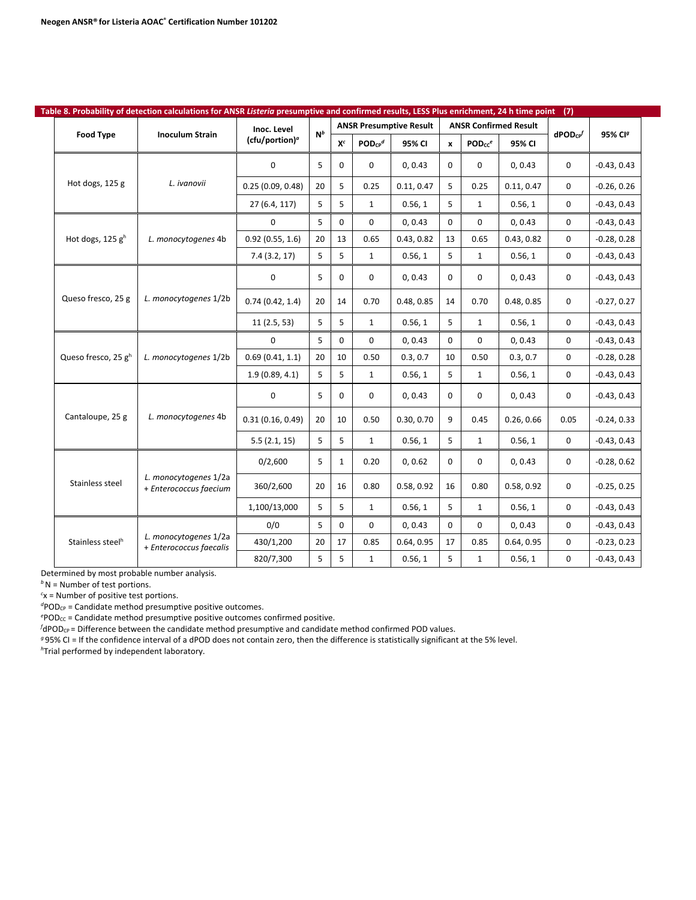| Table 8. Probability of detection calculations for ANSR Listeria presumptive and confirmed results, LESS Plus enrichment, 24 h time point (7) |                                 |                                                  |                            |       |              |                         |                                |                  |                    |                              |               |                     |
|-----------------------------------------------------------------------------------------------------------------------------------------------|---------------------------------|--------------------------------------------------|----------------------------|-------|--------------|-------------------------|--------------------------------|------------------|--------------------|------------------------------|---------------|---------------------|
|                                                                                                                                               |                                 |                                                  | Inoc. Level                | $N^b$ |              |                         | <b>ANSR Presumptive Result</b> |                  |                    | <b>ANSR Confirmed Result</b> |               |                     |
|                                                                                                                                               | <b>Food Type</b>                | <b>Inoculum Strain</b>                           | (cfu/portion) <sup>a</sup> |       | $X^c$        | $POD_{CP}$ <sup>d</sup> | 95% CI                         | $\boldsymbol{x}$ | PODcc <sup>e</sup> | 95% CI                       | $d$ POD $c$ P | 95% CI <sup>g</sup> |
|                                                                                                                                               |                                 |                                                  | 0                          | 5     | 0            | $\mathbf 0$             | 0, 0.43                        | $\Omega$         | 0                  | 0, 0.43                      | 0             | $-0.43, 0.43$       |
|                                                                                                                                               | Hot dogs, 125 g                 | L. ivanovii                                      | 0.25(0.09, 0.48)           | 20    | 5            | 0.25                    | 0.11, 0.47                     | 5                | 0.25               | 0.11, 0.47                   | 0             | $-0.26, 0.26$       |
|                                                                                                                                               |                                 |                                                  | 27 (6.4, 117)              | 5     | 5            | 1                       | 0.56, 1                        | 5                | $\mathbf{1}$       | 0.56, 1                      | $\mathbf 0$   | $-0.43, 0.43$       |
|                                                                                                                                               |                                 |                                                  | $\Omega$                   | 5     | 0            | $\Omega$                | 0, 0.43                        | $\Omega$         | $\Omega$           | 0, 0.43                      | 0             | $-0.43, 0.43$       |
|                                                                                                                                               | Hot dogs, 125 $gh$              | L. monocytogenes 4b                              | 0.92(0.55, 1.6)            | 20    | 13           | 0.65                    | 0.43, 0.82                     | 13               | 0.65               | 0.43, 0.82                   | 0             | $-0.28, 0.28$       |
|                                                                                                                                               |                                 |                                                  | 7.4(3.2, 17)               | 5     | 5            | $\mathbf{1}$            | 0.56, 1                        | 5                | $\mathbf 1$        | 0.56, 1                      | 0             | $-0.43, 0.43$       |
|                                                                                                                                               |                                 |                                                  | 0                          | 5     | 0            | $\mathbf 0$             | 0, 0.43                        | $\Omega$         | 0                  | 0, 0.43                      | 0             | $-0.43, 0.43$       |
|                                                                                                                                               | Queso fresco, 25 g              | L. monocytogenes 1/2b                            | 0.74(0.42, 1.4)            | 20    | 14           | 0.70                    | 0.48, 0.85                     | 14               | 0.70               | 0.48, 0.85                   | 0             | $-0.27, 0.27$       |
|                                                                                                                                               |                                 |                                                  | 11(2.5, 53)                | 5     | 5            | $\mathbf{1}$            | 0.56, 1                        | 5                | $\mathbf{1}$       | 0.56, 1                      | 0             | $-0.43, 0.43$       |
|                                                                                                                                               |                                 |                                                  | 0                          | 5     | 0            | $\Omega$                | 0, 0.43                        | $\Omega$         | $\mathbf 0$        | 0, 0.43                      | 0             | $-0.43, 0.43$       |
|                                                                                                                                               | Queso fresco, 25 g <sup>h</sup> | L. monocytogenes 1/2b                            | 0.69(0.41, 1.1)            | 20    | 10           | 0.50                    | 0.3, 0.7                       | 10               | 0.50               | 0.3, 0.7                     | 0             | $-0.28, 0.28$       |
|                                                                                                                                               |                                 |                                                  | 1.9(0.89, 4.1)             | 5     | 5            | $\mathbf{1}$            | 0.56, 1                        | 5                | $\mathbf{1}$       | 0.56, 1                      | 0             | $-0.43, 0.43$       |
|                                                                                                                                               |                                 |                                                  | 0                          | 5     | 0            | 0                       | 0, 0.43                        | $\Omega$         | 0                  | 0, 0.43                      | 0             | $-0.43, 0.43$       |
|                                                                                                                                               | Cantaloupe, 25 g                | L. monocytogenes 4b                              | 0.31(0.16, 0.49)           | 20    | 10           | 0.50                    | 0.30, 0.70                     | 9                | 0.45               | 0.26, 0.66                   | 0.05          | $-0.24, 0.33$       |
|                                                                                                                                               |                                 |                                                  | 5.5(2.1, 15)               | 5     | 5            | $\mathbf{1}$            | 0.56, 1                        | 5                | $\mathbf{1}$       | 0.56, 1                      | 0             | $-0.43, 0.43$       |
|                                                                                                                                               |                                 |                                                  | 0/2,600                    | 5     | $\mathbf{1}$ | 0.20                    | 0, 0.62                        | 0                | $\mathbf 0$        | 0, 0.43                      | $\mathbf 0$   | $-0.28, 0.62$       |
|                                                                                                                                               | Stainless steel                 | L. monocytogenes 1/2a<br>+ Enterococcus faecium  | 360/2,600                  | 20    | 16           | 0.80                    | 0.58, 0.92                     | 16               | 0.80               | 0.58, 0.92                   | 0             | $-0.25, 0.25$       |
|                                                                                                                                               |                                 |                                                  | 1,100/13,000               | 5     | 5            | $\mathbf{1}$            | 0.56, 1                        | 5                | $\mathbf{1}$       | 0.56, 1                      | 0             | $-0.43, 0.43$       |
|                                                                                                                                               |                                 |                                                  | 0/0                        | 5     | 0            | $\Omega$                | 0, 0.43                        | $\Omega$         | $\mathbf 0$        | 0, 0.43                      | 0             | $-0.43, 0.43$       |
|                                                                                                                                               | Stainless steel <sup>h</sup>    | L. monocytogenes 1/2a<br>+ Enterococcus faecalis | 430/1,200                  | 20    | 17           | 0.85                    | 0.64, 0.95                     | 17               | 0.85               | 0.64, 0.95                   | 0             | $-0.23, 0.23$       |
|                                                                                                                                               |                                 |                                                  | 820/7,300                  | 5     | 5            | $\mathbf{1}$            | 0.56, 1                        | 5                | $\mathbf{1}$       | 0.56, 1                      | $\mathbf 0$   | $-0.43, 0.43$       |

Determined by most probable number analysis.

*b*N = Number of test portions.

*c* x = Number of positive test portions.

<sup>d</sup>POD<sub>CP</sub> = Candidate method presumptive positive outcomes.

<sup>e</sup>POD<sub>CC</sub> = Candidate method presumptive positive outcomes confirmed positive.

 $f$ dPOD<sub>CP</sub> = Difference between the candidate method presumptive and candidate method confirmed POD values.

*<sup>g</sup>* 95% CI = If the confidence interval of a dPOD does not contain zero, then the difference is statistically significant at the 5% level.

*h* Trial performed by independent laboratory.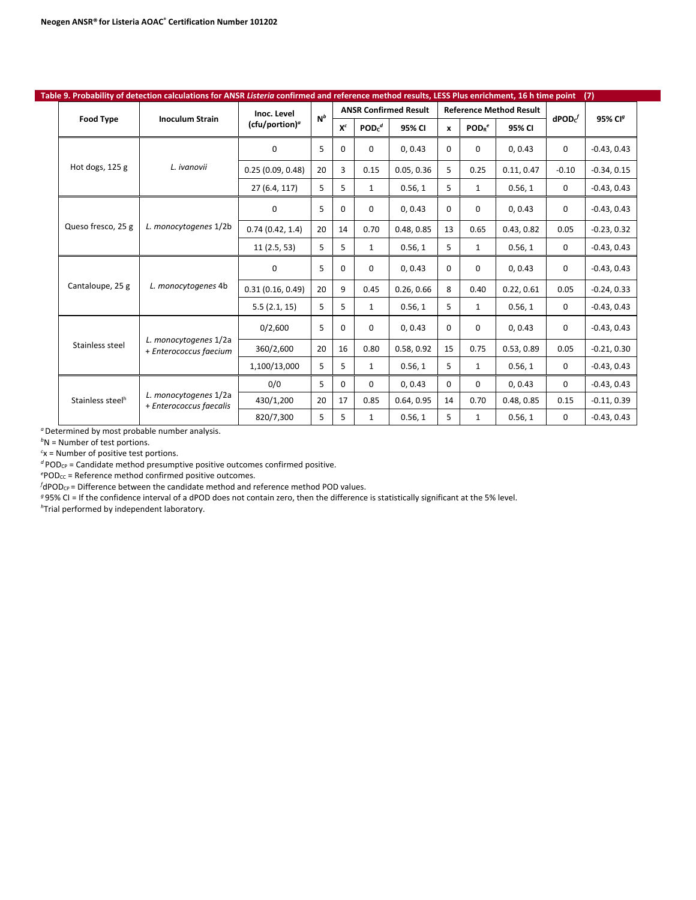|  |                                                      | Table 9. Probability of detection calculations for ANSR Listeria confirmed and reference method results, LESS Plus enrichment, 16 h time point |                   |       |              |                     |                              |              |                               |                                |                    | (7)                 |
|--|------------------------------------------------------|------------------------------------------------------------------------------------------------------------------------------------------------|-------------------|-------|--------------|---------------------|------------------------------|--------------|-------------------------------|--------------------------------|--------------------|---------------------|
|  |                                                      |                                                                                                                                                | Inoc. Level       | $N^b$ |              |                     | <b>ANSR Confirmed Result</b> |              |                               | <b>Reference Method Result</b> |                    |                     |
|  | <b>Food Type</b>                                     | <b>Inoculum Strain</b>                                                                                                                         | $(cfu/portion)^a$ |       | $X^c$        | $PODc$ <sup>d</sup> | 95% CI                       | $\mathbf{x}$ | POD <sub>R</sub> <sup>e</sup> | 95% CI                         | $\mathsf{dPOD}c^f$ | 95% CI <sup>g</sup> |
|  |                                                      |                                                                                                                                                | 0                 | 5     | $\Omega$     | $\Omega$            | 0.0.43                       | $\Omega$     | $\Omega$                      | 0.0.43                         | 0                  | $-0.43.0.43$        |
|  | Hot dogs, 125 g<br>L. ivanovii<br>Queso fresco, 25 g |                                                                                                                                                | 0.25(0.09, 0.48)  | 20    | 3            | 0.15                | 0.05, 0.36                   | 5            | 0.25                          | 0.11, 0.47                     | $-0.10$            | $-0.34, 0.15$       |
|  |                                                      |                                                                                                                                                | 27 (6.4, 117)     | 5     | 5            | $\mathbf{1}$        | 0.56, 1                      | 5            | $\mathbf{1}$                  | 0.56, 1                        | 0                  | $-0.43, 0.43$       |
|  |                                                      |                                                                                                                                                | 0                 | 5     | $\Omega$     | $\Omega$            | 0, 0.43                      | $\Omega$     | $\Omega$                      | 0, 0.43                        | 0                  | $-0.43, 0.43$       |
|  |                                                      | L. monocytogenes 1/2b                                                                                                                          | 0.74(0.42, 1.4)   | 20    | 14           | 0.70                | 0.48.0.85                    | 13           | 0.65                          | 0.43, 0.82                     | 0.05               | $-0.23, 0.32$       |
|  |                                                      | 11(2.5, 53)                                                                                                                                    | 5                 | 5     | $\mathbf{1}$ | 0.56, 1             | 5                            | $\mathbf{1}$ | 0.56, 1                       | 0                              | $-0.43, 0.43$      |                     |
|  |                                                      |                                                                                                                                                | 0                 | 5     | $\Omega$     | $\Omega$            | 0, 0.43                      | $\Omega$     | 0                             | 0, 0.43                        | 0                  | $-0.43, 0.43$       |
|  | Cantaloupe, 25 g                                     | L. monocytogenes 4b                                                                                                                            | 0.31(0.16, 0.49)  | 20    | 9            | 0.45                | 0.26, 0.66                   | 8            | 0.40                          | 0.22, 0.61                     | 0.05               | $-0.24, 0.33$       |
|  |                                                      |                                                                                                                                                | 5.5(2.1, 15)      | 5     | 5            | $\mathbf{1}$        | 0.56, 1                      | 5            | $\mathbf{1}$                  | 0.56, 1                        | 0                  | $-0.43, 0.43$       |
|  |                                                      |                                                                                                                                                | 0/2,600           | 5     | $\Omega$     | $\Omega$            | 0.0.43                       | $\Omega$     | $\Omega$                      | 0, 0.43                        | 0                  | $-0.43, 0.43$       |
|  | Stainless steel                                      | L. monocytogenes 1/2a<br>+ Enterococcus faecium                                                                                                | 360/2,600         | 20    | 16           | 0.80                | 0.58, 0.92                   | 15           | 0.75                          | 0.53, 0.89                     | 0.05               | $-0.21, 0.30$       |
|  |                                                      |                                                                                                                                                | 1,100/13,000      | 5     | 5            | $\mathbf{1}$        | 0.56, 1                      | 5            | $\mathbf{1}$                  | 0.56, 1                        | 0                  | $-0.43, 0.43$       |
|  |                                                      |                                                                                                                                                | 0/0               | 5     | $\Omega$     | $\Omega$            | 0, 0.43                      | $\Omega$     | $\Omega$                      | 0, 0.43                        | $\Omega$           | $-0.43, 0.43$       |
|  | Stainless steel <sup>h</sup>                         | L. monocytogenes 1/2a<br>+ Enterococcus faecalis                                                                                               | 430/1,200         | 20    | 17           | 0.85                | 0.64, 0.95                   | 14           | 0.70                          | 0.48, 0.85                     | 0.15               | $-0.11, 0.39$       |
|  |                                                      |                                                                                                                                                | 820/7,300         | 5     | 5            | $\mathbf{1}$        | 0.56, 1                      | 5            | $\mathbf{1}$                  | 0.56, 1                        | 0                  | $-0.43, 0.43$       |

*a* Determined by most probable number analysis.

*b* N = Number of test portions.

*c* x = Number of positive test portions.

 $d$  POD<sub>CP</sub> = Candidate method presumptive positive outcomes confirmed positive.

<sup>e</sup>POD<sub>CC</sub> = Reference method confirmed positive outcomes.

*f* dPOD<sub>CP</sub> = Difference between the candidate method and reference method POD values.

*<sup>g</sup>* 95% CI = If the confidence interval of a dPOD does not contain zero, then the difference is statistically significant at the 5% level.

*h* Trial performed by independent laboratory.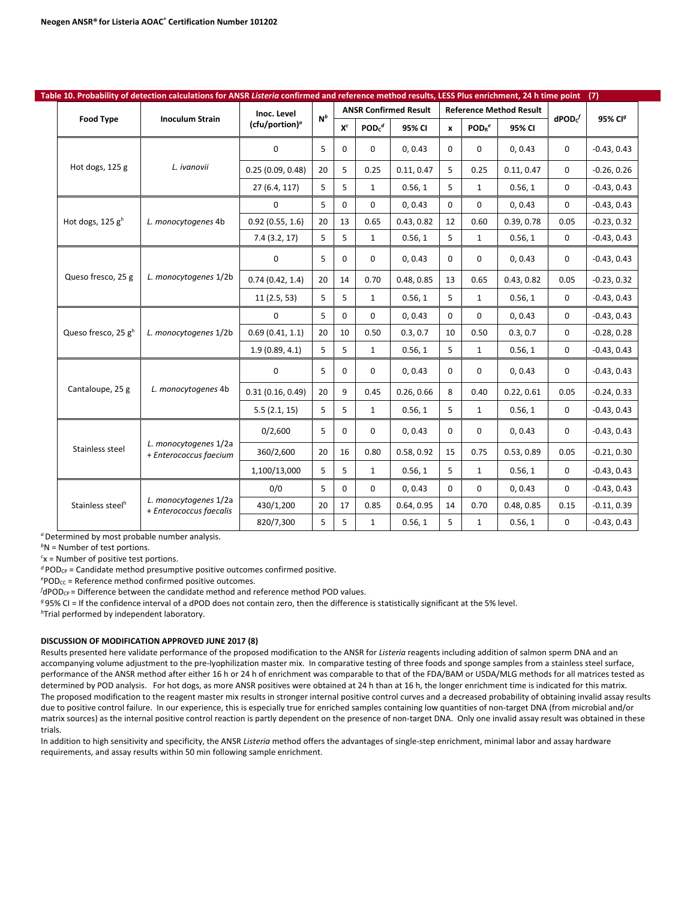|                              | Table 10. Probability of detection calculations for ANSR Listeria confirmed and reference method results, LESS Plus enrichment, 24 h time point |                            |       |          |              |                              |              |                               |                                |                     | (7)                 |
|------------------------------|-------------------------------------------------------------------------------------------------------------------------------------------------|----------------------------|-------|----------|--------------|------------------------------|--------------|-------------------------------|--------------------------------|---------------------|---------------------|
| <b>Food Type</b>             | <b>Inoculum Strain</b>                                                                                                                          | Inoc. Level                | $N^b$ |          |              | <b>ANSR Confirmed Result</b> |              |                               | <b>Reference Method Result</b> | $\mathsf{dPOD}^{f}$ | 95% CI <sup>g</sup> |
|                              |                                                                                                                                                 | (cfu/portion) <sup>a</sup> |       | $X^c$    | $PODc^d$     | 95% CI                       | $\mathbf{x}$ | POD <sub>R</sub> <sup>e</sup> | 95% CI                         |                     |                     |
|                              |                                                                                                                                                 | 0                          | 5     | 0        | 0            | 0, 0.43                      | 0            | $\mathbf 0$                   | 0, 0.43                        | $\mathbf 0$         | $-0.43, 0.43$       |
| Hot dogs, 125 g              | L. ivanovii                                                                                                                                     | 0.25(0.09, 0.48)           | 20    | 5        | 0.25         | 0.11, 0.47                   | 5            | 0.25                          | 0.11, 0.47                     | $\mathbf 0$         | $-0.26, 0.26$       |
|                              |                                                                                                                                                 | 27 (6.4, 117)              | 5     | 5        | $\mathbf{1}$ | 0.56, 1                      | 5            | $\mathbf{1}$                  | 0.56, 1                        | $\mathbf 0$         | $-0.43, 0.43$       |
|                              |                                                                                                                                                 | $\Omega$                   | 5     | $\Omega$ | $\Omega$     | 0, 0.43                      | $\Omega$     | $\Omega$                      | 0, 0.43                        | $\mathbf 0$         | $-0.43, 0.43$       |
| Hot dogs, 125 $gh$           | L. monocytogenes 4b                                                                                                                             | 0.92(0.55, 1.6)            | 20    | 13       | 0.65         | 0.43, 0.82                   | 12           | 0.60                          | 0.39, 0.78                     | 0.05                | $-0.23, 0.32$       |
|                              |                                                                                                                                                 | 7.4(3.2, 17)               | 5     | 5        | $\mathbf{1}$ | 0.56, 1                      | 5            | $\mathbf{1}$                  | 0.56, 1                        | $\mathbf 0$         | $-0.43, 0.43$       |
|                              |                                                                                                                                                 | 0                          | 5     | 0        | 0            | 0, 0.43                      | $\Omega$     | $\mathbf 0$                   | 0, 0.43                        | $\mathbf 0$         | $-0.43, 0.43$       |
| Queso fresco, 25 g           | L. monocytogenes 1/2b                                                                                                                           | 0.74(0.42, 1.4)            | 20    | 14       | 0.70         | 0.48.0.85                    | 13           | 0.65                          | 0.43, 0.82                     | 0.05                | $-0.23, 0.32$       |
|                              |                                                                                                                                                 | 11(2.5, 53)                | 5     | 5        | $\mathbf{1}$ | 0.56, 1                      | 5            | $\mathbf{1}$                  | 0.56, 1                        | 0                   | $-0.43, 0.43$       |
|                              |                                                                                                                                                 | $\mathbf 0$                | 5     | 0        | 0            | 0, 0.43                      | 0            | $\Omega$                      | 0, 0.43                        | 0                   | $-0.43, 0.43$       |
| Queso fresco, 25 gh          | L. monocytogenes 1/2b                                                                                                                           | 0.69(0.41, 1.1)            | 20    | 10       | 0.50         | 0.3, 0.7                     | 10           | 0.50                          | 0.3, 0.7                       | $\mathbf 0$         | $-0.28, 0.28$       |
|                              |                                                                                                                                                 | 1.9(0.89, 4.1)             | 5     | 5        | $\mathbf{1}$ | 0.56, 1                      | 5            | $\mathbf{1}$                  | 0.56, 1                        | $\mathbf 0$         | $-0.43, 0.43$       |
|                              |                                                                                                                                                 | $\mathbf 0$                | 5     | 0        | 0            | 0, 0.43                      | $\Omega$     | 0                             | 0, 0.43                        | $\mathbf 0$         | $-0.43, 0.43$       |
| Cantaloupe, 25 g             | L. monocytogenes 4b                                                                                                                             | 0.31(0.16, 0.49)           | 20    | 9        | 0.45         | 0.26, 0.66                   | 8            | 0.40                          | 0.22, 0.61                     | 0.05                | $-0.24, 0.33$       |
|                              |                                                                                                                                                 | 5.5(2.1, 15)               | 5     | 5        | $\mathbf{1}$ | 0.56, 1                      | 5            | $\mathbf{1}$                  | 0.56, 1                        | 0                   | $-0.43, 0.43$       |
|                              |                                                                                                                                                 | 0/2,600                    | 5     | 0        | 0            | 0, 0.43                      | 0            | 0                             | 0, 0.43                        | 0                   | $-0.43, 0.43$       |
| Stainless steel              | L. monocytogenes 1/2a<br>+ Enterococcus faecium                                                                                                 | 360/2,600                  | 20    | 16       | 0.80         | 0.58, 0.92                   | 15           | 0.75                          | 0.53, 0.89                     | 0.05                | $-0.21, 0.30$       |
|                              |                                                                                                                                                 | 1,100/13,000               | 5     | 5        | $\mathbf{1}$ | 0.56, 1                      | 5            | $\mathbf{1}$                  | 0.56, 1                        | $\mathbf 0$         | $-0.43, 0.43$       |
|                              |                                                                                                                                                 | 0/0                        | 5     | 0        | 0            | 0, 0.43                      | $\Omega$     | $\mathbf 0$                   | 0, 0.43                        | $\mathbf 0$         | $-0.43, 0.43$       |
| Stainless steel <sup>h</sup> | L. monocytogenes 1/2a<br>+ Enterococcus faecalis                                                                                                | 430/1,200                  | 20    | 17       | 0.85         | 0.64, 0.95                   | 14           | 0.70                          | 0.48, 0.85                     | 0.15                | $-0.11, 0.39$       |
|                              |                                                                                                                                                 | 820/7,300                  | 5     | 5        | $\mathbf{1}$ | 0.56, 1                      | 5            | $\mathbf{1}$                  | 0.56, 1                        | 0                   | $-0.43, 0.43$       |

<sup>*a*</sup> Determined by most probable number analysis.

*b* N = Number of test portions.

*c* x = Number of positive test portions.

 $d$  POD<sub>CP</sub> = Candidate method presumptive positive outcomes confirmed positive.

<sup>e</sup>POD<sub>CC</sub> = Reference method confirmed positive outcomes.

*f* dPOD<sub>CP</sub> = Difference between the candidate method and reference method POD values.

*<sup>g</sup>* 95% CI = If the confidence interval of a dPOD does not contain zero, then the difference is statistically significant at the 5% level.

*h* Trial performed by independent laboratory.

#### **DISCUSSION OF MODIFICATION APPROVED JUNE 2017 (8)**

Results presented here validate performance of the proposed modification to the ANSR for *Listeria* reagents including addition of salmon sperm DNA and an accompanying volume adjustment to the pre-lyophilization master mix. In comparative testing of three foods and sponge samples from a stainless steel surface, performance of the ANSR method after either 16 h or 24 h of enrichment was comparable to that of the FDA/BAM or USDA/MLG methods for all matrices tested as determined by POD analysis. For hot dogs, as more ANSR positives were obtained at 24 h than at 16 h, the longer enrichment time is indicated for this matrix. The proposed modification to the reagent master mix results in stronger internal positive control curves and a decreased probability of obtaining invalid assay results due to positive control failure. In our experience, this is especially true for enriched samples containing low quantities of non-target DNA (from microbial and/or matrix sources) as the internal positive control reaction is partly dependent on the presence of non-target DNA. Only one invalid assay result was obtained in these trials.

In addition to high sensitivity and specificity, the ANSR *Listeria* method offers the advantages of single-step enrichment, minimal labor and assay hardware requirements, and assay results within 50 min following sample enrichment.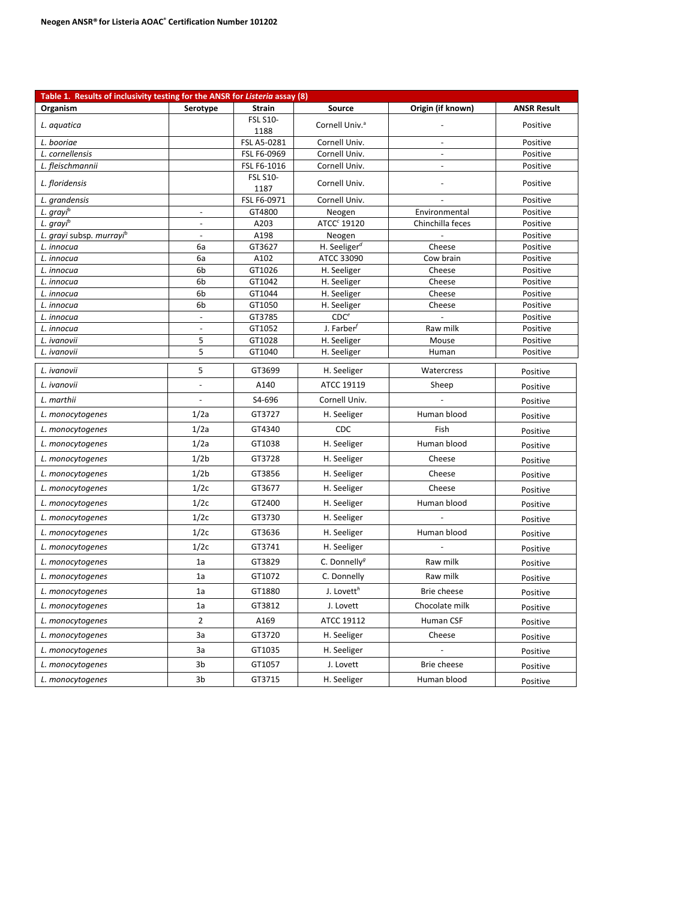| Table 1. Results of inclusivity testing for the ANSR for Listeria assay (8) |                          |                         |                            |                          |                      |
|-----------------------------------------------------------------------------|--------------------------|-------------------------|----------------------------|--------------------------|----------------------|
| Organism                                                                    | Serotype                 | <b>Strain</b>           | Source                     | Origin (if known)        | <b>ANSR Result</b>   |
| L. aquatica                                                                 |                          | <b>FSL S10-</b><br>1188 | Cornell Univ. <sup>a</sup> |                          | Positive             |
| L. booriae                                                                  |                          | FSL A5-0281             | Cornell Univ.              | $\overline{\phantom{a}}$ | Positive             |
| L. cornellensis                                                             |                          | FSL F6-0969             | Cornell Univ.              | $\overline{\phantom{a}}$ | Positive             |
| L. fleischmannii                                                            |                          | FSL F6-1016             | Cornell Univ.              | $\blacksquare$           | Positive             |
| L. floridensis                                                              |                          | <b>FSL S10-</b><br>1187 | Cornell Univ.              |                          | Positive             |
| L. grandensis                                                               |                          | FSL F6-0971             | Cornell Univ.              |                          | Positive             |
| L. grayi <sup>b</sup>                                                       | $\blacksquare$           | GT4800                  | Neogen                     | Environmental            | Positive             |
| L. grayi <sup>b</sup>                                                       | $\overline{\phantom{a}}$ | A203                    | ATCC <sup>c</sup> 19120    | Chinchilla feces         | Positive             |
| L. grayi subsp. murrayi <sup>b</sup>                                        | L.                       | A198                    | Neogen                     |                          | Positive             |
| L. innocua                                                                  | 6a                       | GT3627                  | H. Seeliger <sup>d</sup>   | Cheese                   | Positive             |
| L. innocua                                                                  | 6a<br>6b                 | A102<br>GT1026          | ATCC 33090                 | Cow brain                | Positive             |
| L. innocua<br>L. innocua                                                    | 6b                       | GT1042                  | H. Seeliger<br>H. Seeliger | Cheese<br>Cheese         | Positive<br>Positive |
| L. innocua                                                                  | 6b                       | GT1044                  | H. Seeliger                | Cheese                   | Positive             |
| L. innocua                                                                  | 6b                       | GT1050                  | H. Seeliger                | Cheese                   | Positive             |
| L. innocua                                                                  | $\overline{a}$           | GT3785                  | CDC <sup>e</sup>           |                          | Positive             |
| L. innocua                                                                  | $\overline{\phantom{a}}$ | GT1052                  | J. Farber $f$              | Raw milk                 | Positive             |
| L. ivanovii                                                                 | 5                        | GT1028                  | H. Seeliger                | Mouse                    | Positive             |
| L. ivanovii                                                                 | 5                        | GT1040                  | H. Seeliger                | Human                    | Positive             |
| L. ivanovii                                                                 | 5                        | GT3699                  | H. Seeliger                | Watercress               | Positive             |
| L. ivanovii                                                                 |                          | A140                    | ATCC 19119                 | Sheep                    | Positive             |
| L. marthii                                                                  |                          | S4-696                  | Cornell Univ.              |                          | Positive             |
| L. monocytogenes                                                            | 1/2a                     | GT3727                  | H. Seeliger                | Human blood              | Positive             |
| L. monocytogenes                                                            | 1/2a                     | GT4340                  | CDC                        | Fish                     | Positive             |
| L. monocytogenes                                                            | 1/2a                     | GT1038                  | H. Seeliger                | Human blood              | Positive             |
| L. monocytogenes                                                            | 1/2 <sub>b</sub>         | GT3728                  | H. Seeliger                | Cheese                   | Positive             |
| L. monocytogenes                                                            | 1/2 <sub>b</sub>         | GT3856                  | H. Seeliger                | Cheese                   | Positive             |
| L. monocytogenes                                                            | 1/2c                     | GT3677                  | H. Seeliger                | Cheese                   | Positive             |
| L. monocytogenes                                                            | 1/2c                     | GT2400                  | H. Seeliger                | Human blood              | Positive             |
| L. monocytogenes                                                            | 1/2c                     | GT3730                  | H. Seeliger                |                          | Positive             |
| L. monocytogenes                                                            | 1/2c                     | GT3636                  | H. Seeliger                | Human blood              | Positive             |
| L. monocytogenes                                                            | 1/2c                     | GT3741                  | H. Seeliger                |                          | Positive             |
| L. monocytogenes                                                            | 1a                       | GT3829                  | C. Donnelly <sup>g</sup>   | Raw milk                 | Positive             |
| L. monocytogenes                                                            | 1a                       | GT1072                  | C. Donnelly                | Raw milk                 | Positive             |
| L. monocytogenes                                                            | 1a                       | GT1880                  | J. Lovett $^h$             | <b>Brie cheese</b>       | Positive             |
| L. monocytogenes                                                            | 1a                       | GT3812                  | J. Lovett                  | Chocolate milk           | Positive             |
| L. monocytogenes                                                            | $\overline{2}$           | A169                    | ATCC 19112                 | Human CSF                | Positive             |
| L. monocytogenes                                                            | 3a                       | GT3720                  | H. Seeliger                | Cheese                   | Positive             |
| L. monocytogenes                                                            | За                       | GT1035                  | H. Seeliger                | $\overline{\phantom{a}}$ | Positive             |
| L. monocytogenes                                                            | 3b                       | GT1057                  | J. Lovett                  | Brie cheese              | Positive             |
| L. monocytogenes                                                            | 3b                       | GT3715                  | H. Seeliger                | Human blood              | Positive             |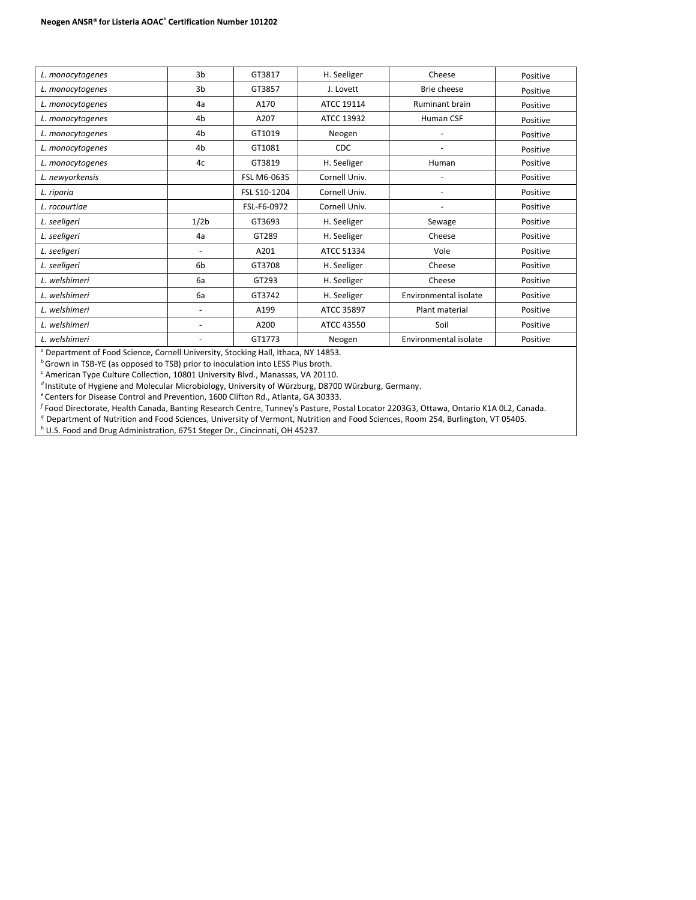| L. monocytogenes | 3 <sub>b</sub>               | GT3817       | H. Seeliger   | Cheese                | Positive |
|------------------|------------------------------|--------------|---------------|-----------------------|----------|
| L. monocytogenes | 3 <sub>b</sub>               | GT3857       | J. Lovett     | Brie cheese           | Positive |
| L. monocytogenes | 4a                           | A170         | ATCC 19114    | <b>Ruminant brain</b> | Positive |
| L. monocytogenes | 4 <sub>b</sub>               | A207         | ATCC 13932    | Human CSF             | Positive |
| L. monocytogenes | 4 <sub>b</sub>               | GT1019       | Neogen        |                       | Positive |
| L. monocytogenes | 4 <sub>b</sub>               | GT1081       | CDC           |                       | Positive |
| L. monocytogenes | 4c                           | GT3819       | H. Seeliger   | Human                 | Positive |
| L. newyorkensis  |                              | FSL M6-0635  | Cornell Univ. |                       | Positive |
| L. riparia       |                              | FSL S10-1204 | Cornell Univ. |                       | Positive |
| L. rocourtiae    |                              | FSL-F6-0972  | Cornell Univ. |                       | Positive |
| L. seeligeri     | 1/2 <sub>b</sub>             | GT3693       | H. Seeliger   | Sewage                | Positive |
| L. seeligeri     | 4a                           | GT289        | H. Seeliger   | Cheese                | Positive |
| L. seeligeri     | $\qquad \qquad \blacksquare$ | A201         | ATCC 51334    | Vole                  | Positive |
| L. seeligeri     | 6 <sub>b</sub>               | GT3708       | H. Seeliger   | Cheese                | Positive |
| L. welshimeri    | 6a                           | GT293        | H. Seeliger   | Cheese                | Positive |
| L. welshimeri    | 6a                           | GT3742       | H. Seeliger   | Environmental isolate | Positive |
| L. welshimeri    | -                            | A199         | ATCC 35897    | Plant material        | Positive |
| L. welshimeri    | -                            | A200         | ATCC 43550    | Soil                  | Positive |
| L. welshimeri    | -                            | GT1773       | Neogen        | Environmental isolate | Positive |
|                  |                              |              |               |                       |          |

a Department of Food Science, Cornell University, Stocking Hall, Ithaca, NY 14853.

*b* Grown in TSB-YE (as opposed to TSB) prior to inoculation into LESS Plus broth.

*<sup>c</sup>* American Type Culture Collection, 10801 University Blvd., Manassas, VA 20110.

<sup>d</sup>Institute of Hygiene and Molecular Microbiology, University of Würzburg, D8700 Würzburg, Germany.

*<sup>e</sup>*Centers for Disease Control and Prevention, 1600 Clifton Rd., Atlanta, GA 30333.

*<sup>f</sup>* Food Directorate, Health Canada, Banting Research Centre, Tunney's Pasture, Postal Locator 2203G3, Ottawa, Ontario K1A 0L2, Canada.

*<sup>g</sup>*Department of Nutrition and Food Sciences, University of Vermont, Nutrition and Food Sciences, Room 254, Burlington, VT 05405.

h U.S. Food and Drug Administration, 6751 Steger Dr., Cincinnati, OH 45237.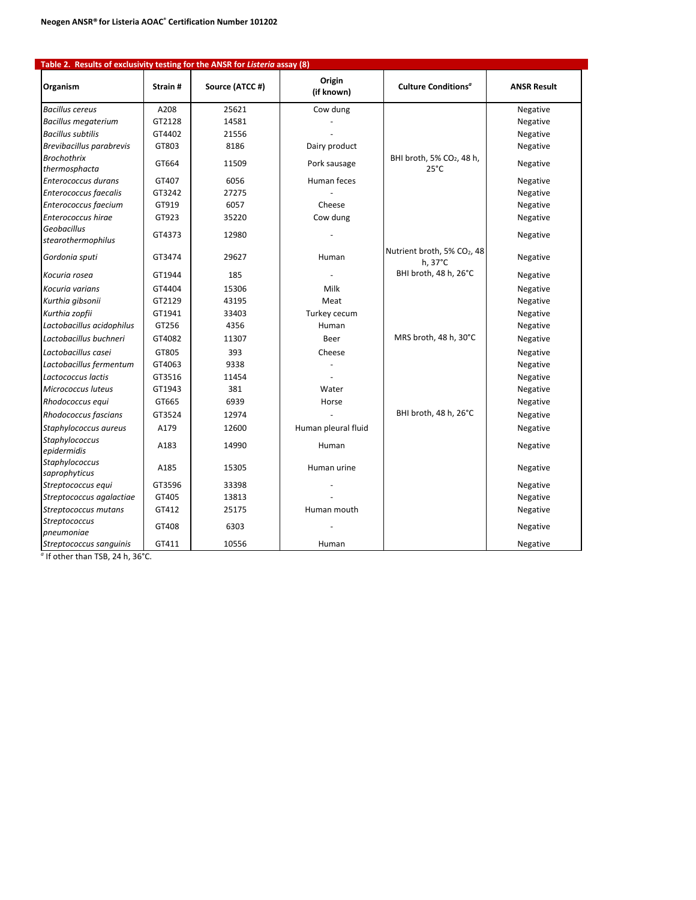| Table 2. Results of exclusivity testing for the ANSR for Listeria assay (8) |         |                 |                      |                                                         |                    |
|-----------------------------------------------------------------------------|---------|-----------------|----------------------|---------------------------------------------------------|--------------------|
| Organism                                                                    | Strain# | Source (ATCC #) | Origin<br>(if known) | Culture Conditions <sup>a</sup>                         | <b>ANSR Result</b> |
| <b>Bacillus cereus</b>                                                      | A208    | 25621           | Cow dung             |                                                         | Negative           |
| <b>Bacillus megaterium</b>                                                  | GT2128  | 14581           |                      |                                                         | Negative           |
| <b>Bacillus subtilis</b>                                                    | GT4402  | 21556           |                      |                                                         | Negative           |
| Brevibacillus parabrevis                                                    | GT803   | 8186            | Dairy product        |                                                         | Negative           |
| <b>Brochothrix</b><br>thermosphacta                                         | GT664   | 11509           | Pork sausage         | BHI broth, 5% CO <sub>2</sub> , 48 h,<br>$25^{\circ}$ C | Negative           |
| Enterococcus durans                                                         | GT407   | 6056            | Human feces          |                                                         | Negative           |
| Enterococcus faecalis                                                       | GT3242  | 27275           |                      |                                                         | Negative           |
| Enterococcus faecium                                                        | GT919   | 6057            | Cheese               |                                                         | Negative           |
| Enterococcus hirae                                                          | GT923   | 35220           | Cow dung             |                                                         | Negative           |
| Geobacillus<br>stearothermophilus                                           | GT4373  | 12980           |                      |                                                         | Negative           |
| Gordonia sputi                                                              | GT3474  | 29627           | Human                | Nutrient broth, 5% CO2, 48<br>$h, 37^{\circ}$ C         | Negative           |
| Kocuria rosea                                                               | GT1944  | 185             |                      | BHI broth, 48 h, 26°C                                   | Negative           |
| Kocuria varians                                                             | GT4404  | 15306           | Milk                 |                                                         | Negative           |
| Kurthia gibsonii                                                            | GT2129  | 43195           | Meat                 |                                                         | Negative           |
| Kurthia zopfii                                                              | GT1941  | 33403           | Turkey cecum         |                                                         | Negative           |
| Lactobacillus acidophilus                                                   | GT256   | 4356            | Human                |                                                         | Negative           |
| Lactobacillus buchneri                                                      | GT4082  | 11307           | Beer                 | MRS broth, 48 h, 30°C                                   | Negative           |
| Lactobacillus casei                                                         | GT805   | 393             | Cheese               |                                                         | Negative           |
| Lactobacillus fermentum                                                     | GT4063  | 9338            |                      |                                                         | Negative           |
| Lactococcus lactis                                                          | GT3516  | 11454           |                      |                                                         | Negative           |
| Micrococcus luteus                                                          | GT1943  | 381             | Water                |                                                         | Negative           |
| Rhodococcus equi                                                            | GT665   | 6939            | Horse                |                                                         | Negative           |
| Rhodococcus fascians                                                        | GT3524  | 12974           |                      | BHI broth, 48 h, 26°C                                   | Negative           |
| Staphylococcus aureus                                                       | A179    | 12600           | Human pleural fluid  |                                                         | Negative           |
| Staphylococcus<br>epidermidis                                               | A183    | 14990           | Human                |                                                         | Negative           |
| Staphylococcus<br>saprophyticus                                             | A185    | 15305           | Human urine          |                                                         | Negative           |
| Streptococcus equi                                                          | GT3596  | 33398           |                      |                                                         | Negative           |
| Streptococcus agalactiae                                                    | GT405   | 13813           |                      |                                                         | Negative           |
| Streptococcus mutans                                                        | GT412   | 25175           | Human mouth          |                                                         | Negative           |
| Streptococcus<br>pneumoniae                                                 | GT408   | 6303            |                      |                                                         | Negative           |
| Streptococcus sanguinis                                                     | GT411   | 10556           | Human                |                                                         | Negative           |

*<sup>a</sup>* If other than TSB, 24 h, 36°C.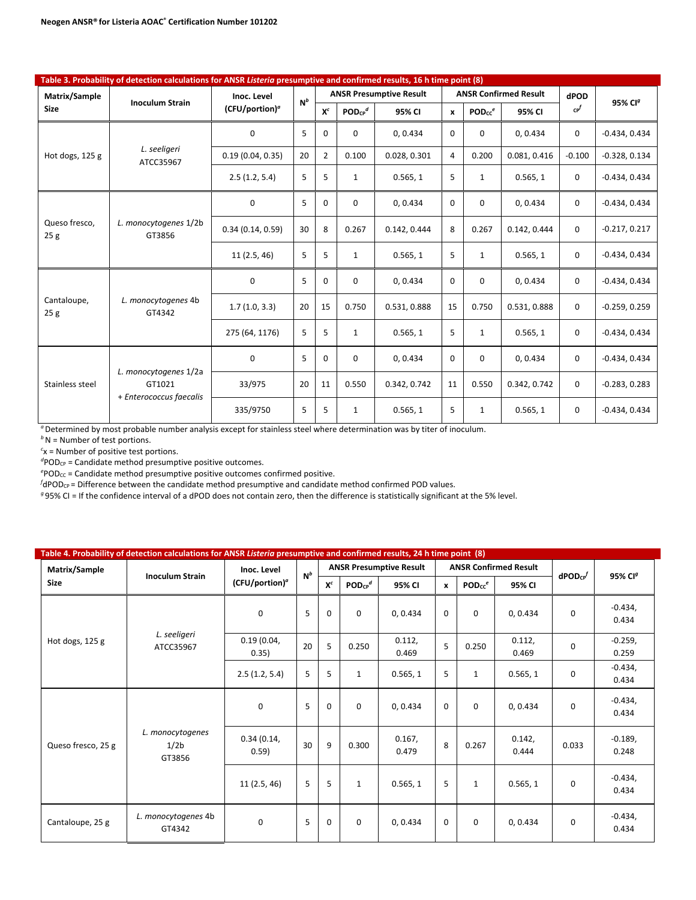|                                                                              | Table 3. Probability of detection calculations for ANSR Listeria presumptive and confirmed results, 16 h time point (8) |                            |       |                |              |                                |              |                    |                              |                           |                     |  |  |
|------------------------------------------------------------------------------|-------------------------------------------------------------------------------------------------------------------------|----------------------------|-------|----------------|--------------|--------------------------------|--------------|--------------------|------------------------------|---------------------------|---------------------|--|--|
| Matrix/Sample                                                                | <b>Inoculum Strain</b>                                                                                                  | Inoc. Level                | $N^b$ |                |              | <b>ANSR Presumptive Result</b> |              |                    | <b>ANSR Confirmed Result</b> | dPOD                      | 95% CI <sup>g</sup> |  |  |
| <b>Size</b><br>Hot dogs, 125 g<br>Queso fresco.<br>25g<br>Cantaloupe,<br>25g |                                                                                                                         | (CFU/portion) <sup>a</sup> |       | $X^c$          | $POD_{CP}^d$ | 95% CI                         | $\mathbf{x}$ | PODcc <sup>e</sup> | 95% CI                       | $\mathsf{c} \mathsf{P}^f$ |                     |  |  |
|                                                                              |                                                                                                                         | 0                          | 5     | 0              | 0            | 0, 0.434                       | $\Omega$     | $\Omega$           | 0, 0.434                     | 0                         | $-0.434, 0.434$     |  |  |
|                                                                              | L. seeligeri<br>ATCC35967                                                                                               | 0.19(0.04, 0.35)           | 20    | $\overline{2}$ | 0.100        | 0.028, 0.301                   | 4            | 0.200              | 0.081.0.416                  | $-0.100$                  | $-0.328, 0.134$     |  |  |
|                                                                              |                                                                                                                         | 2.5(1.2, 5.4)              | 5     | 5              | $\mathbf{1}$ | 0.565, 1                       | 5            | $\mathbf{1}$       | 0.565, 1                     | 0                         | $-0.434, 0.434$     |  |  |
|                                                                              |                                                                                                                         | 0                          | 5     | 0              | 0            | 0, 0.434                       | $\Omega$     | 0                  | 0, 0.434                     | 0                         | $-0.434, 0.434$     |  |  |
|                                                                              | L. monocytogenes 1/2b<br>GT3856                                                                                         | 0.34(0.14, 0.59)           | 30    | 8              | 0.267        | 0.142, 0.444                   | 8            | 0.267              | 0.142.0.444                  | 0                         | $-0.217, 0.217$     |  |  |
|                                                                              |                                                                                                                         | 11(2.5, 46)                | 5     | 5              | $\mathbf{1}$ | 0.565, 1                       | 5            | $\mathbf{1}$       | 0.565, 1                     | 0                         | $-0.434, 0.434$     |  |  |
|                                                                              |                                                                                                                         | $\mathbf 0$                | 5     | $\Omega$       | 0            | 0, 0.434                       | $\Omega$     | $\Omega$           | 0, 0.434                     | 0                         | $-0.434, 0.434$     |  |  |
|                                                                              | L. monocytogenes 4b<br>GT4342                                                                                           | 1.7(1.0, 3.3)              | 20    | 15             | 0.750        | 0.531, 0.888                   | 15           | 0.750              | 0.531, 0.888                 | 0                         | $-0.259, 0.259$     |  |  |
|                                                                              |                                                                                                                         | 275 (64, 1176)             | 5     | 5              | $\mathbf{1}$ | 0.565, 1                       | 5            | $\mathbf{1}$       | 0.565, 1                     | 0                         | $-0.434, 0.434$     |  |  |
|                                                                              |                                                                                                                         | 0                          | 5     | $\Omega$       | $\Omega$     | 0, 0.434                       | $\Omega$     | $\Omega$           | 0, 0.434                     | $\Omega$                  | $-0.434, 0.434$     |  |  |
| Stainless steel                                                              | L. monocytogenes 1/2a<br>GT1021                                                                                         | 33/975                     | 20    | 11             | 0.550        | 0.342, 0.742                   | 11           | 0.550              | 0.342, 0.742                 | $\mathbf 0$               | $-0.283, 0.283$     |  |  |
|                                                                              | + Enterococcus faecalis                                                                                                 | 335/9750                   | 5     | 5              | $\mathbf{1}$ | 0.565, 1                       | 5            | 1                  | 0.565, 1                     | 0                         | $-0.434, 0.434$     |  |  |

*b*N = Number of test portions.

*c* x = Number of positive test portions.

<sup>d</sup>POD<sub>CP</sub> = Candidate method presumptive positive outcomes.

<sup>e</sup>POD<sub>CC</sub> = Candidate method presumptive positive outcomes confirmed positive.

 $f$ dPOD<sub>CP</sub> = Difference between the candidate method presumptive and candidate method confirmed POD values.

*<sup>g</sup>* 95% CI = If the confidence interval of a dPOD does not contain zero, then the difference is statistically significant at the 5% level.

| Matrix/Sample      | Table 4. Probability of detection calculations for ANSR Listeria presumptive and confirmed results, 24 h time point (8) | Inoc. Level         |       |             |                         | <b>ANSR Presumptive Result</b> |              |                                | <b>ANSR Confirmed Result</b> |                           |                     |
|--------------------|-------------------------------------------------------------------------------------------------------------------------|---------------------|-------|-------------|-------------------------|--------------------------------|--------------|--------------------------------|------------------------------|---------------------------|---------------------|
| <b>Size</b>        | <b>Inoculum Strain</b>                                                                                                  | $(CFU/portion)^a$   | $N^b$ | $X^c$       | $POD_{CP}$ <sup>d</sup> | 95% CI                         | $\mathbf{x}$ | POD <sub>CC</sub> <sup>e</sup> | 95% CI                       | $d$ POD <sub>CP</sub> $f$ | 95% CI <sup>g</sup> |
|                    |                                                                                                                         | $\mathbf 0$         | 5     | 0           | $\Omega$                | 0, 0.434                       | $\Omega$     | $\Omega$                       | 0, 0.434                     | $\mathbf 0$               | $-0.434,$<br>0.434  |
| Hot dogs, 125 g    | L. seeligeri<br>ATCC35967                                                                                               | 0.19(0.04,<br>0.35) | 20    | 5           | 0.250                   | 0.112,<br>0.469                | 5            | 0.250                          | 0.112,<br>0.469              | 0                         | $-0.259,$<br>0.259  |
|                    |                                                                                                                         | 2.5(1.2, 5.4)       | 5     | 5           | 1                       | 0.565, 1                       | 5            | $\mathbf{1}$                   | 0.565, 1                     | $\mathbf 0$               | $-0.434,$<br>0.434  |
|                    | L. monocytogenes<br>1/2 <sub>b</sub><br>GT3856                                                                          | $\mathbf 0$         | 5     | $\Omega$    | $\Omega$                | 0, 0.434                       | $\Omega$     | $\Omega$                       | 0, 0.434                     | $\mathbf 0$               | $-0.434,$<br>0.434  |
| Queso fresco, 25 g |                                                                                                                         | 0.34(0.14,<br>0.59) | 30    | 9           | 0.300                   | 0.167,<br>0.479                | 8            | 0.267                          | 0.142,<br>0.444              | 0.033                     | $-0.189$<br>0.248   |
|                    |                                                                                                                         | 11(2.5, 46)         | 5     | 5           | $\mathbf{1}$            | 0.565, 1                       | 5            | $\mathbf{1}$                   | 0.565, 1                     | 0                         | $-0.434,$<br>0.434  |
| Cantaloupe, 25 g   | L. monocytogenes 4b<br>GT4342                                                                                           | $\mathbf 0$         | 5     | $\mathbf 0$ | $\Omega$                | 0, 0.434                       | $\mathbf 0$  | 0                              | 0, 0.434                     | $\mathbf 0$               | $-0.434,$<br>0.434  |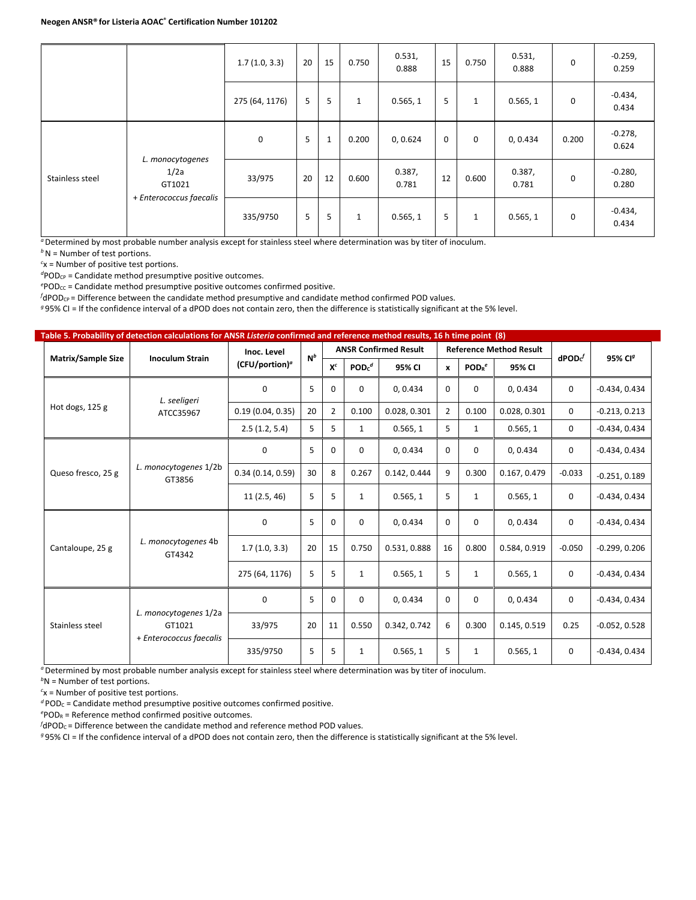|                 |                                                               | 1.7(1.0, 3.3)  | 20 | 15           | 0.750        | 0.531,<br>0.888 | 15          | 0.750        | 0.531,<br>0.888 | 0           | $-0.259,$<br>0.259 |
|-----------------|---------------------------------------------------------------|----------------|----|--------------|--------------|-----------------|-------------|--------------|-----------------|-------------|--------------------|
|                 |                                                               | 275 (64, 1176) | 5  | 5            | $\mathbf{1}$ | 0.565, 1        | 5           | $\mathbf{1}$ | 0.565, 1        | $\mathbf 0$ | $-0.434,$<br>0.434 |
|                 | L. monocytogenes<br>1/2a<br>GT1021<br>+ Enterococcus faecalis | 0              | 5  | $\mathbf{1}$ | 0.200        | 0, 0.624        | $\mathbf 0$ | 0            | 0, 0.434        | 0.200       | $-0.278,$<br>0.624 |
| Stainless steel |                                                               | 33/975         | 20 | 12           | 0.600        | 0.387,<br>0.781 | 12          | 0.600        | 0.387,<br>0.781 | $\Omega$    | $-0.280,$<br>0.280 |
|                 |                                                               | 335/9750       | 5  | 5            | $\mathbf{1}$ | 0.565, 1        | 5           | 1            | 0.565, 1        | 0           | $-0.434,$<br>0.434 |

*b*N = Number of test portions.

*c* x = Number of positive test portions.

<sup>d</sup>POD<sub>CP</sub> = Candidate method presumptive positive outcomes.

<sup>e</sup>POD<sub>CC</sub> = Candidate method presumptive positive outcomes confirmed positive.

 $f$ dPOD<sub>CP</sub> = Difference between the candidate method presumptive and candidate method confirmed POD values.

*<sup>g</sup>* 95% CI = If the confidence interval of a dPOD does not contain zero, then the difference is statistically significant at the 5% level.

|                           | Table 5. Probability of detection calculations for ANSR Listeria confirmed and reference method results, 16 h time point (8) |                     |       |                |                  |                              |                |                               |                                |                   |                     |  |  |
|---------------------------|------------------------------------------------------------------------------------------------------------------------------|---------------------|-------|----------------|------------------|------------------------------|----------------|-------------------------------|--------------------------------|-------------------|---------------------|--|--|
|                           |                                                                                                                              | Inoc. Level         | $N^b$ |                |                  | <b>ANSR Confirmed Result</b> |                |                               | <b>Reference Method Result</b> |                   | 95% CI <sup>g</sup> |  |  |
| <b>Matrix/Sample Size</b> | <b>Inoculum Strain</b>                                                                                                       | $(CFU/portion)^{a}$ |       | $X^c$          | POD <sub>c</sub> | 95% CI                       | $\mathbf{x}$   | POD <sub>R</sub> <sup>e</sup> | 95% CI                         | $\mathsf{dPOD}^f$ |                     |  |  |
|                           | L. seeligeri                                                                                                                 | 0                   | 5     | 0              | 0                | 0, 0.434                     | $\Omega$       | $\mathbf 0$                   | 0, 0.434                       | 0                 | $-0.434, 0.434$     |  |  |
| Hot dogs, 125 g           | ATCC35967                                                                                                                    | 0.19(0.04, 0.35)    | 20    | $\overline{2}$ | 0.100            | 0.028, 0.301                 | $\overline{2}$ | 0.100                         | 0.028, 0.301                   | $\Omega$          | $-0.213, 0.213$     |  |  |
|                           |                                                                                                                              | 2.5(1.2, 5.4)       | 5     | 5              | $\mathbf{1}$     | 0.565, 1                     | 5              | 1                             | 0.565, 1                       | $\mathbf 0$       | $-0.434, 0.434$     |  |  |
|                           |                                                                                                                              | 0                   | 5     | 0              | 0                | 0, 0.434                     | $\mathbf 0$    | $\mathbf 0$                   | 0, 0.434                       | 0                 | $-0.434, 0.434$     |  |  |
| Queso fresco, 25 g        | L. monocytogenes 1/2b<br>GT3856                                                                                              | 0.34(0.14, 0.59)    | 30    | 8              | 0.267            | 0.142, 0.444                 | 9              | 0.300                         | 0.167, 0.479                   | $-0.033$          | $-0.251, 0.189$     |  |  |
|                           |                                                                                                                              | 11(2.5, 46)         | 5     | 5              | $\mathbf{1}$     | 0.565, 1                     | 5              | $\mathbf{1}$                  | 0.565, 1                       | $\mathbf 0$       | $-0.434, 0.434$     |  |  |
|                           |                                                                                                                              | $\mathbf 0$         | 5     | 0              | 0                | 0, 0.434                     | $\Omega$       | $\mathbf 0$                   | 0, 0.434                       | $\mathbf 0$       | $-0.434, 0.434$     |  |  |
| Cantaloupe, 25 g          | L. monocytogenes 4b<br>GT4342                                                                                                | 1.7(1.0, 3.3)       | 20    | 15             | 0.750            | 0.531, 0.888                 | 16             | 0.800                         | 0.584, 0.919                   | $-0.050$          | $-0.299, 0.206$     |  |  |
|                           |                                                                                                                              | 275 (64, 1176)      | 5     | 5              | $\mathbf{1}$     | 0.565, 1                     | 5              | 1                             | 0.565, 1                       | 0                 | $-0.434, 0.434$     |  |  |
|                           |                                                                                                                              | $\mathbf 0$         | 5     | $\Omega$       | 0                | 0, 0.434                     | $\Omega$       | $\mathbf 0$                   | 0, 0.434                       | $\Omega$          | $-0.434, 0.434$     |  |  |
| Stainless steel           | L. monocytogenes 1/2a<br>GT1021                                                                                              | 33/975              | 20    | 11             | 0.550            | 0.342, 0.742                 | 6              | 0.300                         | 0.145, 0.519                   | 0.25              | $-0.052, 0.528$     |  |  |
|                           | + Enterococcus faecalis                                                                                                      | 335/9750            | 5     | 5              | $\mathbf{1}$     | 0.565, 1                     | 5              | $\mathbf{1}$                  | 0.565, 1                       | 0                 | $-0.434, 0.434$     |  |  |

*<sup>a</sup>*Determined by most probable number analysis except for stainless steel where determination was by titer of inoculum.

*b* N = Number of test portions.

*c* x = Number of positive test portions.

 $d$  POD<sub>C</sub> = Candidate method presumptive positive outcomes confirmed positive.

*e* PODR = Reference method confirmed positive outcomes.

*f* dPOD<sub>C</sub> = Difference between the candidate method and reference method POD values.

*<sup>g</sup>* 95% CI = If the confidence interval of a dPOD does not contain zero, then the difference is statistically significant at the 5% level.